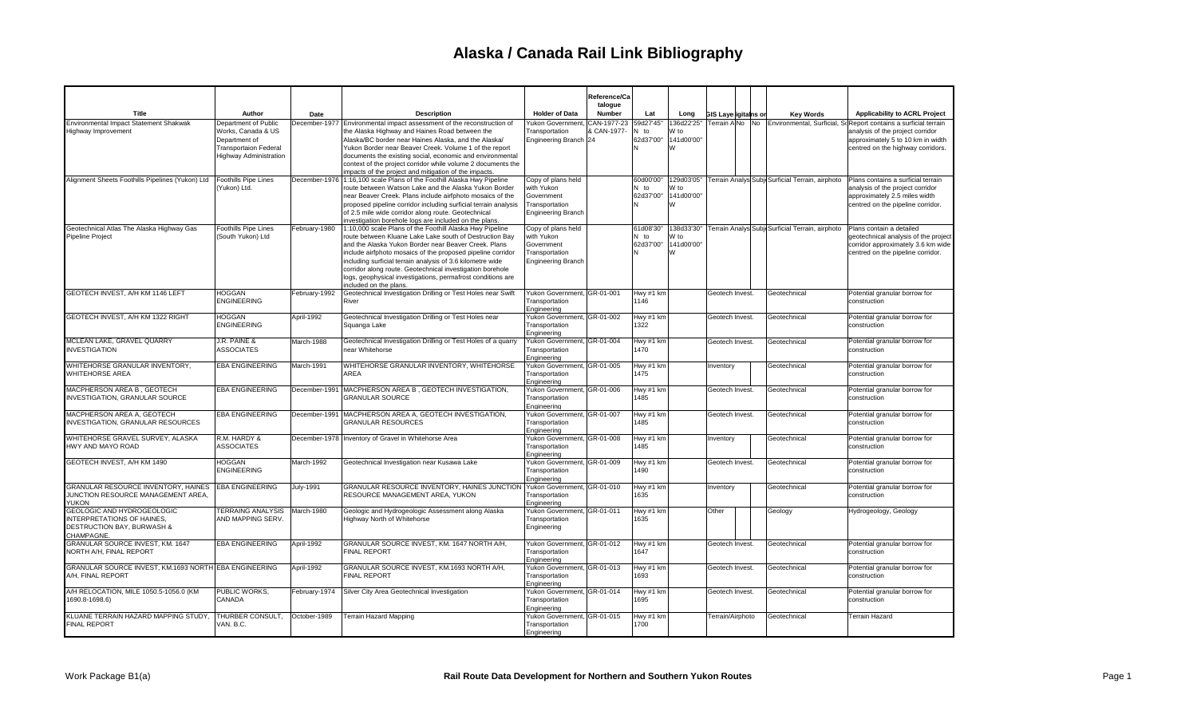|                                                                                                      |                                                                                                                              |               |                                                                                                                                                                                                                                                                                                                                                                                                                                                                |                                                                                               | Reference/Ca<br>talogue    |                                     |                                       |                             |    |                                                             |                                                                                                                                                                                |
|------------------------------------------------------------------------------------------------------|------------------------------------------------------------------------------------------------------------------------------|---------------|----------------------------------------------------------------------------------------------------------------------------------------------------------------------------------------------------------------------------------------------------------------------------------------------------------------------------------------------------------------------------------------------------------------------------------------------------------------|-----------------------------------------------------------------------------------------------|----------------------------|-------------------------------------|---------------------------------------|-----------------------------|----|-------------------------------------------------------------|--------------------------------------------------------------------------------------------------------------------------------------------------------------------------------|
| Title                                                                                                | Author                                                                                                                       | Date          | <b>Description</b>                                                                                                                                                                                                                                                                                                                                                                                                                                             | <b>Holder of Data</b>                                                                         | Number                     | Lat                                 | Long                                  | <b>GIS Layerigitains or</b> |    | <b>Key Words</b>                                            | Applicability to ACRL Project                                                                                                                                                  |
| Environmental Impact Statement Shakwak<br>Highway Improvement                                        | Department of Public<br>Works, Canada & US<br>Department of<br><b>Transportaion Federal</b><br><b>Highway Administration</b> | December-1977 | Environmental impact assessment of the reconstruction of<br>the Alaska Highway and Haines Road between the<br>Alaska/BC border near Haines Alaska, and the Alaska/<br>Yukon Border near Beaver Creek. Volume 1 of the report<br>documents the existing social, economic and environmental<br>context of the project corridor while volume 2 documents the<br>impacts of the project and mitigation of the impacts.                                             | <b>Yukon Government</b><br>Transportation<br>Engineering Branch 24                            | CAN-1977-23<br>& CAN-1977- | 59d27'45'<br>N to<br>62d37'00"      | 136d22'25"<br>W to<br>141d00'00"<br>W | Terrain AlNo                | No |                                                             | Environmental, Surficial, Sc Report contains a surficial terrain<br>analysis of the project corridor<br>approximately 5 to 10 km in width<br>centred on the highway corridors. |
| Alignment Sheets Foothills Pipelines (Yukon) Ltd                                                     | Foothills Pipe Lines<br>(Yukon) Ltd.                                                                                         | December-1976 | 1:16,100 scale Plans of the Foothill Alaska Hwy Pipeline<br>route between Watson Lake and the Alaska Yukon Border<br>near Beaver Creek. Plans include airfphoto mosaics of the<br>proposed pipeline corridor including surficial terrain analysis<br>of 2.5 mile wide corridor along route. Geotechnical<br>investigation borehole logs are included on the plans.                                                                                             | Copy of plans held<br>with Yukon<br>Government<br>Transportation<br><b>Engineering Branch</b> |                            | 60d00'00'<br>N to<br>62d37'00"<br>N | 129d03'05"<br>W to<br>141d00'00"<br>W |                             |    | Terrain Analys Subje Surficial Terrain, airphoto            | Plans contains a surficial terrain<br>analysis of the project corridor<br>approximately 2.5 miles width<br>centred on the pipeline corridor.                                   |
| Geotechnical Atlas The Alaska Highway Gas<br><b>Pipeline Project</b>                                 | <b>Foothills Pipe Lines</b><br>(South Yukon) Ltd                                                                             | February-1980 | 1:10,000 scale Plans of the Foothill Alaska Hwy Pipeline<br>route between Kluane Lake Lake south of Destruction Bay<br>and the Alaska Yukon Border near Beaver Creek. Plans<br>include airfphoto mosaics of the proposed pipeline corridor<br>including surficial terrain analysis of 3.6 kilometre wide<br>corridor along route. Geotechnical investigation borehole<br>logs, geophysical investigations, permafrost conditions are<br>included on the plans. | Copy of plans held<br>with Yukon<br>Government<br>Transportation<br><b>Engineering Branch</b> |                            | 61d08'30"<br>N to<br>62d37'00"      | W to<br>141d00'00"<br>W               |                             |    | 138d33'30" Terrain Analys Subji Surficial Terrain, airphoto | Plans contain a detailed<br>geotechnical analysis of the project<br>corridor approximately 3.6 km wide<br>centred on the pipeline corridor.                                    |
| GEOTECH INVEST. A/H KM 1146 LEFT                                                                     | <b>HOGGAN</b><br><b>ENGINEERING</b>                                                                                          | February-1992 | Geotechnical Investigation Drilling or Test Holes near Swift<br>River                                                                                                                                                                                                                                                                                                                                                                                          | Yukon Government, GR-01-001<br>Transportation<br>Engineering                                  |                            | Hwy #1 km<br>1146                   |                                       | Geotech Invest.             |    | Geotechnical                                                | Potential granular borrow for<br>construction                                                                                                                                  |
| GEOTECH INVEST, A/H KM 1322 RIGHT                                                                    | <b>HOGGAN</b><br><b>ENGINEERING</b>                                                                                          | April-1992    | Geotechnical Investigation Drilling or Test Holes near<br>Squanga Lake                                                                                                                                                                                                                                                                                                                                                                                         | Yukon Government, GR-01-002<br>Transportation<br>Engineering                                  |                            | Hwy #1 km<br>1322                   |                                       | Geotech Invest.             |    | Geotechnical                                                | Potential granular borrow for<br>construction                                                                                                                                  |
| MCLEAN LAKE, GRAVEL QUARRY<br><b>INVESTIGATION</b>                                                   | J.R. PAINE &<br><b>ASSOCIATES</b>                                                                                            | March-1988    | Geotechnical Investigation Drilling or Test Holes of a quarry<br>near Whitehorse                                                                                                                                                                                                                                                                                                                                                                               | Yukon Government, GR-01-004<br>Transportation<br>Engineering                                  |                            | Hwy #1 km<br>1470                   |                                       | Geotech Invest.             |    | Geotechnical                                                | Potential granular borrow for<br>construction                                                                                                                                  |
| WHITEHORSE GRANULAR INVENTORY,<br>WHITEHORSE AREA                                                    | <b>EBA ENGINEERING</b>                                                                                                       | March-1991    | WHITEHORSE GRANULAR INVENTORY, WHITEHORSE<br>AREA                                                                                                                                                                                                                                                                                                                                                                                                              | Yukon Government, GR-01-005<br>Transportation<br>Engineering                                  |                            | Hwy #1 km<br>1475                   |                                       | Inventory                   |    | Geotechnical                                                | Potential granular borrow for<br>construction                                                                                                                                  |
| MACPHERSON AREA B. GEOTECH<br><b>INVESTIGATION, GRANULAR SOURCE</b>                                  | <b>EBA ENGINEERING</b>                                                                                                       | December-1991 | MACPHERSON AREA B, GEOTECH INVESTIGATION,<br><b>GRANULAR SOURCE</b>                                                                                                                                                                                                                                                                                                                                                                                            | Yukon Government, GR-01-006<br>Transportation<br>Engineering                                  |                            | Hwy #1 km<br>1485                   |                                       | Geotech Invest.             |    | Geotechnical                                                | Potential granular borrow for<br>construction                                                                                                                                  |
| MACPHERSON AREA A, GEOTECH<br><b>INVESTIGATION, GRANULAR RESOURCES</b>                               | <b>EBA ENGINEERING</b>                                                                                                       | December-1991 | MACPHERSON AREA A, GEOTECH INVESTIGATION,<br><b>GRANULAR RESOURCES</b>                                                                                                                                                                                                                                                                                                                                                                                         | Yukon Government, GR-01-007<br>Transportation<br>Engineering                                  |                            | Hwy #1 km<br>1485                   |                                       | Geotech Invest.             |    | Geotechnical                                                | Potential granular borrow for<br>construction                                                                                                                                  |
| WHITEHORSE GRAVEL SURVEY, ALASKA<br>HWY AND MAYO ROAD                                                | R.M. HARDY &<br><b>ASSOCIATES</b>                                                                                            |               | December-1978   Inventory of Gravel in Whitehorse Area                                                                                                                                                                                                                                                                                                                                                                                                         | Yukon Government, GR-01-008<br>Transportation<br>Engineering                                  |                            | Hwy #1 km<br>1485                   |                                       | Inventory                   |    | Geotechnical                                                | Potential granular borrow for<br>construction                                                                                                                                  |
| GEOTECH INVEST. A/H KM 1490                                                                          | <b>HOGGAN</b><br><b>ENGINEERING</b>                                                                                          | March-1992    | Geotechnical Investigation near Kusawa Lake                                                                                                                                                                                                                                                                                                                                                                                                                    | Yukon Government, GR-01-009<br>Transportation<br>Engineering                                  |                            | Hwy #1 km<br>1490                   |                                       | Geotech Invest.             |    | Geotechnical                                                | Potential granular borrow for<br>construction                                                                                                                                  |
| GRANULAR RESOURCE INVENTORY, HAINES<br>JUNCTION RESOURCE MANAGEMENT AREA,<br><b>YUKON</b>            | <b>EBA ENGINEERING</b>                                                                                                       | July-1991     | GRANULAR RESOURCE INVENTORY, HAINES JUNCTION<br>RESOURCE MANAGEMENT AREA, YUKON                                                                                                                                                                                                                                                                                                                                                                                | Yukon Government, GR-01-010<br>Transportation<br>Engineering                                  |                            | Hwy #1 km<br>1635                   |                                       | Inventory                   |    | Geotechnical                                                | Potential granular borrow for<br>construction                                                                                                                                  |
| GEOLOGIC AND HYDROGEOLOGIC<br>INTERPRETATIONS OF HAINES,<br>DESTRUCTION BAY, BURWASH &<br>CHAMPAGNE. | <b>TERRAING ANALYSIS</b><br>AND MAPPING SERV.                                                                                | March-1980    | Geologic and Hydrogeologic Assessment along Alaska<br>Highway North of Whitehorse                                                                                                                                                                                                                                                                                                                                                                              | Yukon Government, GR-01-011<br>Transportation<br>Engineering                                  |                            | Hwy #1 km<br>1635                   |                                       | Other                       |    | Geology                                                     | Hydrogeology, Geology                                                                                                                                                          |
| GRANULAR SOURCE INVEST, KM. 1647<br>NORTH A/H, FINAL REPORT                                          | <b>EBA ENGINEERING</b>                                                                                                       | April-1992    | GRANULAR SOURCE INVEST, KM, 1647 NORTH A/H.<br><b>FINAL REPORT</b>                                                                                                                                                                                                                                                                                                                                                                                             | Yukon Government. GR-01-012<br>Transportation<br>Engineering                                  |                            | Hwy #1 km<br>1647                   |                                       | Geotech Invest.             |    | Geotechnical                                                | Potential granular borrow for<br>construction                                                                                                                                  |
| GRANULAR SOURCE INVEST, KM.1693 NORTH EBA ENGINEERING<br>A/H. FINAL REPORT                           |                                                                                                                              | April-1992    | GRANULAR SOURCE INVEST, KM.1693 NORTH A/H.<br><b>FINAL REPORT</b>                                                                                                                                                                                                                                                                                                                                                                                              | Yukon Government, GR-01-013<br>Transportation<br>Engineering                                  |                            | Hwy #1 km<br>1693                   |                                       | Geotech Invest.             |    | Geotechnical                                                | Potential granular borrow for<br>construction                                                                                                                                  |
| A/H RELOCATION, MILE 1050.5-1056.0 (KM<br>1690.8-1698.6)                                             | PUBLIC WORKS,<br>CANADA                                                                                                      | February-1974 | Silver City Area Geotechnical Investigation                                                                                                                                                                                                                                                                                                                                                                                                                    | Yukon Government, GR-01-014<br>Transportation<br>Engineering                                  |                            | Hwy #1 km<br>1695                   |                                       | Geotech Invest.             |    | Geotechnical                                                | Potential granular borrow for<br>construction                                                                                                                                  |
| KLUANE TERRAIN HAZARD MAPPING STUDY.<br><b>FINAL REPORT</b>                                          | THURBER CONSULT.<br>VAN. B.C.                                                                                                | October-1989  | Terrain Hazard Mapping                                                                                                                                                                                                                                                                                                                                                                                                                                         | Yukon Government, GR-01-015<br>Transportation<br>Engineering                                  |                            | Hwy #1 km<br>1700                   |                                       | Terrain/Airphoto            |    | Geotechnical                                                | Terrain Hazard                                                                                                                                                                 |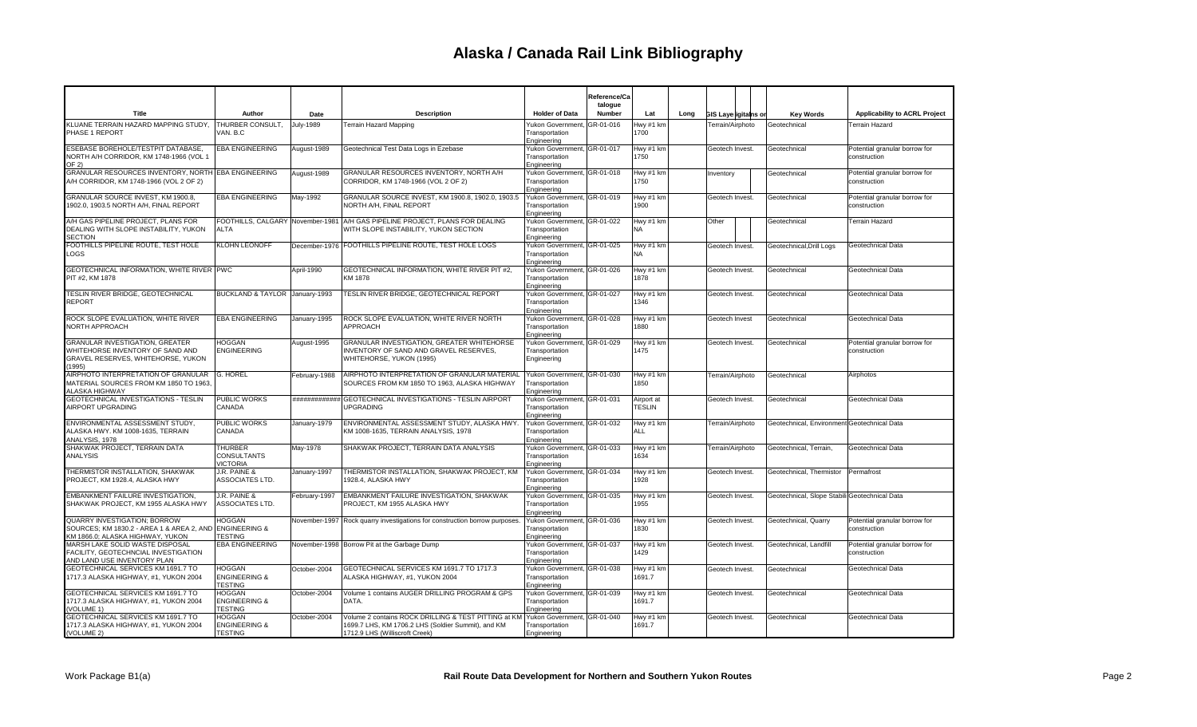|                                                                                                                                   |                                                             |               |                                                                                                                                              |                                                              | Reference/Ca<br>talogue |                             |      |                             |  |                                               |                                               |  |                   |
|-----------------------------------------------------------------------------------------------------------------------------------|-------------------------------------------------------------|---------------|----------------------------------------------------------------------------------------------------------------------------------------------|--------------------------------------------------------------|-------------------------|-----------------------------|------|-----------------------------|--|-----------------------------------------------|-----------------------------------------------|--|-------------------|
| Title                                                                                                                             | Author                                                      | Date          | <b>Description</b>                                                                                                                           | <b>Holder of Data</b>                                        | Number                  | Lat                         | Long | <b>GIS Layerigitains or</b> |  | <b>Key Words</b>                              | <b>Applicability to ACRL Project</b>          |  |                   |
| KLUANE TERRAIN HAZARD MAPPING STUDY,<br>PHASE 1 REPORT                                                                            | THURBER CONSULT,<br>VAN, B.C                                | July-1989     | <b>Terrain Hazard Mapping</b>                                                                                                                | Yukon Government, GR-01-016<br>Transportation<br>Engineering |                         | Hwy #1 km<br>1700           |      | Terrain/Airphoto            |  | Geotechnical                                  | <b>Terrain Hazard</b>                         |  |                   |
| ESEBASE BOREHOLE/TESTPIT DATABASE.<br>NORTH A/H CORRIDOR, KM 1748-1966 (VOL 1<br>OF 2)                                            | <b>EBA ENGINEERING</b>                                      | August-1989   | Geotechnical Test Data Logs in Ezebase                                                                                                       | Yukon Government, GR-01-017<br>Transportation<br>Engineering |                         | Hwy #1 km<br>1750           |      | Geotech Invest.             |  | Geotechnical                                  | Potential granular borrow for<br>construction |  |                   |
| GRANULAR RESOURCES INVENTORY. NORTH EBA ENGINEERING<br>A/H CORRIDOR, KM 1748-1966 (VOL 2 OF 2)                                    |                                                             | August-1989   | <b>GRANULAR RESOURCES INVENTORY, NORTH A/H</b><br>CORRIDOR, KM 1748-1966 (VOL 2 OF 2)                                                        | Yukon Government, GR-01-018<br>Transportation<br>Engineering |                         | Hwy #1 km<br>1750           |      | Inventory                   |  | Geotechnical                                  | Potential granular borrow for<br>construction |  |                   |
| GRANULAR SOURCE INVEST, KM 1900.8,<br>1902.0, 1903.5 NORTH A/H, FINAL REPORT                                                      | <b>EBA ENGINEERING</b>                                      | May-1992      | GRANULAR SOURCE INVEST, KM 1900.8, 1902.0, 1903.5<br>NORTH A/H, FINAL REPORT                                                                 | Yukon Government, GR-01-019<br>Transportation<br>Engineering |                         | Hwy #1 km<br>1900           |      | Geotech Invest.             |  | Geotechnical                                  | Potential granular borrow for<br>construction |  |                   |
| A/H GAS PIPELINE PROJECT, PLANS FOR<br>DEALING WITH SLOPE INSTABILITY, YUKON<br>SECTION                                           | FOOTHILLS, CALGARY November-1981<br><b>ALTA</b>             |               | A/H GAS PIPELINE PROJECT, PLANS FOR DEALING<br>WITH SLOPE INSTABILITY, YUKON SECTION                                                         | Yukon Government, GR-01-022<br>Transportation<br>Engineering |                         | Hwy #1 km<br>NA             |      | Other                       |  | Geotechnical                                  | <b>Terrain Hazard</b>                         |  |                   |
| FOOTHILLS PIPELINE ROUTE, TEST HOLE<br>LOGS                                                                                       | <b>KLOHN LEONOFF</b>                                        |               | December-1976 FOOTHILLS PIPELINE ROUTE, TEST HOLE LOGS                                                                                       | Yukon Government, GR-01-025<br>Transportation<br>Engineering |                         | Hwy #1 km<br>NA             |      | Geotech Invest.             |  | Geotechnical, Drill Logs                      | Geotechnical Data                             |  |                   |
| <b>GEOTECHNICAL INFORMATION. WHITE RIVER PWC</b><br>PIT #2, KM 1878                                                               |                                                             | April-1990    | <b>GEOTECHNICAL INFORMATION. WHITE RIVER PIT #2.</b><br>KM 1878                                                                              | Yukon Government, GR-01-026<br>Transportation<br>Engineering |                         | Hwy #1 km<br>1878           |      | Geotech Invest.             |  | Geotechnical                                  | Geotechnical Data                             |  |                   |
| TESLIN RIVER BRIDGE, GEOTECHNICAL<br>REPORT                                                                                       | BUCKLAND & TAYLOR January-1993                              |               | TESLIN RIVER BRIDGE, GEOTECHNICAL REPORT                                                                                                     | Yukon Government, GR-01-027<br>Transportation<br>Engineering |                         | Hwy #1 km<br>1346           |      | Geotech Invest.             |  | Geotechnical                                  | Geotechnical Data                             |  |                   |
| ROCK SLOPE EVALUATION, WHITE RIVER<br>NORTH APPROACH                                                                              | <b>EBA ENGINEERING</b>                                      | January-1995  | ROCK SLOPE EVALUATION, WHITE RIVER NORTH<br><b>APPROACH</b>                                                                                  | Yukon Government, GR-01-028<br>Transportation<br>Engineering |                         | Hwy #1 km<br>1880           |      | Geotech Invest              |  | Geotechnical                                  |                                               |  | Geotechnical Data |
| <b>GRANULAR INVESTIGATION, GREATER</b><br>WHITEHORSE INVENTORY OF SAND AND<br><b>GRAVEL RESERVES, WHITEHORSE, YUKON</b><br>(1995) | <b>HOGGAN</b><br><b>ENGINEERING</b>                         | August-1995   | GRANULAR INVESTIGATION, GREATER WHITEHORSE<br>INVENTORY OF SAND AND GRAVEL RESERVES,<br>WHITEHORSE, YUKON (1995)                             | Yukon Government, GR-01-029<br>Transportation<br>Engineering |                         | Hwy #1 km<br>1475           |      | Geotech Invest.             |  | Geotechnical                                  | Potential granular borrow for<br>construction |  |                   |
| AIRPHOTO INTERPRETATION OF GRANULAR<br>MATERIAL SOURCES FROM KM 1850 TO 1963,<br>ALASKA HIGHWAY                                   | G. HOREL                                                    | February-1988 | AIRPHOTO INTERPRETATION OF GRANULAR MATERIAL<br>SOURCES FROM KM 1850 TO 1963, ALASKA HIGHWAY                                                 | Yukon Government, GR-01-030<br>Transportation<br>Engineering |                         | Hwy #1 km<br>1850           |      | Terrain/Airphoto            |  | Geotechnical                                  | Airphotos                                     |  |                   |
| GEOTECHNICAL INVESTIGATIONS - TESLIN<br>AIRPORT UPGRADING                                                                         | <b>PUBLIC WORKS</b><br>CANADA                               |               | ############# GEOTECHNICAL INVESTIGATIONS - TESLIN AIRPORT<br><b>UPGRADING</b>                                                               | Yukon Government, GR-01-031<br>Transportation<br>Engineering |                         | Airport at<br><b>TESLIN</b> |      | Geotech Invest.             |  | Geotechnical                                  | Geotechnical Data                             |  |                   |
| ENVIRONMENTAL ASSESSMENT STUDY,<br>ALASKA HWY. KM 1008-1635, TERRAIN<br>ANALYSIS, 1978                                            | PUBLIC WORKS<br>CANADA                                      | January-1979  | ENVIRONMENTAL ASSESSMENT STUDY, ALASKA HWY<br>KM 1008-1635, TERRAIN ANALYSIS, 1978                                                           | Yukon Government, GR-01-032<br>Transportation<br>Engineering |                         | Hwy #1 km<br>ALL            |      | Terrain/Airphoto            |  | Geotechnical, Environment Geotechnical Data   |                                               |  |                   |
| SHAKWAK PROJECT, TERRAIN DATA<br><b>ANALYSIS</b>                                                                                  | <b>THURBER</b><br><b>CONSULTANTS</b><br><b>VICTORIA</b>     | May-1978      | SHAKWAK PROJECT, TERRAIN DATA ANALYSIS                                                                                                       | Yukon Government, GR-01-033<br>Transportation<br>Engineering |                         | Hwy #1 km<br>1634           |      | Terrain/Airphoto            |  | Geotechnical, Terrain,                        | Geotechnical Data                             |  |                   |
| THERMISTOR INSTALLATION, SHAKWAK<br>PROJECT, KM 1928.4, ALASKA HWY                                                                | J.R. PAINE &<br>ASSOCIATES LTD.                             | January-1997  | THERMISTOR INSTALLATION, SHAKWAK PROJECT, KM<br>1928.4, ALASKA HWY                                                                           | Yukon Government, GR-01-034<br>Transportation<br>Engineering |                         | Hwy #1 km<br>1928           |      | Geotech Invest.             |  | Geotechnical, Thermistor                      | Permafrost                                    |  |                   |
| EMBANKMENT FAILURE INVESTIGATION,<br>SHAKWAK PROJECT, KM 1955 ALASKA HWY                                                          | J.R. PAINE &<br>ASSOCIATES LTD.                             | February-1997 | EMBANKMENT FAILURE INVESTIGATION, SHAKWAK<br>PROJECT, KM 1955 ALASKA HWY                                                                     | Yukon Government, GR-01-035<br>Transportation<br>Engineering |                         | Hwy #1 km<br>1955           |      | Geotech Invest.             |  | Geotechnical, Slope Stabili Geotechnical Data |                                               |  |                   |
| QUARRY INVESTIGATION; BORROW<br>SOURCES; KM 1830.2 - AREA 1 & AREA 2, AND ENGINEERING &<br>KM 1866.0; ALASKA HIGHWAY, YUKON       | <b>HOGGAN</b><br><b>TESTING</b>                             |               | November-1997 Rock quarry investigations for construction borrow purposes                                                                    | Yukon Government, GR-01-036<br>Transportation<br>Engineering |                         | Hwy #1 km<br>1830           |      | Geotech Invest.             |  | Geotechnical, Quarry                          | Potential granular borrow for<br>construction |  |                   |
| MARSH LAKE SOLID WASTE DISPOSAL<br>FACILITY, GEOTECHNCIAL INVESTIGATION<br>AND LAND USE INVENTORY PLAN                            | <b>EBA ENGINEERING</b>                                      |               | November-1998 Borrow Pit at the Garbage Dump                                                                                                 | Yukon Government, GR-01-037<br>Transportation<br>Engineering |                         | Hwy #1 km<br>1429           |      | Geotech Invest.             |  | Geotechnical, Landfill                        | Potential granular borrow for<br>construction |  |                   |
| GEOTECHNICAL SERVICES KM 1691.7 TO<br>1717.3 ALASKA HIGHWAY, #1, YUKON 2004                                                       | <b>HOGGAN</b><br><b>ENGINEERING &amp;</b><br><b>TESTING</b> | October-2004  | GEOTECHNICAL SERVICES KM 1691.7 TO 1717.3<br>ALASKA HIGHWAY, #1, YUKON 2004                                                                  | Yukon Government, GR-01-038<br>Transportation<br>Engineering |                         | Hwy #1 km<br>1691.7         |      | Geotech Invest.             |  | Geotechnical                                  | Geotechnical Data                             |  |                   |
| GEOTECHNICAL SERVICES KM 1691.7 TO<br>1717.3 ALASKA HIGHWAY, #1, YUKON 2004<br><b>VOLUME 1)</b>                                   | <b>HOGGAN</b><br><b>ENGINEERING &amp;</b><br><b>TESTING</b> | October-2004  | Volume 1 contains AUGER DRILLING PROGRAM & GPS<br>DATA.                                                                                      | Yukon Government, GR-01-039<br>Transportation<br>Engineering |                         | Hwy #1 km<br>1691.7         |      | Geotech Invest.             |  | Geotechnical                                  | Geotechnical Data                             |  |                   |
| GEOTECHNICAL SERVICES KM 1691.7 TO<br>1717.3 ALASKA HIGHWAY, #1, YUKON 2004<br>(VOLUME 2)                                         | <b>HOGGAN</b><br><b>ENGINEERING &amp;</b><br><b>TESTING</b> | October-2004  | Volume 2 contains ROCK DRILLING & TEST PITTING at KN<br>1699.7 LHS, KM 1706.2 LHS (Soldier Summit), and KM<br>1712.9 LHS (Williscroft Creek) | Yukon Government, GR-01-040<br>Transportation<br>Engineering |                         | Hwy #1 km<br>1691.7         |      | Geotech Invest.             |  | Geotechnical                                  | Geotechnical Data                             |  |                   |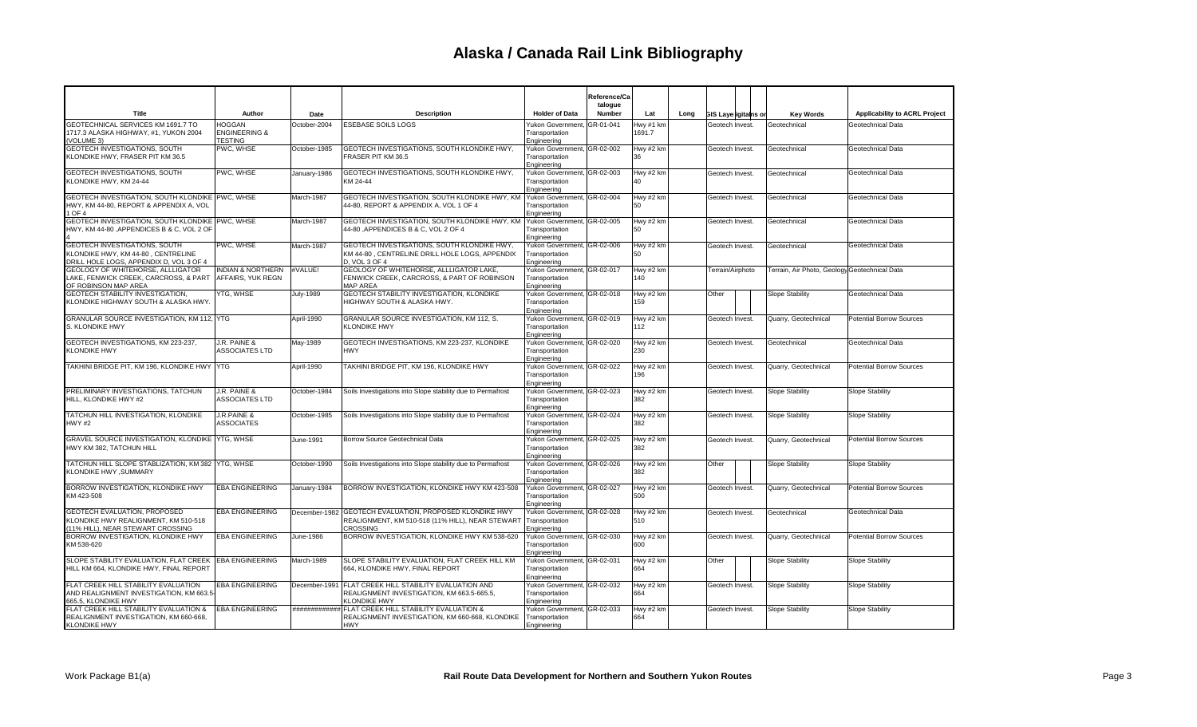|                                                                                                                |                                                             |               |                                                                                                                      |                                                              | Reference/Ca<br>talogue |                     |      |                             |                                               |                                      |
|----------------------------------------------------------------------------------------------------------------|-------------------------------------------------------------|---------------|----------------------------------------------------------------------------------------------------------------------|--------------------------------------------------------------|-------------------------|---------------------|------|-----------------------------|-----------------------------------------------|--------------------------------------|
| Title                                                                                                          | Author                                                      | Date          | <b>Description</b>                                                                                                   | <b>Holder of Data</b>                                        | Number                  | Lat                 | Long | <b>GIS Layerigitains or</b> | <b>Kev Words</b>                              | <b>Applicability to ACRL Project</b> |
| GEOTECHNICAL SERVICES KM 1691.7 TO<br>1717.3 ALASKA HIGHWAY, #1, YUKON 2004<br>(VOLUME 3)                      | <b>HOGGAN</b><br><b>ENGINEERING &amp;</b><br><b>TESTING</b> | October-2004  | <b>ESEBASE SOILS LOGS</b>                                                                                            | Yukon Governmen<br>Transportation<br>Engineering             | GR-01-041               | Hwy #1 km<br>1691.7 |      | Geotech Invest.             | Geotechnical                                  | Geotechnical Data                    |
| <b>GEOTECH INVESTIGATIONS, SOUTH</b><br>KLONDIKE HWY, FRASER PIT KM 36.5                                       | PWC. WHSE                                                   | October-1985  | GEOTECH INVESTIGATIONS, SOUTH KLONDIKE HWY.<br>FRASER PIT KM 36.5                                                    | Yukon Government, GR-02-002<br>Transportation<br>Engineering |                         | Hwy #2 km<br>36     |      | Geotech Invest.             | Geotechnical                                  | Geotechnical Data                    |
| GEOTECH INVESTIGATIONS, SOUTH<br>KLONDIKE HWY, KM 24-44                                                        | PWC, WHSE                                                   | January-1986  | GEOTECH INVESTIGATIONS, SOUTH KLONDIKE HWY,<br>KM 24-44                                                              | Yukon Government, GR-02-003<br>Transportation<br>Engineering |                         | Hwy #2 km<br>40     |      | Geotech Invest.             | Geotechnical                                  | Geotechnical Data                    |
| GEOTECH INVESTIGATION, SOUTH KLONDIKE PWC, WHSE<br>HWY, KM 44-80, REPORT & APPENDIX A, VOL<br>1 OF 4           |                                                             | March-1987    | GEOTECH INVESTIGATION, SOUTH KLONDIKE HWY, KM<br>44-80, REPORT & APPENDIX A, VOL 1 OF 4                              | Yukon Government, GR-02-004<br>Transportation<br>Engineering |                         | Hwy #2 km<br>50     |      | Geotech Invest.             | Geotechnical                                  | Geotechnical Data                    |
| GEOTECH INVESTIGATION, SOUTH KLONDIKE PWC, WHSE<br>HWY, KM 44-80 ,APPENDICES B & C, VOL 2 OF                   |                                                             | March-1987    | GEOTECH INVESTIGATION, SOUTH KLONDIKE HWY, KM<br>44-80 ,APPENDICES B & C, VOL 2 OF 4                                 | Yukon Government, GR-02-005<br>Transportation<br>Engineering |                         | Hwy #2 km<br>50     |      | Geotech Invest.             | Geotechnical                                  | Geotechnical Data                    |
| GEOTECH INVESTIGATIONS, SOUTH<br>KLONDIKE HWY, KM 44-80, CENTRELINE<br>DRILL HOLE LOGS, APPENDIX D, VOL 3 OF 4 | PWC, WHSE                                                   | March-1987    | GEOTECH INVESTIGATIONS, SOUTH KLONDIKE HWY,<br>KM 44-80, CENTRELINE DRILL HOLE LOGS, APPENDIX<br>D. VOL 3 OF 4       | Yukon Government, GR-02-006<br>Transportation<br>Engineering |                         | Hwy #2 km<br>50     |      | Geotech Invest.             | Geotechnical                                  | Geotechnical Data                    |
| GEOLOGY OF WHITEHORSE, ALLLIGATOR<br>LAKE, FENWICK CREEK, CARCROSS, & PART<br>OF ROBINSON MAP AREA             | <b>INDIAN &amp; NORTHERN</b><br>AFFAIRS, YUK REGN           | #VALUE!       | GEOLOGY OF WHITEHORSE, ALLLIGATOR LAKE,<br>FENWICK CREEK, CARCROSS, & PART OF ROBINSON<br><b>MAP AREA</b>            | Yukon Government, GR-02-017<br>Transportation<br>Engineering |                         | Hwy #2 km<br>140    |      | Terrain/Airphoto            | Terrain, Air Photo, Geology Geotechnical Data |                                      |
| GEOTECH STABILITY INVESTIGATION,<br>KLONDIKE HIGHWAY SOUTH & ALASKA HWY                                        | YTG. WHSE                                                   | July-1989     | GEOTECH STABILITY INVESTIGATION, KLONDIKE<br>HIGHWAY SOUTH & ALASKA HWY.                                             | Yukon Government, GR-02-018<br>Transportation<br>Engineering |                         | Hwy #2 km<br>159    |      | Other                       | Slope Stability                               | Geotechnical Data                    |
| GRANULAR SOURCE INVESTIGATION, KM 112, YTG<br>S. KLONDIKE HWY                                                  |                                                             | April-1990    | GRANULAR SOURCE INVESTIGATION, KM 112, S.<br><b>KLONDIKE HWY</b>                                                     | Yukon Government, GR-02-019<br>Transportation<br>Engineering |                         | Hwy #2 km<br>112    |      | Geotech Invest.             | Quarry, Geotechnical                          | <b>Potential Borrow Sources</b>      |
| GEOTECH INVESTIGATIONS, KM 223-237.<br><b>KLONDIKE HWY</b>                                                     | J.R. PAINE &<br><b>ASSOCIATES LTD</b>                       | May-1989      | GEOTECH INVESTIGATIONS, KM 223-237, KLONDIKE<br><b>HWY</b>                                                           | Yukon Government, GR-02-020<br>Transportation<br>Engineering |                         | Hwy #2 km<br>230    |      | Geotech Invest.             | Geotechnical                                  | Geotechnical Data                    |
| TAKHINI BRIDGE PIT, KM 196, KLONDIKE HWY YTG                                                                   |                                                             | April-1990    | TAKHINI BRIDGE PIT, KM 196, KLONDIKE HWY                                                                             | Yukon Government, GR-02-022<br>Transportation<br>Engineering |                         | Hwy #2 km<br>196    |      | Geotech Invest.             | Quarry, Geotechnical                          | <b>Potential Borrow Sources</b>      |
| PRELIMINARY INVESTIGATIONS, TATCHUN<br>HILL. KLONDIKE HWY #2                                                   | J.R. PAINE &<br><b>ASSOCIATES LTD</b>                       | October-1984  | Soils Investigations into Slope stability due to Permafrost                                                          | Yukon Government, GR-02-023<br>Transportation<br>Engineering |                         | Hwy #2 km<br>382    |      | Geotech Invest.             | Slope Stability                               | Slope Stability                      |
| TATCHUN HILL INVESTIGATION. KLONDIKE<br><b>HWY#2</b>                                                           | J.R.PAINE &<br><b>ASSOCIATES</b>                            | October-1985  | Soils Investigations into Slope stability due to Permafrost                                                          | Yukon Government, GR-02-024<br>Transportation<br>Engineering |                         | Hwy #2 km<br>382    |      | Geotech Invest.             | Slope Stability                               | Slope Stability                      |
| GRAVEL SOURCE INVESTIGATION, KLONDIKE YTG, WHSE<br>HWY KM 382. TATCHUN HILL                                    |                                                             | June-1991     | Borrow Source Geotechnical Data                                                                                      | Yukon Government, GR-02-025<br>Transportation<br>Engineering |                         | Hwy #2 km<br>382    |      | Geotech Invest.             | Quarry, Geotechnical                          | <b>Potential Borrow Sources</b>      |
| TATCHUN HILL SLOPE STABLIZATION, KM 382 YTG, WHSE<br>KLONDIKE HWY , SUMMARY                                    |                                                             | October-1990  | Soils Investigations into Slope stability due to Permafrost                                                          | Yukon Government, GR-02-026<br>Transportation<br>Engineering |                         | Hwy #2 km<br>382    |      | Other                       | Slope Stability                               | <b>Slope Stability</b>               |
| BORROW INVESTIGATION, KLONDIKE HWY<br>KM 423-508                                                               | <b>EBA ENGINEERING</b>                                      | January-1984  | BORROW INVESTIGATION, KLONDIKE HWY KM 423-508                                                                        | Yukon Government, GR-02-027<br>Transportation<br>Engineering |                         | Hwy #2 km<br>500    |      | Geotech Invest.             | Quarry, Geotechnical                          | <b>Potential Borrow Sources</b>      |
| GEOTECH EVALUATION, PROPOSED<br>KLONDIKE HWY REALIGNMENT, KM 510-518<br>(11% HILL), NEAR STEWART CROSSING      | <b>EBA ENGINEERING</b>                                      | December-1982 | GEOTECH EVALUATION, PROPOSED KLONDIKE HWY<br>REALIGNMENT, KM 510-518 (11% HILL), NEAR STEWART<br>CROSSING            | Yukon Government, GR-02-028<br>Transportation<br>Engineering |                         | Hwy #2 km<br>510    |      | Geotech Invest.             | Geotechnical                                  | Geotechnical Data                    |
| BORROW INVESTIGATION, KLONDIKE HWY<br>KM 538-620                                                               | <b>EBA ENGINEERING</b>                                      | June-1986     | BORROW INVESTIGATION, KLONDIKE HWY KM 538-620                                                                        | Yukon Government, GR-02-030<br>Transportation<br>Engineering |                         | Hwy #2 km<br>600    |      | Geotech Invest.             | Quarry, Geotechnical                          | <b>Potential Borrow Sources</b>      |
| SLOPE STABILITY EVALUATION, FLAT CREEK<br>HILL KM 664, KLONDIKE HWY, FINAL REPORT                              | <b>EBA ENGINEERING</b>                                      | March-1989    | SLOPE STABILITY EVALUATION, FLAT CREEK HILL KM<br>664, KLONDIKE HWY, FINAL REPORT                                    | Yukon Government, GR-02-031<br>Transportation<br>Engineering |                         | Hwy #2 km<br>664    |      | Other                       | Slope Stability                               | <b>Slope Stability</b>               |
| FLAT CREEK HILL STABILITY EVALUATION<br>AND REALIGNMENT INVESTIGATION. KM 663.5<br>665.5, KLONDIKE HWY         | EBA ENGINEERING                                             | December-1991 | FLAT CREEK HILL STABILITY EVALUATION AND<br>REALIGNMENT INVESTIGATION, KM 663.5-665.5,<br><b>(LONDIKE HWY</b>        | Yukon Government, GR-02-032<br>Transportation<br>Engineering |                         | Hwy #2 km<br>664    |      | Geotech Invest.             | Slope Stability                               | Slope Stability                      |
| FLAT CREEK HILL STABILITY EVALUATION &<br>REALIGNMENT INVESTIGATION, KM 660-668.<br><b>KLONDIKE HWY</b>        | <b>EBA ENGINEERING</b>                                      |               | ############ FLAT CREEK HILL STABILITY EVALUATION &<br>REALIGNMENT INVESTIGATION, KM 660-668, KLONDIKE<br><b>HWY</b> | Yukon Government, GR-02-033<br>Transportation<br>Engineering |                         | Hwy #2 km<br>664    |      | Geotech Invest.             | Slope Stability                               | <b>Slope Stability</b>               |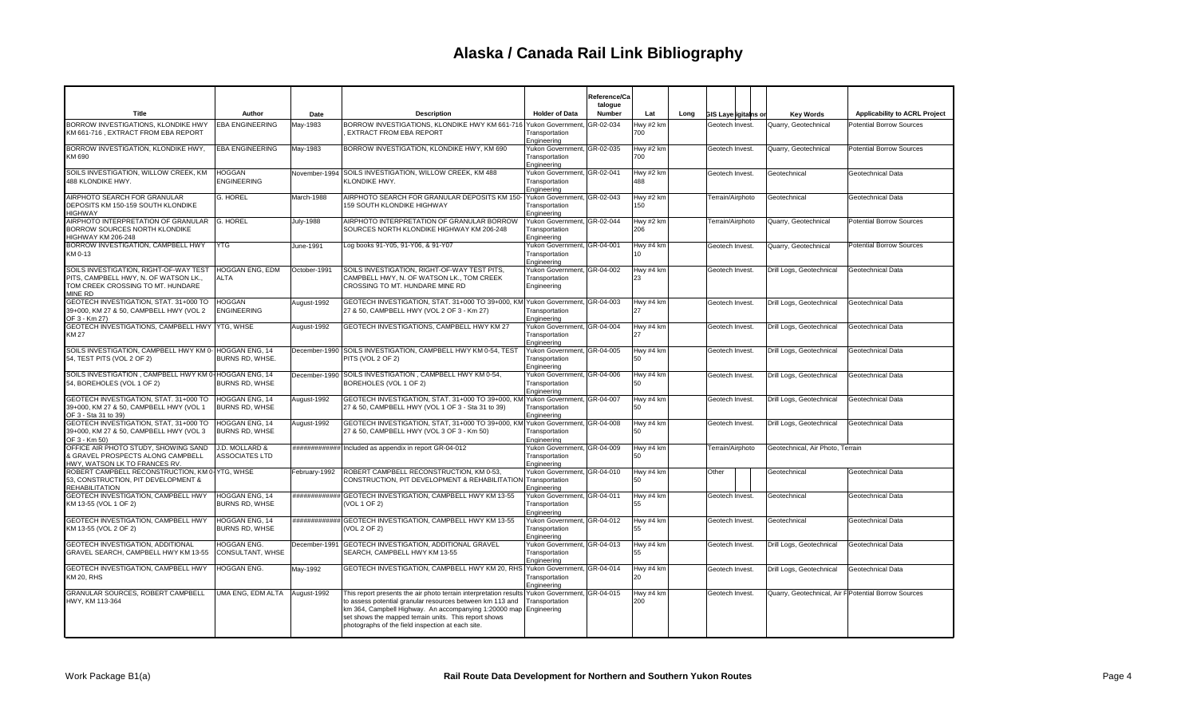|                                                                                                                               |                                               |                  |                                                                                                                                                                                                                                                                                                                  |                                                              | Reference/Ca<br>talogue |                  |      |                             |                                  |                                                      |
|-------------------------------------------------------------------------------------------------------------------------------|-----------------------------------------------|------------------|------------------------------------------------------------------------------------------------------------------------------------------------------------------------------------------------------------------------------------------------------------------------------------------------------------------|--------------------------------------------------------------|-------------------------|------------------|------|-----------------------------|----------------------------------|------------------------------------------------------|
| Title                                                                                                                         | Author                                        | Date             | <b>Description</b>                                                                                                                                                                                                                                                                                               | <b>Holder of Data</b>                                        | Number                  | Lat              | Long | <b>GIS Laye igitains or</b> | <b>Key Words</b>                 | Applicability to ACRL Project                        |
| BORROW INVESTIGATIONS, KLONDIKE HWY<br>KM 661-716, EXTRACT FROM EBA REPORT                                                    | <b>EBA ENGINEERING</b>                        | Mav-1983         | BORROW INVESTIGATIONS, KLONDIKE HWY KM 661-716 Yukon Government,<br><b>EXTRACT FROM EBA REPORT</b>                                                                                                                                                                                                               | Transportation<br>Engineering                                | GR-02-034               | Hwy #2 km<br>700 |      | Geotech Invest              | Quarry, Geotechnical             | <b>Potential Borrow Sources</b>                      |
| BORROW INVESTIGATION, KLONDIKE HWY,<br>KM 690                                                                                 | <b>EBA ENGINEERING</b>                        | May-1983         | BORROW INVESTIGATION, KLONDIKE HWY, KM 690                                                                                                                                                                                                                                                                       | Yukon Government, GR-02-035<br>Transportation<br>Engineering |                         | Hwy #2 km<br>700 |      | Geotech Invest              | Quarry, Geotechnical             | <b>Potential Borrow Sources</b>                      |
| SOILS INVESTIGATION. WILLOW CREEK, KM<br>488 KLONDIKE HWY.                                                                    | <b>HOGGAN</b><br><b>ENGINEERING</b>           |                  | November-1994 SOILS INVESTIGATION, WILLOW CREEK, KM 488<br>KLONDIKE HWY.                                                                                                                                                                                                                                         | Yukon Government, GR-02-041<br>Transportation<br>Engineering |                         | Hwy #2 km<br>488 |      | Geotech Invest.             | Geotechnical                     | Geotechnical Data                                    |
| AIRPHOTO SEARCH FOR GRANULAR<br>DEPOSITS KM 150-159 SOUTH KLONDIKE<br><b>HIGHWAY</b>                                          | G. HOREL                                      | March-1988       | AIRPHOTO SEARCH FOR GRANULAR DEPOSITS KM 150<br>159 SOUTH KLONDIKE HIGHWAY                                                                                                                                                                                                                                       | Yukon Government, GR-02-043<br>Transportation<br>Engineering |                         | Hwy #2 km<br>150 |      | Terrain/Airphoto            | Geotechnical                     | Geotechnical Data                                    |
| AIRPHOTO INTERPRETATION OF GRANULAR<br>BORROW SOURCES NORTH KLONDIKE<br>HIGHWAY KM 206-248                                    | <b>G. HOREL</b>                               | <b>July-1988</b> | AIRPHOTO INTERPRETATION OF GRANULAR BORROW<br>SOURCES NORTH KLONDIKE HIGHWAY KM 206-248                                                                                                                                                                                                                          | Yukon Government, GR-02-044<br>Transportation<br>Engineering |                         | Hwy #2 km<br>206 |      | Terrain/Airphoto            | Quarry, Geotechnical             | <b>Potential Borrow Sources</b>                      |
| BORROW INVESTIGATION, CAMPBELL HWY<br>KM 0-13                                                                                 | <b>YTG</b>                                    | June-1991        | Log books 91-Y05, 91-Y06, & 91-Y07                                                                                                                                                                                                                                                                               | Yukon Government, GR-04-001<br>Transportation<br>Engineering |                         | Hwy #4 km<br>10  |      | Geotech Invest              | Quarry, Geotechnical             | Potential Borrow Sources                             |
| SOILS INVESTIGATION, RIGHT-OF-WAY TEST<br>PITS. CAMPBELL HWY. N. OF WATSON LK<br>TOM CREEK CROSSING TO MT. HUNDARE<br>MINE RD | HOGGAN ENG, EDM<br>ALTA                       | October-1991     | SOILS INVESTIGATION, RIGHT-OF-WAY TEST PITS,<br>CAMPBELL HWY. N. OF WATSON LK TOM CREEK<br>CROSSING TO MT. HUNDARE MINE RD                                                                                                                                                                                       | Yukon Government, GR-04-002<br>Transportation<br>Engineering |                         | Hwy #4 km<br>23  |      | Geotech Invest              | Drill Logs, Geotechnical         | Geotechnical Data                                    |
| GEOTECH INVESTIGATION, STAT. 31+000 TO<br>39+000, KM 27 & 50, CAMPBELL HWY (VOL 2<br>OF 3 - Km 27)                            | <b>HOGGAN</b><br><b>ENGINEERING</b>           | August-1992      | GEOTECH INVESTIGATION, STAT. 31+000 TO 39+000, KM Yukon Government, GR-04-003<br>27 & 50, CAMPBELL HWY (VOL 2 OF 3 - Km 27)                                                                                                                                                                                      | Transportation<br>Engineering                                |                         | Hwy #4 km<br>27  |      | Geotech Invest              | Drill Logs, Geotechnical         | Geotechnical Data                                    |
| GEOTECH INVESTIGATIONS, CAMPBELL HWY YTG, WHSE<br>KM 27                                                                       |                                               | August-1992      | GEOTECH INVESTIGATIONS, CAMPBELL HWY KM 27                                                                                                                                                                                                                                                                       | Yukon Government, GR-04-004<br>Transportation<br>Engineering |                         | Hwy #4 km<br>27  |      | Geotech Invest              | Drill Logs, Geotechnical         | Geotechnical Data                                    |
| SOILS INVESTIGATION, CAMPBELL HWY KM 0- HOGGAN ENG, 14<br>54, TEST PITS (VOL 2 OF 2)                                          | BURNS RD, WHSE.                               |                  | December-1990 SOILS INVESTIGATION, CAMPBELL HWY KM 0-54, TEST<br>PITS (VOL 2 OF 2)                                                                                                                                                                                                                               | Yukon Government, GR-04-005<br>Transportation<br>Engineering |                         | Hwy #4 km<br>50  |      | Geotech Invest              | Drill Logs, Geotechnical         | Geotechnical Data                                    |
| SOILS INVESTIGATION, CAMPBELL HWY KM 0- HOGGAN ENG, 14<br>54, BOREHOLES (VOL 1 OF 2)                                          | <b>BURNS RD. WHSE</b>                         |                  | December-1990 SOILS INVESTIGATION, CAMPBELL HWY KM 0-54,<br>BOREHOLES (VOL 1 OF 2)                                                                                                                                                                                                                               | Yukon Government, GR-04-006<br>Transportation<br>Engineering |                         | Hwy #4 km<br>50  |      | Geotech Invest              | Drill Logs, Geotechnical         | Geotechnical Data                                    |
| GEOTECH INVESTIGATION, STAT, 31+000 TO<br>39+000, KM 27 & 50, CAMPBELL HWY (VOL 1<br>OF 3 - Sta 31 to 39)                     | HOGGAN ENG. 14<br><b>BURNS RD, WHSE</b>       | August-1992      | GEOTECH INVESTIGATION, STAT, 31+000 TO 39+000, KM Yukon Government, GR-04-007<br>27 & 50, CAMPBELL HWY (VOL 1 OF 3 - Sta 31 to 39)                                                                                                                                                                               | Transportation<br>Engineering                                |                         | Hwy #4 km<br>50  |      | Geotech Invest              | Drill Logs, Geotechnical         | Geotechnical Data                                    |
| GEOTECH INVESTIGATION, STAT, 31+000 TO<br>39+000, KM 27 & 50, CAMPBELL HWY (VOL 3<br>OF 3 - Km 50)                            | HOGGAN ENG. 14<br><b>BURNS RD, WHSE</b>       | August-1992      | GEOTECH INVESTIGATION, STAT, 31+000 TO 39+000, KN<br>27 & 50, CAMPBELL HWY (VOL 3 OF 3 - Km 50)                                                                                                                                                                                                                  | Yukon Government, GR-04-008<br>Transportation<br>Engineering |                         | Hwy #4 km<br>50  |      | Geotech Invest              | Drill Logs, Geotechnical         | Geotechnical Data                                    |
| OFFICE AIR PHOTO STUDY, SHOWING SAND<br>& GRAVEL PROSPECTS ALONG CAMPBELL<br>HWY, WATSON LK TO FRANCES RV.                    | J.D. MOLLARD &<br><b>ASSOCIATES LTD</b>       |                  | ############# Included as appendix in report GR-04-012                                                                                                                                                                                                                                                           | Yukon Government, GR-04-009<br>Transportation<br>Engineering |                         | Hwy #4 km<br>50  |      | Terrain/Airphoto            | Geotechnical, Air Photo, Terrain |                                                      |
| ROBERT CAMPBELL RECONSTRUCTION, KM 0- YTG, WHSE<br>53. CONSTRUCTION. PIT DEVELOPMENT &<br><b>REHABILITATION</b>               |                                               | February-1992    | ROBERT CAMPBELL RECONSTRUCTION, KM 0-53,<br>CONSTRUCTION. PIT DEVELOPMENT & REHABILITATION                                                                                                                                                                                                                       | Yukon Government, GR-04-010<br>Transportation<br>Engineering |                         | Hwy #4 km<br>50  |      | Other                       | Geotechnical                     | Geotechnical Data                                    |
| GEOTECH INVESTIGATION, CAMPBELL HWY<br>KM 13-55 (VOL 1 OF 2)                                                                  | HOGGAN ENG, 14<br><b>BURNS RD. WHSE</b>       |                  | ############# GEOTECH INVESTIGATION, CAMPBELL HWY KM 13-55<br>(VOL 1 OF 2)                                                                                                                                                                                                                                       | Yukon Government, GR-04-011<br>Transportation<br>Engineering |                         | Hwy #4 km<br>55  |      | Geotech Invest.             | Geotechnical                     | Geotechnical Data                                    |
| GEOTECH INVESTIGATION, CAMPBELL HWY<br>KM 13-55 (VOL 2 OF 2)                                                                  | <b>HOGGAN ENG. 14</b><br>BURNS RD, WHSE       |                  | ############# GEOTECH INVESTIGATION. CAMPBELL HWY KM 13-55<br>(VOL 2 OF 2)                                                                                                                                                                                                                                       | Yukon Government. GR-04-012<br>Transportation<br>Engineering |                         | Hwy #4 km<br>55  |      | Geotech Invest              | Geotechnical                     | Geotechnical Data                                    |
| <b>GEOTECH INVESTIGATION, ADDITIONAL</b><br>GRAVEL SEARCH, CAMPBELL HWY KM 13-55                                              | <b>HOGGAN ENG.</b><br><b>CONSULTANT, WHSE</b> | December-1991    | <b>GEOTECH INVESTIGATION, ADDITIONAL GRAVEL</b><br>SEARCH, CAMPBELL HWY KM 13-55                                                                                                                                                                                                                                 | Yukon Government, GR-04-013<br>Transportation<br>Engineering |                         | Hwy #4 km<br>55  |      | Geotech Invest              | Drill Logs, Geotechnical         | Geotechnical Data                                    |
| GEOTECH INVESTIGATION, CAMPBELL HWY<br><b>KM 20, RHS</b>                                                                      | HOGGAN ENG.                                   | May-1992         | GEOTECH INVESTIGATION, CAMPBELL HWY KM 20, RHS                                                                                                                                                                                                                                                                   | Yukon Government, GR-04-014<br>Transportation<br>Engineering |                         | Hwy #4 kn<br>20  |      | Geotech Invest              | Drill Logs, Geotechnical         | Geotechnical Data                                    |
| GRANULAR SOURCES, ROBERT CAMPBELL<br>HWY, KM 113-364                                                                          | UMA ENG, EDM ALTA                             | August-1992      | This report presents the air photo terrain interpretation result<br>to assess potential granular resources between km 113 and<br>km 364, Campbell Highway. An accompanying 1:20000 map Engineering<br>set shows the mapped terrain units. This report shows<br>photographs of the field inspection at each site. | Yukon Government, GR-04-015<br>Transportation                |                         | Hwy #4 km<br>200 |      | Geotech Invest              |                                  | Quarry, Geotechnical, Air F Potential Borrow Sources |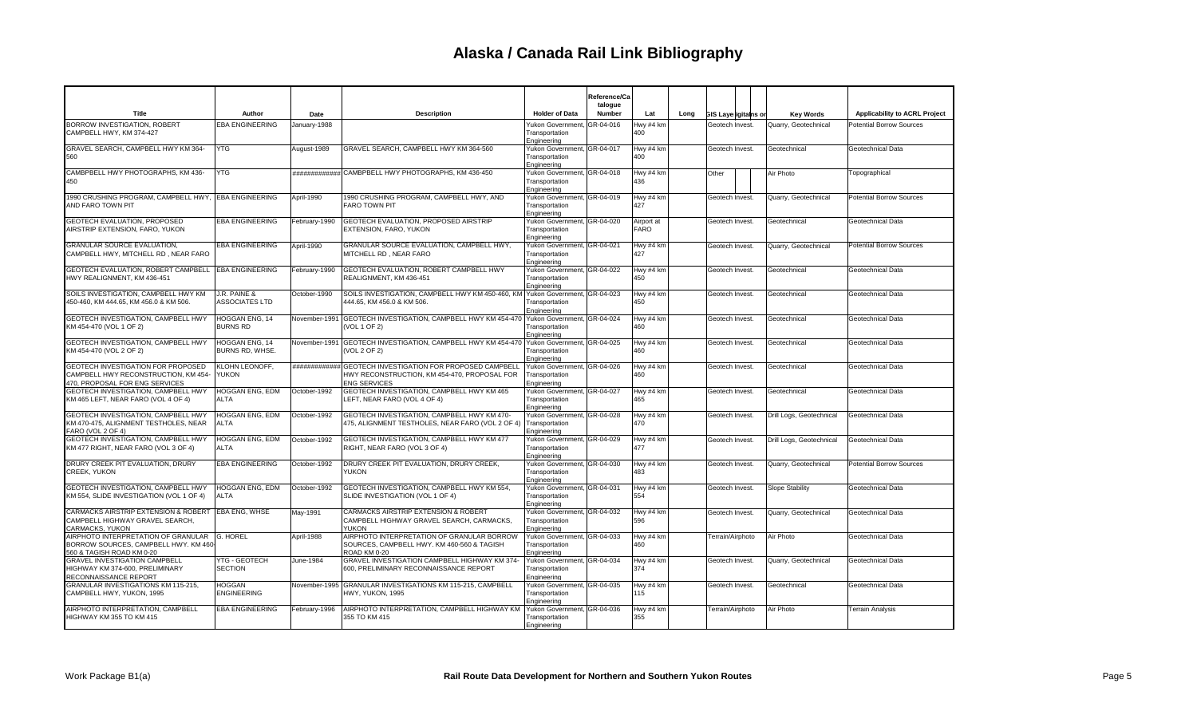|                                                                                                                    |                                       |               |                                                                                                                                  |                                                              | Reference/Ca<br>talogue |                    |      |                             |                          |                                      |
|--------------------------------------------------------------------------------------------------------------------|---------------------------------------|---------------|----------------------------------------------------------------------------------------------------------------------------------|--------------------------------------------------------------|-------------------------|--------------------|------|-----------------------------|--------------------------|--------------------------------------|
| Title                                                                                                              | Author                                | Date          | <b>Description</b>                                                                                                               | <b>Holder of Data</b>                                        | Number                  | Lat                | Long | <b>GIS Layerigitains or</b> | <b>Key Words</b>         | <b>Applicability to ACRL Project</b> |
| BORROW INVESTIGATION, ROBERT<br>CAMPBELL HWY, KM 374-427                                                           | <b>EBA ENGINEERING</b>                | January-1988  |                                                                                                                                  | Yukon Government,<br>Transportation<br>Engineering           | GR-04-016               | Hwy #4 km<br>400   |      | Geotech Invest.             | Quarry, Geotechnical     | <b>Potential Borrow Sources</b>      |
| GRAVEL SEARCH, CAMPBELL HWY KM 364-<br>560                                                                         | <b>YTG</b>                            | August-1989   | GRAVEL SEARCH, CAMPBELL HWY KM 364-560                                                                                           | Yukon Government, GR-04-017<br>Transportation<br>Engineering |                         | Hwy #4 km<br>400   |      | Geotech Invest.             | Geotechnical             | Geotechnical Data                    |
| CAMBPBELL HWY PHOTOGRAPHS, KM 436-<br>450                                                                          | <b>YTG</b>                            |               | ############# CAMBPBELL HWY PHOTOGRAPHS, KM 436-450                                                                              | Yukon Government, GR-04-018<br>Transportation<br>Engineering |                         | Hwy #4 km<br>436   |      | Other                       | Air Photo                | Topographical                        |
| 1990 CRUSHING PROGRAM, CAMPBELL HWY, EBA ENGINEERING<br>AND FARO TOWN PIT                                          |                                       | April-1990    | 1990 CRUSHING PROGRAM, CAMPBELL HWY, AND<br><b>FARO TOWN PIT</b>                                                                 | Yukon Government, GR-04-019<br>Transportation<br>Engineering |                         | Hwy #4 km<br>427   |      | Geotech Invest.             | Quarry, Geotechnical     | <b>Potential Borrow Sources</b>      |
| GEOTECH EVALUATION, PROPOSED<br>AIRSTRIP EXTENSION, FARO, YUKON                                                    | <b>EBA ENGINEERING</b>                | February-1990 | GEOTECH EVALUATION, PROPOSED AIRSTRIP<br>EXTENSION, FARO, YUKON                                                                  | Yukon Government, GR-04-020<br>Transportation<br>Engineering |                         | Airport at<br>FARO |      | Geotech Invest.             | Geotechnical             | Geotechnical Data                    |
| <b>GRANULAR SOURCE EVALUATION,</b><br>CAMPBELL HWY, MITCHELL RD, NEAR FARO                                         | <b>EBA ENGINEERING</b>                | April-1990    | GRANULAR SOURCE EVALUATION, CAMPBELL HWY,<br>MITCHELL RD, NEAR FARO                                                              | Yukon Government, GR-04-021<br>Transportation<br>Engineering |                         | Hwy #4 km<br>427   |      | Geotech Invest.             | Quarry, Geotechnical     | <b>Potential Borrow Sources</b>      |
| GEOTECH EVALUATION. ROBERT CAMPBELL EBA ENGINEERING<br>HWY REALIGNMENT, KM 436-451                                 |                                       | February-1990 | <b>GEOTECH EVALUATION, ROBERT CAMPBELL HWY</b><br>REALIGNMENT, KM 436-451                                                        | Yukon Government, GR-04-022<br>Transportation<br>Engineering |                         | Hwy #4 km<br>450   |      | Geotech Invest.             | Geotechnical             | Geotechnical Data                    |
| SOILS INVESTIGATION, CAMPBELL HWY KM<br>450-460, KM 444.65, KM 456.0 & KM 506.                                     | J.R. PAINE &<br><b>ASSOCIATES LTD</b> | October-1990  | SOILS INVESTIGATION, CAMPBELL HWY KM 450-460, KM<br>444.65, KM 456.0 & KM 506.                                                   | Yukon Government, GR-04-023<br>Transportation<br>Engineering |                         | Hwy #4 km<br>450   |      | Geotech Invest.             | Geotechnical             | Geotechnical Data                    |
| GEOTECH INVESTIGATION, CAMPBELL HWY<br>KM 454-470 (VOL 1 OF 2)                                                     | HOGGAN ENG, 14<br><b>BURNS RD</b>     | November-1991 | GEOTECH INVESTIGATION, CAMPBELL HWY KM 454-470<br>VOL 1 OF 2)                                                                    | Yukon Government, GR-04-024<br>Transportation<br>Engineering |                         | Hwy #4 km<br>460   |      | Geotech Invest.             | Geotechnical             | Geotechnical Data                    |
| GEOTECH INVESTIGATION, CAMPBELL HWY<br>KM 454-470 (VOL 2 OF 2)                                                     | HOGGAN ENG, 14<br>BURNS RD, WHSE.     |               | November-1991 GEOTECH INVESTIGATION, CAMPBELL HWY KM 454-470<br>(VOL 2 OF 2)                                                     | Yukon Government, GR-04-025<br>Transportation<br>Engineering |                         | Hwy #4 km<br>460   |      | Geotech Invest.             | Geotechnical             | Geotechnical Data                    |
| GEOTECH INVESTIGATION FOR PROPOSED<br>CAMPBELL HWY RECONSTRUCTION, KM 454-<br>470. PROPOSAL FOR ENG SERVICES       | KLOHN LEONOFF,<br><b>YUKON</b>        |               | ############# GEOTECH INVESTIGATION FOR PROPOSED CAMPBELL<br>HWY RECONSTRUCTION, KM 454-470, PROPOSAL FOR<br><b>ENG SERVICES</b> | Yukon Government, GR-04-026<br>Transportation<br>Engineering |                         | Hwy #4 km<br>460   |      | Geotech Invest.             | Geotechnical             | Geotechnical Data                    |
| GEOTECH INVESTIGATION, CAMPBELL HWY<br>KM 465 LEFT, NEAR FARO (VOL 4 OF 4)                                         | HOGGAN ENG, EDM<br><b>ALTA</b>        | October-1992  | GEOTECH INVESTIGATION, CAMPBELL HWY KM 465<br>LEFT, NEAR FARO (VOL 4 OF 4)                                                       | Yukon Government, GR-04-027<br>Transportation<br>Engineering |                         | Hwy #4 km<br>465   |      | Geotech Invest.             | Geotechnical             | Geotechnical Data                    |
| GEOTECH INVESTIGATION, CAMPBELL HWY<br>KM 470-475, ALIGNMENT TESTHOLES, NEAR<br>FARO (VOL 2 OF 4)                  | HOGGAN ENG, EDM<br>ALTA               | October-1992  | GEOTECH INVESTIGATION, CAMPBELL HWY KM 470-<br>475, ALIGNMENT TESTHOLES, NEAR FARO (VOL 2 OF 4)                                  | Yukon Government, GR-04-028<br>Transportation<br>Engineering |                         | Hwy #4 km<br>470   |      | Geotech Invest.             | Drill Logs, Geotechnical | Geotechnical Data                    |
| GEOTECH INVESTIGATION, CAMPBELL HWY<br>KM 477 RIGHT, NEAR FARO (VOL 3 OF 4)                                        | <b>HOGGAN ENG. EDM</b><br>ALTA        | October-1992  | GEOTECH INVESTIGATION, CAMPBELL HWY KM 477<br>RIGHT, NEAR FARO (VOL 3 OF 4)                                                      | Yukon Government, GR-04-029<br>Transportation<br>Engineering |                         | Hwy #4 km<br>477   |      | Geotech Invest.             | Drill Logs, Geotechnical | Geotechnical Data                    |
| DRURY CREEK PIT EVALUATION, DRURY<br>CREEK, YUKON                                                                  | <b>EBA ENGINEERING</b>                | October-1992  | DRURY CREEK PIT EVALUATION. DRURY CREEK.<br>YUKON                                                                                | Yukon Government, GR-04-030<br>Transportation<br>Engineering |                         | Hwy #4 km<br>483   |      | Geotech Invest.             | Quarry, Geotechnical     | <b>Potential Borrow Sources</b>      |
| GEOTECH INVESTIGATION, CAMPBELL HWY<br>KM 554, SLIDE INVESTIGATION (VOL 1 OF 4)                                    | HOGGAN ENG, EDM<br><b>ALTA</b>        | October-1992  | GEOTECH INVESTIGATION, CAMPBELL HWY KM 554,<br>SLIDE INVESTIGATION (VOL 1 OF 4)                                                  | Yukon Government, GR-04-031<br>Transportation<br>Engineering |                         | Hwy #4 km<br>554   |      | Geotech Invest.             | Slope Stability          | Geotechnical Data                    |
| CARMACKS AIRSTRIP EXTENSION & ROBERT<br>CAMPBELL HIGHWAY GRAVEL SEARCH,<br>CARMACKS, YUKON                         | <b>EBA ENG, WHSE</b>                  | May-1991      | CARMACKS AIRSTRIP EXTENSION & ROBERT<br>CAMPBELL HIGHWAY GRAVEL SEARCH, CARMACKS,<br><b>YUKON</b>                                | Yukon Government, GR-04-032<br>Transportation<br>Engineering |                         | Hwy #4 km<br>596   |      | Geotech Invest.             | Quarry, Geotechnical     | Geotechnical Data                    |
| AIRPHOTO INTERPRETATION OF GRANULAR G. HOREL<br>BORROW SOURCES, CAMPBELL HWY. KM 460-<br>560 & TAGISH ROAD KM 0-20 |                                       | April-1988    | AIRPHOTO INTERPRETATION OF GRANULAR BORROW<br>SOURCES, CAMPBELL HWY. KM 460-560 & TAGISH<br>ROAD KM 0-20                         | Yukon Government, GR-04-033<br>Transportation<br>Engineering |                         | Hwy #4 km<br>460   |      | Terrain/Airphoto            | Air Photo                | Geotechnical Data                    |
| GRAVEL INVESTIGATION CAMPBELL<br>HIGHWAY KM 374-600, PRELIMINARY<br>RECONNAISSANCE REPORT                          | YTG - GEOTECH<br><b>SECTION</b>       | June-1984     | GRAVEL INVESTIGATION CAMPBELL HIGHWAY KM 374-<br>600, PRELIMINARY RECONNAISSANCE REPORT                                          | Yukon Government, GR-04-034<br>Transportation<br>Engineering |                         | Hwy #4 km<br>374   |      | Geotech Invest.             | Quarry, Geotechnical     | Geotechnical Data                    |
| GRANULAR INVESTIGATIONS KM 115-215,<br>CAMPBELL HWY, YUKON, 1995                                                   | HOGGAN<br><b>ENGINEERING</b>          |               | November-1995 GRANULAR INVESTIGATIONS KM 115-215, CAMPBELL<br>HWY, YUKON, 1995                                                   | Yukon Government, GR-04-035<br>Transportation<br>Engineering |                         | Hwy #4 km<br>115   |      | Geotech Invest.             | Geotechnical             | Geotechnical Data                    |
| AIRPHOTO INTERPRETATION, CAMPBELL<br>HIGHWAY KM 355 TO KM 415                                                      | <b>EBA ENGINEERING</b>                | February-1996 | AIRPHOTO INTERPRETATION, CAMPBELL HIGHWAY KM<br>355 TO KM 415                                                                    | Yukon Government, GR-04-036<br>Transportation<br>Engineering |                         | Hwy #4 km<br>355   |      | Terrain/Airphoto            | Air Photo                | Terrain Analysis                     |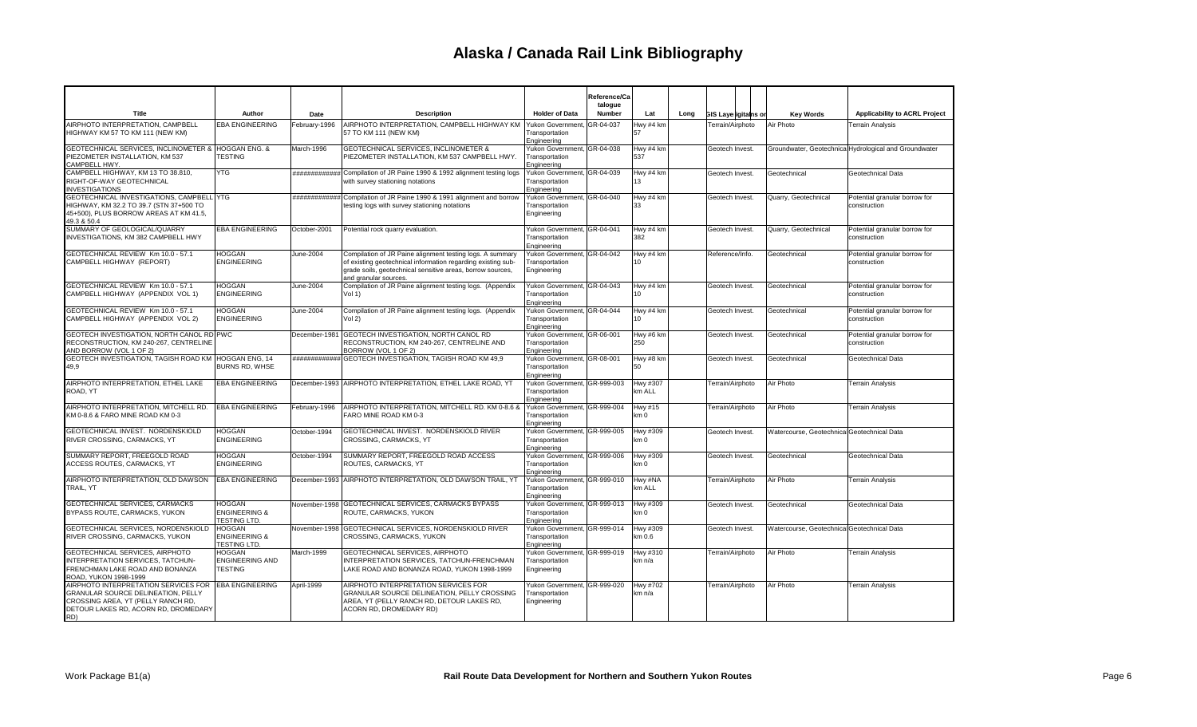|                                                                                                                                                                 |                                                                  |               |                                                                                                                                                                                                                  |                                                               | Reference/Ca<br>talogue |                               |      |                             |                                            |                                                       |
|-----------------------------------------------------------------------------------------------------------------------------------------------------------------|------------------------------------------------------------------|---------------|------------------------------------------------------------------------------------------------------------------------------------------------------------------------------------------------------------------|---------------------------------------------------------------|-------------------------|-------------------------------|------|-----------------------------|--------------------------------------------|-------------------------------------------------------|
| Title                                                                                                                                                           | Author                                                           | Date          | <b>Description</b>                                                                                                                                                                                               | <b>Holder of Data</b>                                         | Number                  | Lat                           | Long | <b>GIS Layerigitains or</b> | <b>Kev Words</b>                           | <b>Applicability to ACRL Project</b>                  |
| AIRPHOTO INTERPRETATION, CAMPBELL<br>HIGHWAY KM 57 TO KM 111 (NEW KM)                                                                                           | <b>EBA ENGINEERING</b>                                           | February-1996 | AIRPHOTO INTERPRETATION, CAMPBELL HIGHWAY KM<br>57 TO KM 111 (NEW KM)                                                                                                                                            | Yukon Government<br>Transportation<br>Engineering             | GR-04-037               | Hwy #4 km<br>57               |      | Terrain/Airphoto            | Air Photo                                  | <b>Terrain Analysis</b>                               |
| <b>GEOTECHNICAL SERVICES. INCLINOMETER &amp;</b><br>PIEZOMETER INSTALLATION. KM 537<br>CAMPBELL HWY.                                                            | <b>HOGGAN ENG. &amp;</b><br><b>TESTING</b>                       | March-1996    | <b>GEOTECHNICAL SERVICES, INCLINOMETER &amp;</b><br>PIEZOMETER INSTALLATION, KM 537 CAMPBELL HWY.                                                                                                                | Yukon Government, GR-04-038<br>Transportation<br>Engineering  |                         | Hwy #4 km<br>537              |      | Geotech Invest.             |                                            | Groundwater, Geotechnica Hydrological and Groundwater |
| CAMPBELL HIGHWAY, KM 13 TO 38.810,<br>RIGHT-OF-WAY GEOTECHNICAL<br><b>INVESTIGATIONS</b>                                                                        | <b>YTG</b>                                                       |               | ############# Compilation of JR Paine 1990 & 1992 alignment testing logs<br>with survey stationing notations                                                                                                     | Yukon Government, GR-04-039<br>Transportation<br>Engineering  |                         | Hwy #4 km<br>13               |      | Geotech Invest.             | Geotechnical                               | Geotechnical Data                                     |
| GEOTECHNICAL INVESTIGATIONS, CAMPBELL YTG<br>HIGHWAY, KM 32.2 TO 39.7 (STN 37+500 TO<br>45+500), PLUS BORROW AREAS AT KM 41.5,<br>49.3 & 50.4                   |                                                                  |               | ############# Compilation of JR Paine 1990 & 1991 alignment and borrow<br>testing logs with survey stationing notations                                                                                          | Yukon Government, GR-04-040<br>Transportation<br>Engineering  |                         | Hwy #4 km<br>33               |      | Geotech Invest.             | Quarry, Geotechnical                       | Potential granular borrow for<br>construction         |
| SUMMARY OF GEOLOGICAL/QUARRY<br>INVESTIGATIONS, KM 382 CAMPBELL HWY                                                                                             | <b>EBA ENGINEERING</b>                                           | October-2001  | Potential rock quarry evaluation.                                                                                                                                                                                | Yukon Government, GR-04-041<br>Transportation<br>Engineering  |                         | Hwy #4 km<br>382              |      | Geotech Invest.             | Quarry, Geotechnical                       | Potential granular borrow for<br>construction         |
| GEOTECHNICAL REVIEW Km 10.0 - 57.1<br>CAMPBELL HIGHWAY (REPORT)                                                                                                 | <b>HOGGAN</b><br><b>ENGINEERING</b>                              | June-2004     | Compilation of JR Paine alignment testing logs. A summary<br>of existing geotechnical information regarding existing sub-<br>grade soils, geotechnical sensitive areas, borrow sources,<br>and granular sources. | Yukon Government, GR-04-042<br>Transportation<br>Engineering  |                         | Hwy #4 km<br>10               |      | Reference/Info.             | Geotechnical                               | Potential granular borrow for<br>construction         |
| GEOTECHNICAL REVIEW Km 10.0 - 57.1<br>CAMPBELL HIGHWAY (APPENDIX VOL 1)                                                                                         | <b>HOGGAN</b><br><b>ENGINEERING</b>                              | June-2004     | Compilation of JR Paine alignment testing logs. (Appendix<br>Vol 1)                                                                                                                                              | Yukon Government,<br>Transportation<br>Engineering            | GR-04-043               | Hwy #4 km<br>10               |      | Geotech Invest.             | Geotechnical                               | Potential granular borrow for<br>construction         |
| GEOTECHNICAL REVIEW Km 10.0 - 57.1<br>CAMPBELL HIGHWAY (APPENDIX VOL 2)                                                                                         | <b>HOGGAN</b><br><b>ENGINEERING</b>                              | June-2004     | Compilation of JR Paine alignment testing logs. (Appendix<br>Vol 2)                                                                                                                                              | Yukon Government. IGR-04-044<br>Transportation<br>Engineering |                         | Hwy #4 km<br>10 <sup>10</sup> |      | Geotech Invest.             | Geotechnical                               | Potential granular borrow for<br>construction         |
| GEOTECH INVESTIGATION, NORTH CANOL RD PWC<br>RECONSTRUCTION, KM 240-267, CENTRELINE<br>AND BORROW (VOL 1 OF 2)                                                  |                                                                  | December-1981 | GEOTECH INVESTIGATION, NORTH CANOL RD<br>RECONSTRUCTION, KM 240-267, CENTRELINE AND<br>BORROW (VOL 1 OF 2)                                                                                                       | Yukon Government, GR-06-001<br>Transportation<br>Engineering  |                         | Hwy #6 km<br>250              |      | Geotech Invest.             | Geotechnical                               | Potential granular borrow for<br>construction         |
| GEOTECH INVESTIGATION, TAGISH ROAD KM HOGGAN ENG, 14<br>49,9                                                                                                    | BURNS RD. WHSE                                                   |               | ############ GEOTECH INVESTIGATION, TAGISH ROAD KM 49,9                                                                                                                                                          | Yukon Government, GR-08-001<br>Transportation<br>Engineering  |                         | Hwy #8 km<br>50               |      | Geotech Invest.             | Geotechnical                               | Geotechnical Data                                     |
| AIRPHOTO INTERPRETATION. ETHEL LAKE<br>ROAD, YT                                                                                                                 | <b>EBA ENGINEERING</b>                                           |               | December-1993 AIRPHOTO INTERPRETATION. ETHEL LAKE ROAD. YT                                                                                                                                                       | Yukon Government, GR-999-003<br>Transportation<br>Engineering |                         | Hwy #307<br>km ALL            |      | Terrain/Airphoto            | Air Photo                                  | <b>Terrain Analysis</b>                               |
| AIRPHOTO INTERPRETATION, MITCHELL RD.<br>KM 0-8.6 & FARO MINE ROAD KM 0-3                                                                                       | <b>EBA ENGINEERING</b>                                           | February-1996 | AIRPHOTO INTERPRETATION, MITCHELL RD. KM 0-8.6 &<br>FARO MINE ROAD KM 0-3                                                                                                                                        | Yukon Government, GR-999-004<br>Transportation<br>Engineering |                         | Hwy #15<br>km 0               |      | Terrain/Airphoto            | Air Photo                                  | Terrain Analysis                                      |
| GEOTECHNICAL INVEST. NORDENSKIOLD<br>RIVER CROSSING, CARMACKS, YT                                                                                               | <b>HOGGAN</b><br><b>ENGINEERING</b>                              | October-1994  | GEOTECHNICAL INVEST. NORDENSKIOLD RIVER<br>CROSSING, CARMACKS, YT                                                                                                                                                | Yukon Government, GR-999-005<br>Transportation<br>Engineering |                         | Hwy #309<br>km 0              |      | Geotech Invest.             | Watercourse, Geotechnica Geotechnical Data |                                                       |
| SUMMARY REPORT, FREEGOLD ROAD<br>ACCESS ROUTES, CARMACKS, YT                                                                                                    | <b>HOGGAN</b><br><b>ENGINEERING</b>                              | October-1994  | SUMMARY REPORT, FREEGOLD ROAD ACCESS<br>ROUTES, CARMACKS, YT                                                                                                                                                     | Yukon Government, GR-999-006<br>Transportation<br>Engineering |                         | Hwy #309<br>km 0              |      | Geotech Invest.             | Geotechnical                               | Geotechnical Data                                     |
| AIRPHOTO INTERPRETATION, OLD DAWSON<br>TRAIL, YT                                                                                                                | <b>EBA ENGINEERING</b>                                           |               | December-1993 AIRPHOTO INTERPRETATION, OLD DAWSON TRAIL, YT                                                                                                                                                      | Yukon Government, GR-999-010<br>Transportation<br>Engineering |                         | Hwy #NA<br>km ALL             |      | Terrain/Airphoto            | Air Photo                                  | Terrain Analysis                                      |
| GEOTECHNICAL SERVICES, CARMACKS<br>BYPASS ROUTE, CARMACKS, YUKON                                                                                                | <b>HOGGAN</b><br><b>ENGINEERING &amp;</b><br><b>TESTING LTD.</b> |               | November-1998   GEOTECHNICAL SERVICES. CARMACKS BYPASS<br>ROUTE, CARMACKS, YUKON                                                                                                                                 | Yukon Government, GR-999-013<br>Transportation<br>Engineering |                         | Hwy #309<br>km 0              |      | Geotech Invest.             | Geotechnical                               | Geotechnical Data                                     |
| GEOTECHNICAL SERVICES, NORDENSKIOLD<br>RIVER CROSSING, CARMACKS, YUKON                                                                                          | <b>HOGGAN</b><br><b>ENGINEERING &amp;</b><br><b>TESTING LTD.</b> |               | November-1998 GEOTECHNICAL SERVICES, NORDENSKIOLD RIVER<br>CROSSING, CARMACKS, YUKON                                                                                                                             | Yukon Government, GR-999-014<br>Transportation<br>Engineering |                         | Hwy #309<br>km 0.6            |      | Geotech Invest.             | Watercourse, Geotechnica Geotechnical Data |                                                       |
| GEOTECHNICAL SERVICES, AIRPHOTO<br>INTERPRETATION SERVICES, TATCHUN-<br>FRENCHMAN LAKE ROAD AND BONANZA<br>ROAD, YUKON 1998-1999                                | HOGGAN<br><b>ENGINEERING AND</b><br><b>TESTING</b>               | March-1999    | GEOTECHNICAL SERVICES, AIRPHOTO<br>INTERPRETATION SERVICES, TATCHUN-FRENCHMAN<br>LAKE ROAD AND BONANZA ROAD, YUKON 1998-1999                                                                                     | Yukon Government, GR-999-019<br>Transportation<br>Engineering |                         | Hwy #310<br>km n/a            |      | Terrain/Airphoto            | Air Photo                                  | Terrain Analysis                                      |
| AIRPHOTO INTERPRETATION SERVICES FOR<br>GRANULAR SOURCE DELINEATION, PELLY<br>CROSSING AREA, YT (PELLY RANCH RD,<br>DETOUR LAKES RD, ACORN RD, DROMEDARY<br>RD) | <b>EBA ENGINEERING</b>                                           | April-1999    | AIRPHOTO INTERPRETATION SERVICES FOR<br>GRANULAR SOURCE DELINEATION, PELLY CROSSING<br>AREA, YT (PELLY RANCH RD, DETOUR LAKES RD,<br>ACORN RD, DROMEDARY RD)                                                     | Yukon Government.<br>Transportation<br>Engineering            | GR-999-020              | Hwy #702<br>km n/a            |      | Terrain/Airphoto            | Air Photo                                  | <b>Terrain Analysis</b>                               |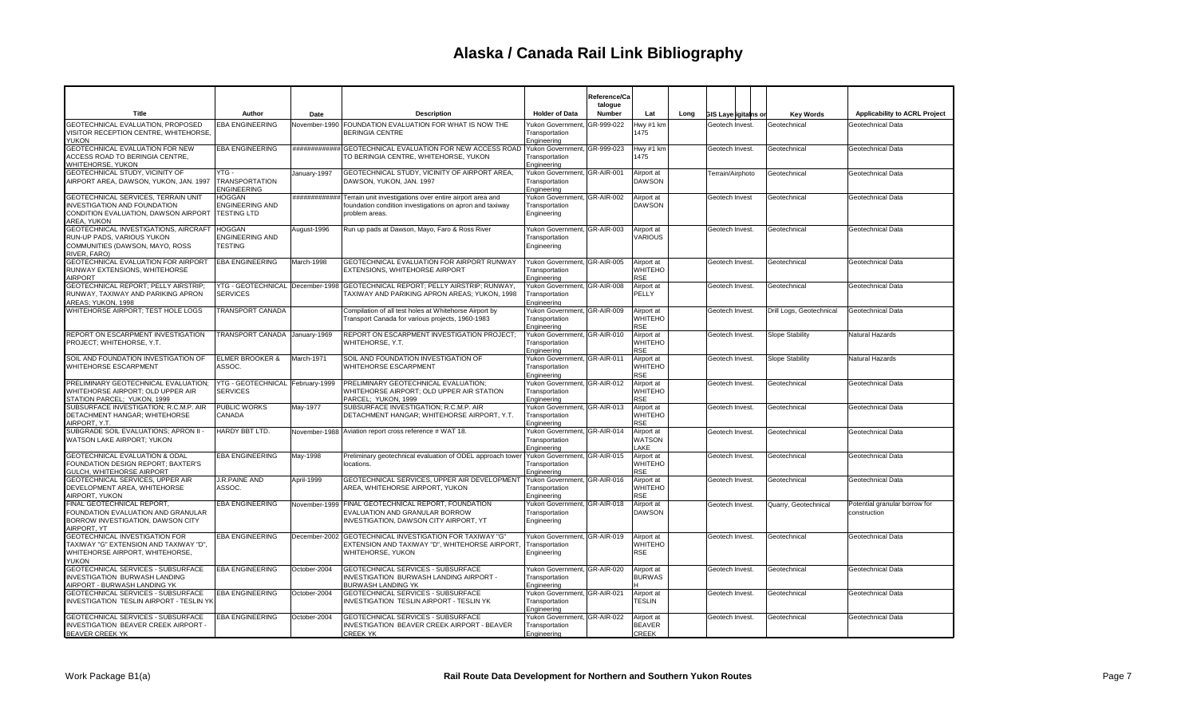|                                                                                                                                    |                                                           |               |                                                                                                                                                      |                                                               | Reference/Ca<br>talogue |                                             |      |                             |                          |                                               |
|------------------------------------------------------------------------------------------------------------------------------------|-----------------------------------------------------------|---------------|------------------------------------------------------------------------------------------------------------------------------------------------------|---------------------------------------------------------------|-------------------------|---------------------------------------------|------|-----------------------------|--------------------------|-----------------------------------------------|
| <b>Title</b>                                                                                                                       | Author                                                    | Date          | <b>Description</b>                                                                                                                                   | <b>Holder of Data</b>                                         | Number                  | Lat                                         | Long | <b>GIS Layerigitains or</b> | <b>Key Words</b>         | Applicability to ACRL Project                 |
| <b>GEOTECHNICAL EVALUATION, PROPOSED</b><br>VISITOR RECEPTION CENTRE, WHITEHORSE,<br><b>YUKON</b>                                  | <b>EBA ENGINEERING</b>                                    | November-1990 | FOUNDATION EVALUATION FOR WHAT IS NOW THE<br><b>BERINGIA CENTRE</b>                                                                                  | Yukon Government.<br>Transportation<br>Engineering            | GR-999-022              | Hwy #1 km<br>1475                           |      | Geotech Invest.             | Geotechnical             | Geotechnical Data                             |
| GEOTECHNICAL EVALUATION FOR NEW<br>ACCESS ROAD TO BERINGIA CENTRE,<br>WHITEHORSE, YUKON                                            | <b>EBA ENGINEERING</b>                                    |               | ############# GEOTECHNICAL EVALUATION FOR NEW ACCESS ROAD<br>TO BERINGIA CENTRE, WHITEHORSE, YUKON                                                   | Yukon Government, GR-999-023<br>Transportation<br>Engineering |                         | Hwy #1 km<br>1475                           |      | Geotech Invest.             | Geotechnical             | Geotechnical Data                             |
| GEOTECHNICAL STUDY, VICINITY OF<br>AIRPORT AREA, DAWSON, YUKON, JAN. 1997                                                          | YTG -<br><b>TRANSPORTATION</b><br><b>ENGINEERING</b>      | January-1997  | GEOTECHNICAL STUDY, VICINITY OF AIRPORT AREA,<br>DAWSON, YUKON, JAN. 1997                                                                            | Yukon Government, GR-AIR-001<br>Transportation<br>Engineering |                         | Airport at<br><b>DAWSON</b>                 |      | Terrain/Airphoto            | Geotechnical             | Geotechnical Data                             |
| GEOTECHNICAL SERVICES, TERRAIN UNIT<br><b>INVESTIGATION AND FOUNDATION</b><br>CONDITION EVALUATION, DAWSON AIRPORT<br>AREA, YUKON  | <b>HOGGAN</b><br>ENGINEERING AND<br><b>TESTING LTD</b>    |               | ############# Terrain unit investigations over entire airport area and<br>foundation condition investigations on apron and taxiway<br>problem areas. | Yukon Government, GR-AIR-002<br>Transportation<br>Engineering |                         | Airport at<br><b>DAWSON</b>                 |      | Geotech Invest              | Geotechnical             | Geotechnical Data                             |
| GEOTECHNICAL INVESTIGATIONS, AIRCRAFT<br>RUN-UP PADS, VARIOUS YUKON<br>COMMUNITIES (DAWSON, MAYO, ROSS<br>RIVER, FARO)             | <b>HOGGAN</b><br><b>ENGINEERING AND</b><br><b>TESTING</b> | August-1996   | Run up pads at Dawson, Mayo, Faro & Ross River                                                                                                       | Yukon Government. GR-AIR-003<br>Transportation<br>Engineering |                         | Airport at<br>VARIOUS                       |      | Geotech Invest.             | Geotechnical             | Geotechnical Data                             |
| GEOTECHNICAL EVALUATION FOR AIRPORT<br>RUNWAY EXTENSIONS, WHITEHORSE<br><b>AIRPORT</b>                                             | <b>EBA ENGINEERING</b>                                    | March-1998    | GEOTECHNICAL EVALUATION FOR AIRPORT RUNWAY<br><b>EXTENSIONS, WHITEHORSE AIRPORT</b>                                                                  | Yukon Government, GR-AIR-005<br>Transportation<br>Engineering |                         | Airport at<br><b>WHITEHO</b><br><b>RSE</b>  |      | Geotech Invest.             | Geotechnical             | Geotechnical Data                             |
| GEOTECHNICAL REPORT; PELLY AIRSTRIP;<br>RUNWAY. TAXIWAY AND PARIKING APRON<br>AREAS: YUKON, 1998                                   | <b>SERVICES</b>                                           |               | YTG - GEOTECHNICAL December-1998 GEOTECHNICAL REPORT; PELLY AIRSTRIP; RUNWAY,<br>TAXIWAY AND PARIKING APRON AREAS: YUKON, 1998                       | Yukon Government, GR-AIR-008<br>Transportation<br>Engineering |                         | Airport at<br>PELLY                         |      | Geotech Invest.             | Geotechnical             | Geotechnical Data                             |
| WHITEHORSE AIRPORT; TEST HOLE LOGS                                                                                                 | <b>TRANSPORT CANADA</b>                                   |               | Compilation of all test holes at Whitehorse Airport by<br>Transport Canada for various projects, 1960-1983                                           | Yukon Government, GR-AIR-009<br>Transportation<br>Engineering |                         | Airport at<br>WHITEHO<br>RSE                |      | Geotech Invest.             | Drill Logs, Geotechnical | Geotechnical Data                             |
| REPORT ON ESCARPMENT INVESTIGATION<br>PROJECT; WHITEHORSE, Y.T.                                                                    | TRANSPORT CANADA January-1969                             |               | REPORT ON ESCARPMENT INVESTIGATION PROJECT:<br>WHITEHORSE, Y.T.                                                                                      | Yukon Government, GR-AIR-010<br>Transportation<br>Enaineerina |                         | Airport at<br>WHITEHO<br><b>RSE</b>         |      | Geotech Invest.             | <b>Slope Stability</b>   | Natural Hazards                               |
| SOIL AND FOUNDATION INVESTIGATION OF<br>WHITEHORSE ESCARPMENT                                                                      | <b>ELMER BROOKER &amp;</b><br>ASSOC.                      | March-1971    | SOIL AND FOUNDATION INVESTIGATION OF<br>WHITEHORSE ESCARPMENT                                                                                        | Yukon Government, GR-AIR-011<br>Transportation<br>Engineering |                         | Airport at<br>WHITEHO<br><b>RSE</b>         |      | Geotech Invest.             | Slope Stability          | Natural Hazards                               |
| PRELIMINARY GEOTECHNICAL EVALUATION;<br>WHITEHORSE AIRPORT: OLD UPPER AIR<br>STATION PARCEL; YUKON, 1999                           | YTG - GEOTECHNICAL February-1999<br><b>SERVICES</b>       |               | PRELIMINARY GEOTECHNICAL EVALUATION;<br>WHITEHORSE AIRPORT; OLD UPPER AIR STATION<br>PARCEL; YUKON, 1999                                             | Yukon Government, GR-AIR-012<br>Transportation<br>Engineering |                         | Airport at<br><b>WHITEHO</b><br><b>RSE</b>  |      | Geotech Invest.             | Geotechnical             | Geotechnical Data                             |
| SUBSURFACE INVESTIGATION; R.C.M.P. AIR<br><b>DETACHMENT HANGAR: WHITEHORSE</b><br>AIRPORT, Y.T.                                    | <b>PUBLIC WORKS</b><br>CANADA                             | May-1977      | SUBSURFACE INVESTIGATION; R.C.M.P. AIR<br>DETACHMENT HANGAR: WHITEHORSE AIRPORT, Y.T.                                                                | Yukon Government, GR-AIR-013<br>Transportation<br>Engineering |                         | Airport at<br><b>WHITEHO</b><br><b>RSE</b>  |      | Geotech Invest.             | Geotechnical             | Geotechnical Data                             |
| SUBGRADE SOIL EVALUATIONS: APRON II -<br>WATSON LAKE AIRPORT; YUKON                                                                | HARDY BBT LTD.                                            |               | November-1988 Aviation report cross reference # WAT 18.                                                                                              | Yukon Government, GR-AIR-014<br>Transportation<br>Engineering |                         | Airport at<br><b>WATSON</b><br>LAKE         |      | Geotech Invest.             | Geotechnical             | Geotechnical Data                             |
| <b>GEOTECHNICAL EVALUATION &amp; ODAL</b><br>FOUNDATION DESIGN REPORT; BAXTER'S<br>GULCH, WHITEHORSE AIRPORT                       | <b>EBA ENGINEERING</b>                                    | May-1998      | Preliminary geotechnical evaluation of ODEL approach tower<br>locations.                                                                             | Yukon Government, GR-AIR-015<br>Transportation<br>Engineering |                         | Airport at<br><b>WHITEHO</b><br><b>RSE</b>  |      | Geotech Invest.             | Geotechnical             | Geotechnical Data                             |
| GEOTECHNICAL SERVICES, UPPER AIR<br>DEVELOPMENT AREA, WHITEHORSE<br>AIRPORT, YUKON                                                 | J.R.PAINE AND<br>ASSOC.                                   | April-1999    | GEOTECHNICAL SERVICES, UPPER AIR DEVELOPMENT<br>AREA, WHITEHORSE AIRPORT, YUKON                                                                      | Yukon Government, GR-AIR-016<br>Transportation<br>Engineering |                         | Airport at<br>WHITEHO<br><b>RSE</b>         |      | Geotech Invest.             | Geotechnical             | Geotechnical Data                             |
| FINAL GEOTECHNICAL REPORT,<br>FOUNDATION EVALUATION AND GRANULAR<br>BORROW INVESTIGATION, DAWSON CITY<br>AIRPORT, YT               | <b>EBA ENGINEERING</b>                                    | November-1999 | FINAL GEOTECHNICAL REPORT, FOUNDATION<br>EVALUATION AND GRANULAR BORROW<br><b>INVESTIGATION, DAWSON CITY AIRPORT, YT</b>                             | Yukon Government, GR-AIR-018<br>Transportation<br>Engineering |                         | Airport at<br><b>DAWSON</b>                 |      | Geotech Invest.             | Quarry, Geotechnical     | Potential granular borrow for<br>construction |
| <b>GEOTECHNICAL INVESTIGATION FOR</b><br>TAXIWAY "G" EXTENSION AND TAXIWAY "D",<br>WHITEHORSE AIRPORT, WHITEHORSE,<br><b>YUKON</b> | <b>EBA ENGINEERING</b>                                    |               | December-2002 GEOTECHNICAL INVESTIGATION FOR TAXIWAY "G"<br>EXTENSION AND TAXIWAY "D", WHITEHORSE AIRPORT.<br>WHITEHORSE, YUKON                      | Yukon Government. GR-AIR-019<br>Transportation<br>Engineering |                         | Airport at<br><b>WHITEHO</b><br><b>RSE</b>  |      | Geotech Invest.             | Geotechnical             | Geotechnical Data                             |
| GEOTECHNICAL SERVICES - SUBSURFACE<br><b>INVESTIGATION BURWASH LANDING</b><br>AIRPORT - BURWASH LANDING YK                         | <b>EBA ENGINEERING</b>                                    | October-2004  | GEOTECHNICAL SERVICES - SUBSURFACE<br>INVESTIGATION BURWASH LANDING AIRPORT -<br><b>BURWASH LANDING YK</b>                                           | Yukon Government, GR-AIR-020<br>Transportation<br>Engineering |                         | Airport at<br><b>BURWAS</b>                 |      | Geotech Invest.             | Geotechnical             | Geotechnical Data                             |
| GEOTECHNICAL SERVICES - SUBSURFACE<br><b>INVESTIGATION TESLIN AIRPORT - TESLIN YK</b>                                              | <b>EBA ENGINEERING</b>                                    | October-2004  | GEOTECHNICAL SERVICES - SUBSURFACE<br>INVESTIGATION TESLIN AIRPORT - TESLIN YK                                                                       | Yukon Government, GR-AIR-021<br>Transportation<br>Engineering |                         | Airport at<br><b>TESLIN</b>                 |      | Geotech Invest.             | Geotechnical             | Geotechnical Data                             |
| GEOTECHNICAL SERVICES - SUBSURFACE<br>INVESTIGATION BEAVER CREEK AIRPORT -<br><b>BEAVER CREEK YK</b>                               | <b>EBA ENGINEERING</b>                                    | October-2004  | GEOTECHNICAL SERVICES - SUBSURFACE<br>INVESTIGATION BEAVER CREEK AIRPORT - BEAVER<br><b>CREEK YK</b>                                                 | Yukon Government, GR-AIR-022<br>Transportation<br>Engineering |                         | Airport at<br><b>BEAVER</b><br><b>CREEK</b> |      | Geotech Invest.             | Geotechnical             | Geotechnical Data                             |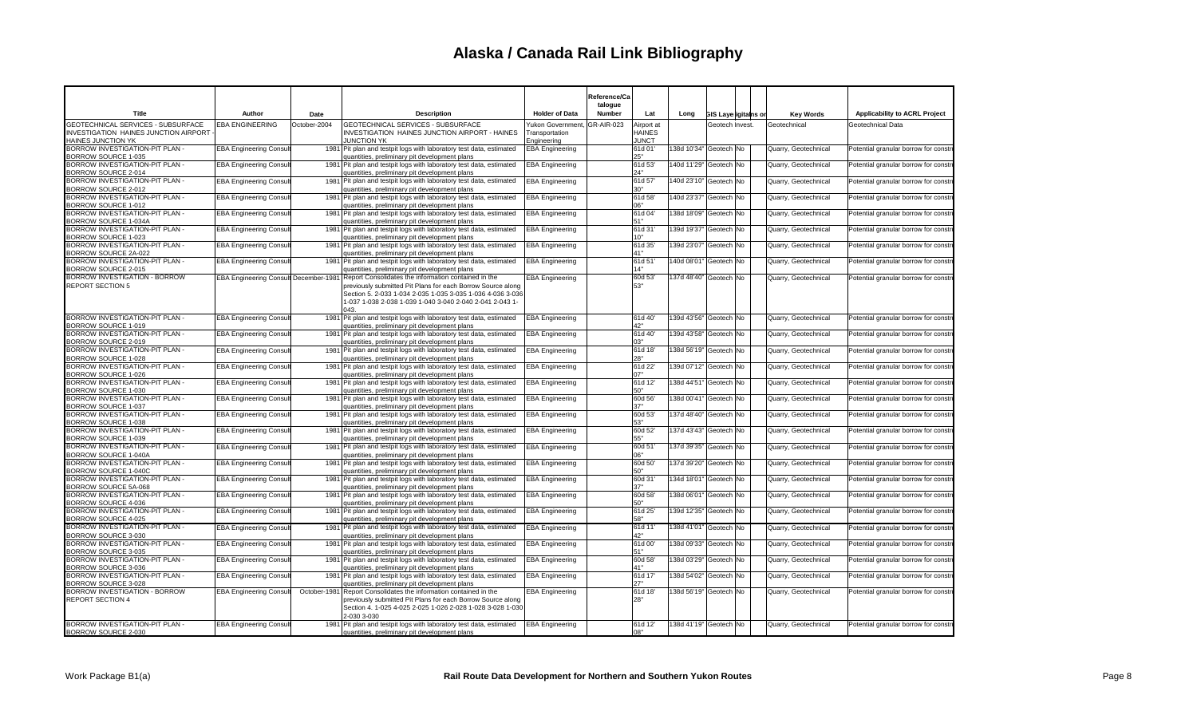|                                                                                           |                               |              |                                                                                                                                                                                                                                                                                             |                                   | Reference/Ca      |                             |                          |                             |                      |                                      |
|-------------------------------------------------------------------------------------------|-------------------------------|--------------|---------------------------------------------------------------------------------------------------------------------------------------------------------------------------------------------------------------------------------------------------------------------------------------------|-----------------------------------|-------------------|-----------------------------|--------------------------|-----------------------------|----------------------|--------------------------------------|
| Title                                                                                     | Author                        | Date         | <b>Description</b>                                                                                                                                                                                                                                                                          | <b>Holder of Data</b>             | talogue<br>Number | Lat                         | Long                     | <b>GIS Laye igitains or</b> | <b>Key Words</b>     | Applicability to ACRL Project        |
| <b>GEOTECHNICAL SERVICES - SUBSURFACE</b><br><b>INVESTIGATION HAINES JUNCTION AIRPORT</b> | <b>EBA ENGINEERING</b>        | October-2004 | <b>GEOTECHNICAL SERVICES - SUBSURFACE</b><br>INVESTIGATION HAINES JUNCTION AIRPORT - HAINES                                                                                                                                                                                                 | ukon Government<br>Transportation | GR-AIR-023        | Airport at<br><b>HAINES</b> |                          | Geotech Invest.             | Geotechnical         | Geotechnical Data                    |
| <b>HAINES JUNCTION YK</b>                                                                 |                               |              | <b>JUNCTION YK</b>                                                                                                                                                                                                                                                                          | Engineering                       |                   | <b>JUNCT</b>                |                          |                             |                      |                                      |
| BORROW INVESTIGATION-PIT PLAN -<br>BORROW SOURCE 1-035                                    | <b>EBA Engineering Consu</b>  |              | 1981 Pit plan and testpit logs with laboratory test data, estimated<br>quantities, preliminary pit development plans                                                                                                                                                                        | <b>EBA Engineering</b>            |                   | 61d 01<br>25"               | 138d 10'34" Geotech No   |                             | Quarry, Geotechnical | Potential granular borrow for constr |
| BORROW INVESTIGATION-PIT PLAN -<br>BORROW SOURCE 2-014                                    | <b>EBA Engineering Consu</b>  |              | 1981 Pit plan and testpit logs with laboratory test data, estimated<br>quantities, preliminary pit development plans                                                                                                                                                                        | <b>EBA Engineering</b>            |                   | 61d 53'<br>24"              | 140d 11'29"              | Geotech No                  | Quarry, Geotechnical | Potential granular borrow for constr |
| BORROW INVESTIGATION-PIT PLAN -<br>BORROW SOURCE 2-012                                    | <b>EBA Engineering Consul</b> |              | 1981 Pit plan and testpit logs with laboratory test data, estimated<br>quantities, preliminary pit development plans                                                                                                                                                                        | <b>EBA Engineering</b>            |                   | 61d 57<br>30"               | 140d 23'10" Geotech   No |                             | Quarry, Geotechnical | Potential granular borrow for constr |
| BORROW INVESTIGATION-PIT PLAN -<br>BORROW SOURCE 1-012                                    | <b>EBA Engineering Consul</b> |              | 1981 Pit plan and testpit logs with laboratory test data, estimated<br>quantities, preliminary pit development plans                                                                                                                                                                        | <b>EBA Engineering</b>            |                   | 61d 58'<br>"06              | 140d 23'37"              | Geotech <sup>INo</sup>      | Quarry, Geotechnical | Potential granular borrow for constr |
| BORROW INVESTIGATION-PIT PLAN -<br>BORROW SOURCE 1-034A                                   | <b>EBA Engineering Consul</b> |              | 1981 Pit plan and testpit logs with laboratory test data, estimated<br>quantities, preliminary pit development plans                                                                                                                                                                        | <b>EBA Engineering</b>            |                   | 61d 04'<br>51"              | 138d 18'09"              | Geotech No                  | Quarry, Geotechnical | Potential granular borrow for constr |
| BORROW INVESTIGATION-PIT PLAN -<br>BORROW SOURCE 1-023                                    | <b>EBA Engineering Consu</b>  |              | 1981 Pit plan and testpit logs with laboratory test data, estimated<br>quantities, preliminary pit development plans                                                                                                                                                                        | <b>EBA Engineering</b>            |                   | 61d 31<br>10"               | 139d 19'37"              | Geotech No                  | Quarry, Geotechnical | Potential granular borrow for constr |
| BORROW INVESTIGATION-PIT PLAN -<br>BORROW SOURCE 2A-022                                   | <b>EBA Engineering Consu</b>  |              | 1981 Pit plan and testpit logs with laboratory test data, estimated<br>quantities, preliminary pit development plans                                                                                                                                                                        | <b>EBA Engineering</b>            |                   | 61d 35'<br>41"              | 139d 23'07"              | Geotech No                  | Quarry, Geotechnical | Potential granular borrow for constr |
| BORROW INVESTIGATION-PIT PLAN -<br>BORROW SOURCE 2-015                                    | <b>EBA Engineering Consul</b> |              | 1981 Pit plan and testpit logs with laboratory test data, estimated<br>quantities, preliminary pit development plans                                                                                                                                                                        | <b>EBA Engineering</b>            |                   | 61d 51<br>14"               | 140d 08'01"              | Geotech No                  | Quarry, Geotechnical | Potential granular borrow for constr |
| BORROW INVESTIGATION - BORROW<br><b>REPORT SECTION 5</b>                                  |                               |              | EBA Engineering Consul  December-1981 Report Consolidates the information contained in the<br>previously submitted Pit Plans for each Borrow Source along<br>Section 5. 2-033 1-034 2-035 1-035 3-035 1-036 4-036 3-036<br>1-037 1-038 2-038 1-039 1-040 3-040 2-040 2-041 2-043 1-<br>043. | EBA Engineering                   |                   | 60d 53'<br>53"              | 137d 48'40" Geotech No   |                             | Quarry, Geotechnical | Potential granular borrow for constr |
| BORROW INVESTIGATION-PIT PLAN -<br>BORROW SOURCE 1-019                                    | <b>EBA Engineering Consu</b>  |              | 1981 Pit plan and testpit logs with laboratory test data, estimated<br>quantities, preliminary pit development plans                                                                                                                                                                        | <b>EBA Engineering</b>            |                   | 61d 40'<br>42"              | 139d 43'56" Geotech No   |                             | Quarry, Geotechnical | Potential granular borrow for constr |
| BORROW INVESTIGATION-PIT PLAN -<br>BORROW SOURCE 2-019                                    | <b>EBA Engineering Consu</b>  |              | 1981 Pit plan and testpit logs with laboratory test data, estimated<br>quantities, preliminary pit development plans                                                                                                                                                                        | <b>EBA Engineering</b>            |                   | 61d 40'<br>03"              | 139d 43'58"              | Geotech No                  | Quarry, Geotechnical | Potential granular borrow for constr |
| BORROW INVESTIGATION-PIT PLAN -<br>BORROW SOURCE 1-028                                    | <b>EBA Engineering Consul</b> |              | 1981 Pit plan and testpit logs with laboratory test data, estimated<br>quantities, preliminary pit development plans                                                                                                                                                                        | <b>EBA Engineering</b>            |                   | 61d 18'<br>28"              | 138d 56'19"              | Geotech <sup>INo</sup>      | Quarry, Geotechnical | Potential granular borrow for constr |
| BORROW INVESTIGATION-PIT PLAN -<br>BORROW SOURCE 1-026                                    | <b>EBA Engineering Consu</b>  |              | 1981 Pit plan and testpit logs with laboratory test data, estimated<br>quantities, preliminary pit development plans                                                                                                                                                                        | <b>EBA Engineering</b>            |                   | 61d 22'<br>07"              | 139d 07'12"              | Geotech <sup>No</sup>       | Quarry, Geotechnical | Potential granular borrow for constr |
| BORROW INVESTIGATION-PIT PLAN -<br>BORROW SOURCE 1-030                                    | <b>EBA Engineering Consul</b> |              | 1981 Pit plan and testpit logs with laboratory test data, estimated<br>quantities, preliminary pit development plans                                                                                                                                                                        | <b>EBA Engineering</b>            |                   | 61d 12'<br>50"              | 138d 44'51"              | Geotech No                  | Quarry, Geotechnical | Potential granular borrow for constr |
| BORROW INVESTIGATION-PIT PLAN -<br>BORROW SOURCE 1-037                                    | <b>EBA Engineering Consu</b>  |              | 1981 Pit plan and testpit logs with laboratory test data, estimated<br>quantities, preliminary pit development plans                                                                                                                                                                        | EBA Engineering                   |                   | 60d 56'<br>37"              | 138d 00'41"              | Geotech No                  | Quarry, Geotechnical | Potential granular borrow for constr |
| <b>BORROW INVESTIGATION-PIT PLAN</b><br>BORROW SOURCE 1-038                               | <b>EBA Engineering Consu</b>  |              | 1981 Pit plan and testpit logs with laboratory test data, estimated<br>quantities, preliminary pit development plans                                                                                                                                                                        | <b>EBA Engineering</b>            |                   | 60d 53'<br>53"              | 137d 48'40"              | Geotech <sup>INo</sup>      | Quarry, Geotechnical | Potential granular borrow for consti |
| BORROW INVESTIGATION-PIT PLAN -<br>BORROW SOURCE 1-039                                    | <b>EBA Engineering Consul</b> |              | 1981 Pit plan and testpit logs with laboratory test data, estimated<br>quantities, preliminary pit development plans                                                                                                                                                                        | <b>EBA Engineering</b>            |                   | 60d 52'<br>55"              | 137d 43'43" Geotech No   |                             | Quarry, Geotechnical | Potential granular borrow for constr |
| BORROW INVESTIGATION-PIT PLAN -<br>BORROW SOURCE 1-040A                                   | <b>EBA Engineering Consul</b> |              | 1981 Pit plan and testpit logs with laboratory test data, estimated<br>quantities, preliminary pit development plans                                                                                                                                                                        | <b>EBA Engineering</b>            |                   | 60d 51<br>06"               | 137d 39'35"              | Geotech No                  | Quarry, Geotechnical | Potential granular borrow for constr |
| BORROW INVESTIGATION-PIT PLAN -<br>BORROW SOURCE 1-040C                                   | <b>EBA Engineering Consul</b> |              | 1981 Pit plan and testpit logs with laboratory test data, estimated<br>quantities, preliminary pit development plans                                                                                                                                                                        | <b>EBA Engineering</b>            |                   | 60d 50'<br>50"              | 137d 39'20" Geotech No   |                             | Quarry, Geotechnical | Potential granular borrow for constr |
| BORROW INVESTIGATION-PIT PLAN -<br>BORROW SOURCE 5A-068                                   | <b>EBA Engineering Consu</b>  |              | 1981 Pit plan and testpit logs with laboratory test data, estimated<br>quantities, preliminary pit development plans                                                                                                                                                                        | <b>EBA Engineering</b>            |                   | 60d 31<br>37"               | 134d 18'01"              | Geotech No                  | Quarry, Geotechnical | Potential granular borrow for constr |
| BORROW INVESTIGATION-PIT PLAN -<br>BORROW SOURCE 4-036                                    | <b>EBA Engineering Consu</b>  |              | 1981 Pit plan and testpit logs with laboratory test data, estimated<br>quantities, preliminary pit development plans                                                                                                                                                                        | <b>EBA Engineering</b>            |                   | 60d 58'<br>50"              | 138d 06'01"              | Geotech No                  | Quarry, Geotechnical | Potential granular borrow for constr |
| BORROW INVESTIGATION-PIT PLAN -<br><b>BORROW SOURCE 4-025</b>                             | <b>EBA Engineering Consul</b> |              | 1981 Pit plan and testpit logs with laboratory test data, estimated<br>quantities, preliminary pit development plans                                                                                                                                                                        | <b>EBA Engineering</b>            |                   | 61d 25'<br>58"              | 139d 12'35"              | Geotech No                  | Quarry, Geotechnical | Potential granular borrow for constr |
| BORROW INVESTIGATION-PIT PLAN -<br>BORROW SOURCE 3-030                                    | <b>EBA Engineering Consu</b>  |              | 1981 Pit plan and testpit logs with laboratory test data, estimated<br>quantities, preliminary pit development plans                                                                                                                                                                        | <b>EBA Engineering</b>            |                   | 61d 11<br>42"               | 138d 41'01"              | Geotech <sup>No</sup>       | Quarry, Geotechnical | Potential granular borrow for constr |
| BORROW INVESTIGATION-PIT PLAN -<br><b>BORROW SOURCE 3-035</b>                             | <b>EBA Engineering Consu</b>  |              | 1981 Pit plan and testpit logs with laboratory test data, estimated<br>quantities, preliminary pit development plans                                                                                                                                                                        | <b>EBA Engineering</b>            |                   | 61d 00'<br>51"              | 138d 09'33"              | Geotech <sup>No</sup>       | Quarry, Geotechnical | Potential granular borrow for constr |
| BORROW INVESTIGATION-PIT PLAN -<br>BORROW SOURCE 3-036                                    | <b>EBA Engineering Consul</b> |              | 1981 Pit plan and testpit logs with laboratory test data, estimated<br>quantities, preliminary pit development plans                                                                                                                                                                        | <b>EBA Engineering</b>            |                   | 60d 58'<br>41"              | 138d 03'29"              | Geotech No                  | Quarry, Geotechnical | Potential granular borrow for constr |
| BORROW INVESTIGATION-PIT PLAN -<br>BORROW SOURCE 3-028                                    | <b>EBA Engineering Consu</b>  |              | 1981 Pit plan and testpit logs with laboratory test data, estimated<br>quantities, preliminary pit development plans                                                                                                                                                                        | <b>EBA Engineering</b>            |                   | 61d 17'<br>27"              | 138d 54'02"              | Geotech No                  | Quarry, Geotechnical | Potential granular borrow for constr |
| BORROW INVESTIGATION - BORROW<br><b>REPORT SECTION 4</b>                                  | <b>EBA Engineering Consul</b> |              | October-1981 Report Consolidates the information contained in the<br>previously submitted Pit Plans for each Borrow Source along<br>Section 4. 1-025 4-025 2-025 1-026 2-028 1-028 3-028 1-030<br>2-030 3-030                                                                               | <b>EBA Engineering</b>            |                   | 61d 18'<br>28"              | 138d 56'19" Geotech No   |                             | Quarry, Geotechnical | Potential granular borrow for constr |
| BORROW INVESTIGATION-PIT PLAN -<br>BORROW SOURCE 2-030                                    | <b>EBA Engineering Consu</b>  |              | 1981 Pit plan and testpit logs with laboratory test data, estimated<br>quantities, preliminary pit development plans                                                                                                                                                                        | <b>EBA Engineering</b>            |                   | 61d 12'<br>ገՋ"              | 138d 41'19" Geotech No   |                             | Quarry, Geotechnical | Potential granular borrow for constr |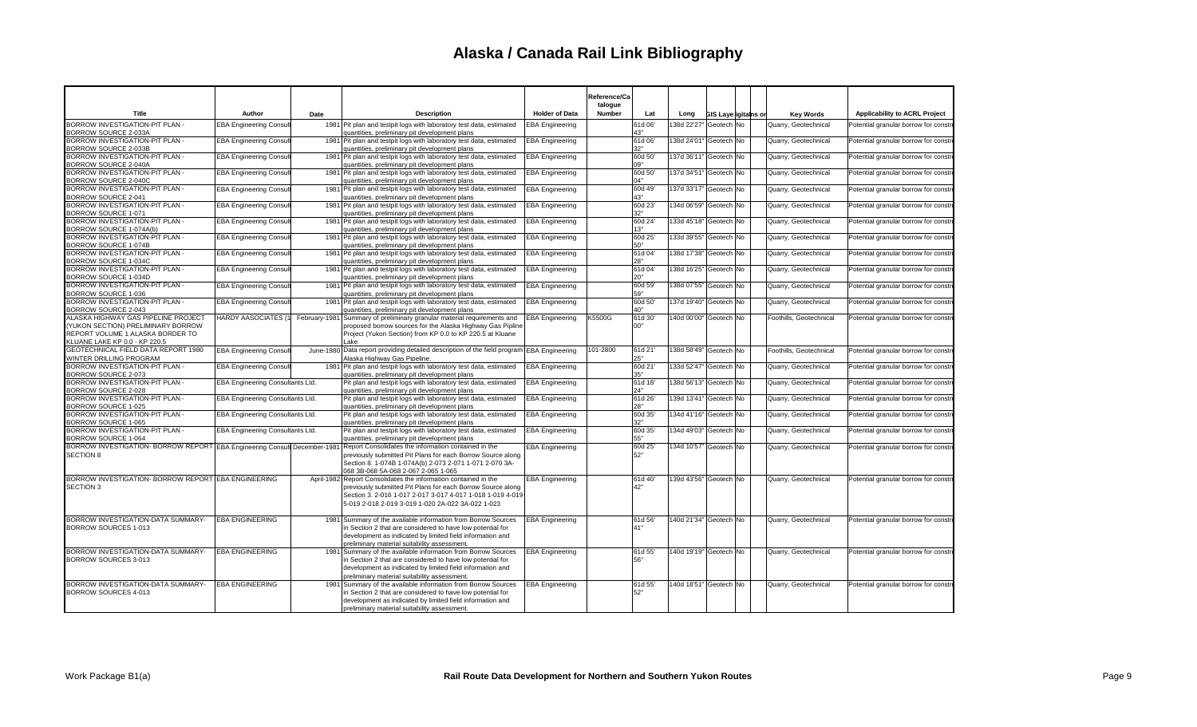|                                                                           |                                  |      |                                                                                                                                                                                                                                                                                          |                        | Reference/Ca<br>talogue |                  |                        |                      |                         |                                      |
|---------------------------------------------------------------------------|----------------------------------|------|------------------------------------------------------------------------------------------------------------------------------------------------------------------------------------------------------------------------------------------------------------------------------------------|------------------------|-------------------------|------------------|------------------------|----------------------|-------------------------|--------------------------------------|
| Title                                                                     | Author                           | Date | <b>Description</b>                                                                                                                                                                                                                                                                       | <b>Holder of Data</b>  | Number                  | Lat              | Long                   | GIS Layerigitains or | <b>Key Words</b>        | Applicability to ACRL Project        |
| BORROW INVESTIGATION-PIT PLAN -<br>BORROW SOURCE 2-033A                   | <b>EBA Engineering Consul</b>    |      | 1981 Pit plan and testpit logs with laboratory test data, estimated<br>quantities, preliminary pit development plans                                                                                                                                                                     | <b>EBA Engineering</b> |                         | 61d 06'<br>43"   | 138d 22'27" Geotech No |                      | Quarry, Geotechnical    | Potential granular borrow for constr |
| BORROW INVESTIGATION-PIT PLAN -<br><b>BORROW SOURCE 2-033B</b>            | <b>EBA Engineering Consul</b>    |      | 1981 Pit plan and testpit logs with laboratory test data, estimated<br>quantities, preliminary pit development plans                                                                                                                                                                     | <b>EBA</b> Engineering |                         | 61d 06'<br>32"   | 138d 24'01" Geotech No |                      | Quarry, Geotechnical    | Potential granular borrow for constr |
| BORROW INVESTIGATION-PIT PLAN -                                           | <b>EBA Engineering Consul</b>    |      | 1981   Pit plan and testpit logs with laboratory test data, estimated                                                                                                                                                                                                                    | <b>EBA</b> Engineering |                         | 60d 50           | 137d 36'11" Geotech No |                      | Quarry, Geotechnical    | Potential granular borrow for constr |
| BORROW SOURCE 2-040A<br>BORROW INVESTIGATION-PIT PLAN -                   | <b>EBA Engineering Consul</b>    |      | quantities, preliminary pit development plans<br>1981 Pit plan and testpit logs with laboratory test data, estimated                                                                                                                                                                     | <b>EBA Engineering</b> |                         | 09"<br>60d 50'   | 137d 34'51" Geotech No |                      | Quarry, Geotechnical    | Potential granular borrow for constr |
| BORROW SOURCE 2-040C<br>BORROW INVESTIGATION-PIT PLAN -                   | <b>EBA Engineering Consul</b>    |      | quantities, preliminary pit development plans<br>1981 Pit plan and testpit logs with laboratory test data, estimated                                                                                                                                                                     | <b>EBA Engineering</b> |                         | 04"<br>60d 49    | 137d 33'17" Geotech No |                      | Quarry, Geotechnical    | Potential granular borrow for constr |
| BORROW SOURCE 2-041<br>BORROW INVESTIGATION-PIT PLAN -                    | <b>EBA Engineering Consult</b>   |      | quantities, preliminary pit development plans<br>1981 Pit plan and testpit logs with laboratory test data, estimated                                                                                                                                                                     | <b>EBA</b> Engineering |                         | 43"<br>60d 23'   | 134d 06'59" Geotech No |                      | Quarry, Geotechnical    | Potential granular borrow for constr |
| BORROW SOURCE 1-071<br>BORROW INVESTIGATION-PIT PLAN -                    | <b>EBA Engineering Consul</b>    |      | quantities, preliminary pit development plans<br>1981   Pit plan and testpit logs with laboratory test data, estimated                                                                                                                                                                   | <b>EBA Engineering</b> |                         | 32"<br>60d 24    | 133d 45'18" Geotech No |                      | Quarry, Geotechnical    | Potential granular borrow for constr |
| BORROW SOURCE 1-074A(b)<br>BORROW INVESTIGATION-PIT PLAN -                | <b>EBA Engineering Consult</b>   |      | quantities, preliminary pit development plans<br>1981 Pit plan and testpit logs with laboratory test data, estimated                                                                                                                                                                     | <b>EBA Engineering</b> |                         | 13"<br>60d 25'   | 133d 39'55" Geotech No |                      | Quarry, Geotechnical    | Potential granular borrow for constr |
| BORROW SOURCE 1-074B<br>BORROW INVESTIGATION-PIT PLAN -                   | <b>EBA Engineering Consul</b>    |      | quantities, preliminary pit development plans<br>1981 Pit plan and testpit logs with laboratory test data, estimated                                                                                                                                                                     | <b>EBA</b> Engineering |                         | 50"<br>61d 04    | 138d 17'38" Geotech No |                      | Quarry, Geotechnical    | Potential granular borrow for constr |
| BORROW SOURCE 1-034C                                                      |                                  |      | quantities, preliminary pit development plans                                                                                                                                                                                                                                            |                        |                         | 28"              |                        |                      |                         |                                      |
| BORROW INVESTIGATION-PIT PLAN -<br>BORROW SOURCE 1-034D                   | <b>EBA Engineering Consult</b>   |      | 1981 Pit plan and testpit logs with laboratory test data, estimated<br>quantities, preliminary pit development plans                                                                                                                                                                     | <b>EBA Engineering</b> |                         | 61d 04<br>20"    | 138d 16'25" Geotech No |                      | Quarry, Geotechnical    | Potential granular borrow for constr |
| BORROW INVESTIGATION-PIT PLAN -<br>BORROW SOURCE 1-036                    | <b>EBA Engineering Consul</b>    |      | 1981 Pit plan and testpit logs with laboratory test data, estimated<br>quantities, preliminary pit development plans                                                                                                                                                                     | <b>EBA Engineering</b> |                         | 60d 59'<br>59"   | 138d 07'55" Geotech No |                      | Quarry, Geotechnical    | Potential granular borrow for constr |
| BORROW INVESTIGATION-PIT PLAN -<br>BORROW SOURCE 2-043                    | <b>EBA Engineering Consul</b>    |      | 1981 Pit plan and testpit logs with laboratory test data, estimated<br>quantities, preliminary pit development plans                                                                                                                                                                     | <b>EBA Engineering</b> |                         | 60d 50'<br>40"   | 137d 19'40" Geotech No |                      | Quarry, Geotechnical    | Potential granular borrow for constr |
| ALASKA HIGHWAY GAS PIPELINE PROJECT<br>(YUKON SECTION) PRELIMINARY BORROW | <b>HARDY AASOCIATES (1)</b>      |      | February-1981 Summary of preliminary granular material requirements and<br>proposed borrow sources for the Alaska Highway Gas Pipline                                                                                                                                                    | <b>EBA</b> Engineering | K5500G                  | 61d 30'<br>00"   | 140d 00'00" Geotech No |                      | Foothills, Geotechnical | Potential granular borrow for constr |
| REPORT VOLUME 1 ALASKA BORDER TO<br>KLUANE LAKE KP 0.0 - KP 220.5         |                                  |      | Project (Yukon Section) from KP 0.0 to KP 220.5 at Kluane<br>Lake                                                                                                                                                                                                                        |                        |                         |                  |                        |                      |                         |                                      |
| GEOTECHNICAL FIELD DATA REPORT 1980<br>WINTER DRILLING PROGRAM            | <b>EBA Engineering Consul</b>    |      | June-1980 Data report providing detailed description of the field program EBA Engineering<br>Alaska Highway Gas Pipeline.                                                                                                                                                                |                        | 101-2800                | 61d 21<br>25"    | 138d 58'49" Geotech No |                      | Foothills, Geotechnical | Potential granular borrow for constr |
| BORROW INVESTIGATION-PIT PLAN -<br>BORROW SOURCE 2-073                    | <b>EBA Engineering Consul</b>    |      | 1981 Pit plan and testpit logs with laboratory test data, estimated<br>quantities, preliminary pit development plans                                                                                                                                                                     | <b>EBA Engineering</b> |                         | 60d 21<br>35"    | 133d 52'47" Geotech No |                      | Quarry, Geotechnical    | Potential granular borrow for constr |
| BORROW INVESTIGATION-PIT PLAN -<br>BORROW SOURCE 2-028                    | EBA Engineering Consultants Ltd. |      | Pit plan and testpit logs with laboratory test data, estimated<br>quantities, preliminary pit development plans                                                                                                                                                                          | <b>EBA</b> Engineering |                         | 61d 18'<br>24"   | 138d 56'13" Geotech No |                      | Quarry, Geotechnical    | Potential granular borrow for constr |
| BORROW INVESTIGATION-PIT PLAN -<br>BORROW SOURCE 1-025                    | EBA Engineering Consultants Ltd. |      | Pit plan and testpit logs with laboratory test data, estimated<br>quantities, preliminary pit development plans                                                                                                                                                                          | <b>EBA Engineering</b> |                         | 61d 26'<br>28"   | 139d 13'41" Geotech No |                      | Quarry, Geotechnical    | Potential granular borrow for constr |
| BORROW INVESTIGATION-PIT PLAN -<br>BORROW SOURCE 1-065                    | EBA Engineering Consultants Ltd. |      | Pit plan and testpit logs with laboratory test data, estimated                                                                                                                                                                                                                           | <b>EBA Engineering</b> |                         | 60d 35'<br>32"   | 134d 41'16" Geotech No |                      | Quarry, Geotechnical    | Potential granular borrow for constr |
| BORROW INVESTIGATION-PIT PLAN -                                           | EBA Engineering Consultants Ltd. |      | quantities, preliminary pit development plans<br>Pit plan and testpit logs with laboratory test data, estimated                                                                                                                                                                          | <b>EBA Engineering</b> |                         | 60d 35'          | 134d 49'03" Geotech No |                      | Quarry, Geotechnical    | Potential granular borrow for constr |
| BORROW SOURCE 1-064                                                       |                                  |      | quantities, preliminary pit development plans<br>BORROW INVESTIGATION- BORROW REPORT EBA Engineering Consul December-1981 Report Consolidates the information contained in the                                                                                                           | <b>EBA Engineering</b> |                         | $55"$<br>60d 25' | 134d 10'57" Geotech No |                      | Quarry, Geotechnical    | Potential granular borrow for constr |
| <b>SECTION 8</b>                                                          |                                  |      | previously submitted Pit Plans for each Borrow Source along<br>Section 8. 1-074B 1-074A(b) 2-073 2-071 1-071 2-070 3A-<br>068 3B-068 5A-068 2-067 2-065 1-065                                                                                                                            |                        |                         | 52"              |                        |                      |                         |                                      |
| BORROW INVESTIGATION- BORROW REPORT EBA ENGINEERING<br><b>SECTION 3</b>   |                                  |      | April-1982 Report Consolidates the information contained in the<br>previously submitted Pit Plans for each Borrow Source along<br>Section 3. 2-016 1-017 2-017 3-017 4-017 1-018 1-019 4-019<br>5-019 2-018 2-019 3-019 1-020 2A-022 3A-022 1-023                                        | <b>EBA Engineering</b> |                         | 61d 40'<br>42"   | 139d 43'56" Geotech No |                      | Quarry, Geotechnical    | Potential granular borrow for constr |
| BORROW INVESTIGATION-DATA SUMMARY-<br><b>BORROW SOURCES 1-013</b>         | <b>EBA ENGINEERING</b>           |      | 1981 Summary of the available information from Borrow Sources<br>in Section 2 that are considered to have low potential for<br>development as indicated by limited field information and                                                                                                 | <b>EBA Engineering</b> |                         | 61d 56'<br>41"   | 140d 21'34" Geotech No |                      | Quarry, Geotechnical    | Potential granular borrow for constr |
| BORROW INVESTIGATION-DATA SUMMARY-<br>BORROW SOURCES 3-013                | <b>EBA ENGINEERING</b>           |      | preliminary material suitability assessment.<br>1981 Summary of the available information from Borrow Sources<br>in Section 2 that are considered to have low potential for<br>development as indicated by limited field information and<br>preliminary material suitability assessment. | <b>EBA Engineering</b> |                         | 61d 55'<br>56"   | 140d 19'19" Geotech No |                      | Quarry, Geotechnical    | Potential granular borrow for constr |
| BORROW INVESTIGATION-DATA SUMMARY-<br>BORROW SOURCES 4-013                | <b>EBA ENGINEERING</b>           |      | 1981 Summary of the available information from Borrow Sources<br>in Section 2 that are considered to have low potential for<br>development as indicated by limited field information and<br>preliminary material suitability assessment.                                                 | <b>EBA Engineering</b> |                         | 61d 55'<br>52"   | 140d 18'51" Geotech No |                      | Quarry, Geotechnical    | Potential granular borrow for constr |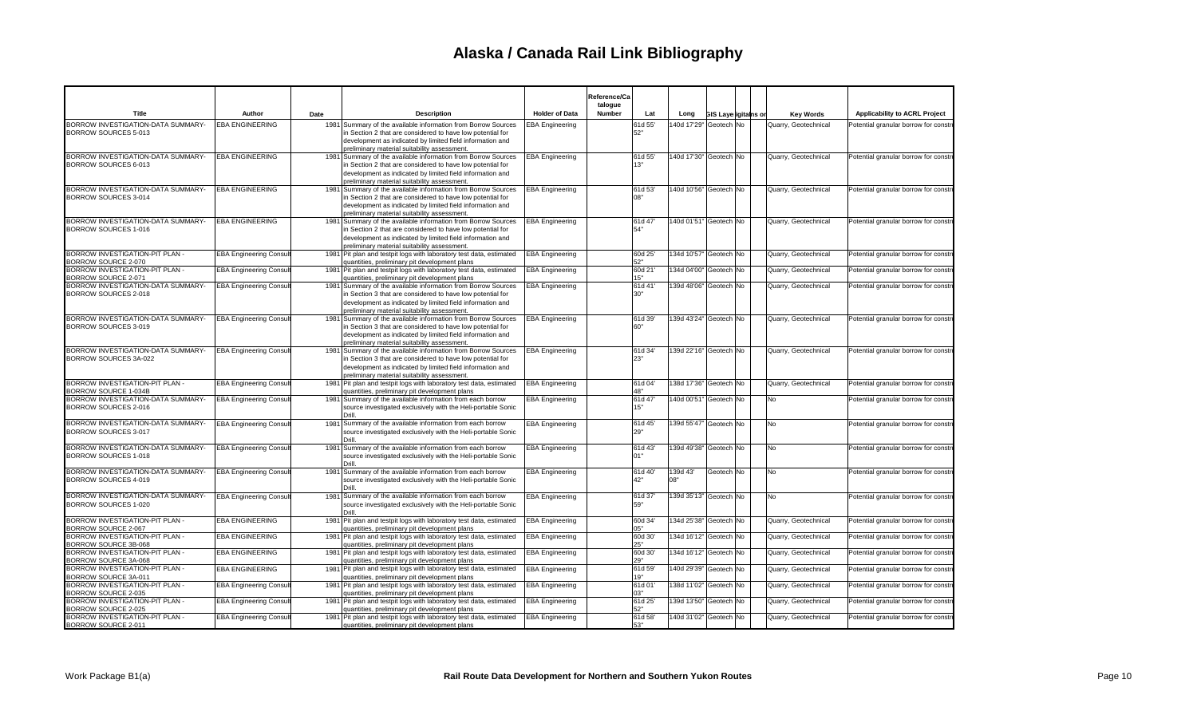|                                                             |                               |      |                                                                                                                                                                                                                                          |                        | Reference/Ca<br>talogue |                        |                             |           |                      |                                      |
|-------------------------------------------------------------|-------------------------------|------|------------------------------------------------------------------------------------------------------------------------------------------------------------------------------------------------------------------------------------------|------------------------|-------------------------|------------------------|-----------------------------|-----------|----------------------|--------------------------------------|
| Title                                                       | Author                        | Date | <b>Description</b>                                                                                                                                                                                                                       | <b>Holder of Data</b>  | Number<br>Lat           | Long                   | <b>GIS Layerigitains or</b> |           | <b>Key Words</b>     | Applicability to ACRL Project        |
| BORROW INVESTIGATION-DATA SUMMARY-<br>BORROW SOURCES 5-013  | <b>EBA ENGINEERING</b>        |      | 1981 Summary of the available information from Borrow Sources<br>in Section 2 that are considered to have low potential for<br>development as indicated by limited field information and<br>preliminary material suitability assessment. | <b>EBA Engineering</b> | 61d 55'<br>52"          | 140d 17'29" Geotech No |                             |           | Quarry, Geotechnical | Potential granular borrow for constr |
| BORROW INVESTIGATION-DATA SUMMARY-<br>BORROW SOURCES 6-013  | <b>EBA ENGINEERING</b>        |      | 1981 Summary of the available information from Borrow Sources<br>in Section 2 that are considered to have low potential for<br>development as indicated by limited field information and<br>preliminary material suitability assessment. | <b>EBA Engineering</b> | 61d 55'<br>13"          | 140d 17'30" Geotech No |                             |           | Quarry, Geotechnical | Potential granular borrow for constr |
| BORROW INVESTIGATION-DATA SUMMARY-<br>BORROW SOURCES 3-014  | <b>EBA ENGINEERING</b>        |      | 1981 Summary of the available information from Borrow Sources<br>in Section 2 that are considered to have low potential for<br>development as indicated by limited field information and<br>oreliminary material suitability assessment  | EBA Engineering        | 61d 53'<br>08"          | 140d 10'56" Geotech No |                             |           | Quarry, Geotechnical | Potential granular borrow for constr |
| BORROW INVESTIGATION-DATA SUMMARY-<br>BORROW SOURCES 1-016  | <b>EBA ENGINEERING</b>        |      | 1981 Summary of the available information from Borrow Sources<br>in Section 2 that are considered to have low potential for<br>development as indicated by limited field information and<br>preliminary material suitability assessment. | <b>EBA Engineering</b> | 61d 47<br>54"           | 140d 01'51" Geotech No |                             |           | Quarry, Geotechnical | Potential granular borrow for constr |
| BORROW INVESTIGATION-PIT PLAN -<br>BORROW SOURCE 2-070      | <b>EBA Engineering Consul</b> |      | 1981 Pit plan and testpit logs with laboratory test data, estimated<br>quantities, preliminary pit development plans                                                                                                                     | <b>EBA Engineering</b> | 60d 25'<br>52"          | 134d 10'57" Geotech No |                             |           | Quarry, Geotechnical | Potential granular borrow for constr |
| BORROW INVESTIGATION-PIT PLAN -<br>BORROW SOURCE 2-071      | <b>EBA Engineering Consul</b> |      | 1981 Pit plan and testpit logs with laboratory test data, estimated<br>quantities, preliminary pit development plans                                                                                                                     | <b>EBA Engineering</b> | 60d 21'<br>15"          | 134d 04'00" Geotech No |                             |           | Quarry, Geotechnical | Potential granular borrow for constr |
| BORROW INVESTIGATION-DATA SUMMARY-<br>BORROW SOURCES 2-018  | <b>EBA Engineering Consul</b> |      | 1981 Summary of the available information from Borrow Sources<br>in Section 3 that are considered to have low potential for<br>development as indicated by limited field information and<br>preliminary material suitability assessment. | <b>EBA Engineering</b> | 61d 41<br>30"           | 139d 48'06" Geotech No |                             |           | Quarry, Geotechnical | Potential granular borrow for constr |
| BORROW INVESTIGATION-DATA SUMMARY-<br>BORROW SOURCES 3-019  | <b>EBA Engineering Consul</b> |      | 1981 Summary of the available information from Borrow Sources<br>in Section 3 that are considered to have low potential for<br>development as indicated by limited field information and<br>preliminary material suitability assessment. | <b>EBA Engineering</b> | 61d 39<br>60"           | 139d 43'24" Geotech No |                             |           | Quarry, Geotechnical | Potential granular borrow for constr |
| BORROW INVESTIGATION-DATA SUMMARY-<br>BORROW SOURCES 3A-022 | <b>EBA Engineering Consu</b>  |      | 1981 Summary of the available information from Borrow Sources<br>in Section 3 that are considered to have low potential for<br>development as indicated by limited field information and<br>preliminary material suitability assessment. | <b>EBA Engineering</b> | 61d 34<br>23"           | 139d 22'16" Geotech No |                             |           | Quarry, Geotechnical | Potential granular borrow for constr |
| BORROW INVESTIGATION-PIT PLAN -<br>BORROW SOURCE 1-034B     | <b>EBA Engineering Consu</b>  |      | 1981 Pit plan and testpit logs with laboratory test data, estimated<br>quantities, preliminary pit development plans                                                                                                                     | <b>EBA Engineering</b> | 61d 04<br>48"           | 138d 17'36" Geotech No |                             |           | Quarry, Geotechnical | Potential granular borrow for constr |
| BORROW INVESTIGATION-DATA SUMMARY-<br>BORROW SOURCES 2-016  | <b>EBA Engineering Consul</b> |      | 1981 Summary of the available information from each borrow<br>source investigated exclusively with the Heli-portable Sonic<br>Drill                                                                                                      | <b>EBA Engineering</b> | 61d 47<br>15"           | 140d 00'51" Geotech No |                             | <b>No</b> |                      | Potential granular borrow for constr |
| BORROW INVESTIGATION-DATA SUMMARY-<br>BORROW SOURCES 3-017  | <b>EBA Engineering Consul</b> |      | 1981 Summary of the available information from each borrow<br>source investigated exclusively with the Heli-portable Sonic                                                                                                               | <b>EBA Engineering</b> | 61d 45'<br>29"          | 139d 55'47" Geotech No |                             | No        |                      | Potential granular borrow for constr |
| BORROW INVESTIGATION-DATA SUMMARY-<br>BORROW SOURCES 1-018  | <b>EBA Engineering Consul</b> |      | 1981 Summary of the available information from each borrow<br>source investigated exclusively with the Heli-portable Sonic<br>Drill                                                                                                      | <b>EBA Engineering</b> | 61d 43<br>01"           | 139d 49'38" Geotech No |                             | No        |                      | Potential granular borrow for constr |
| BORROW INVESTIGATION-DATA SUMMARY-<br>BORROW SOURCES 4-019  | <b>EBA Engineering Consul</b> |      | 1981 Summary of the available information from each borrow<br>source investigated exclusively with the Heli-portable Sonic<br>Drill                                                                                                      | EBA Engineering        | 61d 40'<br>42"          | 139d 43'<br>08"        | Geotech No                  | No        |                      | Potential granular borrow for constr |
| BORROW INVESTIGATION-DATA SUMMARY-<br>BORROW SOURCES 1-020  | <b>EBA Engineering Consul</b> |      | 1981 Summary of the available information from each borrow<br>source investigated exclusively with the Heli-portable Sonic                                                                                                               | <b>EBA Engineering</b> | 61d 37<br>59"           | 139d 35'13" Geotech No |                             | No        |                      | Potential granular borrow for constr |
| BORROW INVESTIGATION-PIT PLAN -<br>BORROW SOURCE 2-067      | <b>EBA ENGINEERING</b>        |      | 1981 Pit plan and testpit logs with laboratory test data, estimated<br>quantities, preliminary pit development plans                                                                                                                     | <b>EBA Engineering</b> | 60d 34<br>05"           | 134d 25'38" Geotech No |                             |           | Quarry, Geotechnical | Potential granular borrow for constr |
| BORROW INVESTIGATION-PIT PLAN -<br>BORROW SOURCE 3B-068     | <b>EBA ENGINEERING</b>        |      | 1981 Pit plan and testpit logs with laboratory test data, estimated<br>quantities, preliminary pit development plans                                                                                                                     | <b>EBA Engineering</b> | 60d 30'<br>25"          | 134d 16'12" Geotech No |                             |           | Quarry, Geotechnical | Potential granular borrow for constr |
| BORROW INVESTIGATION-PIT PLAN -<br>BORROW SOURCE 3A-068     | <b>EBA ENGINEERING</b>        |      | 1981 Pit plan and testpit logs with laboratory test data, estimated<br>quantities, preliminary pit development plans                                                                                                                     | <b>EBA Engineering</b> | 60d 30'<br>29"          | 134d 16'12" Geotech No |                             |           | Quarry, Geotechnical | Potential granular borrow for constr |
| BORROW INVESTIGATION-PIT PLAN -<br>BORROW SOURCE 3A-011     | <b>EBA ENGINEERING</b>        |      | 1981 Pit plan and testpit logs with laboratory test data, estimated<br>quantities, preliminary pit development plans                                                                                                                     | <b>EBA Engineering</b> | 61d 59<br>19"           | 140d 29'39" Geotech No |                             |           | Quarry, Geotechnical | Potential granular borrow for constr |
| BORROW INVESTIGATION-PIT PLAN -<br>BORROW SOURCE 2-035      | <b>EBA Engineering Consu</b>  |      | 1981 Pit plan and testpit logs with laboratory test data, estimated<br>quantities, preliminary pit development plans                                                                                                                     | <b>EBA Engineering</b> | 61d 01'<br>03"          | 138d 11'02" Geotech No |                             |           | Quarry, Geotechnical | Potential granular borrow for constr |
| BORROW INVESTIGATION-PIT PLAN -<br>BORROW SOURCE 2-025      | <b>EBA Engineering Consul</b> |      | 1981 Pit plan and testpit logs with laboratory test data, estimated<br>quantities, preliminary pit development plans                                                                                                                     | <b>EBA Engineering</b> | 61d 25'<br>52"          | 139d 13'50" Geotech No |                             |           | Quarry, Geotechnical | Potential granular borrow for constr |
| BORROW INVESTIGATION-PIT PLAN -<br>BORROW SOURCE 2-011      | <b>EBA Engineering Consul</b> |      | 1981 Pit plan and testpit logs with laboratory test data, estimated<br>quantities, preliminary pit development plans                                                                                                                     | <b>EBA Engineering</b> | 61d 58'<br>53"          | 140d 31'02" Geotech No |                             |           | Quarry, Geotechnical | Potential granular borrow for constr |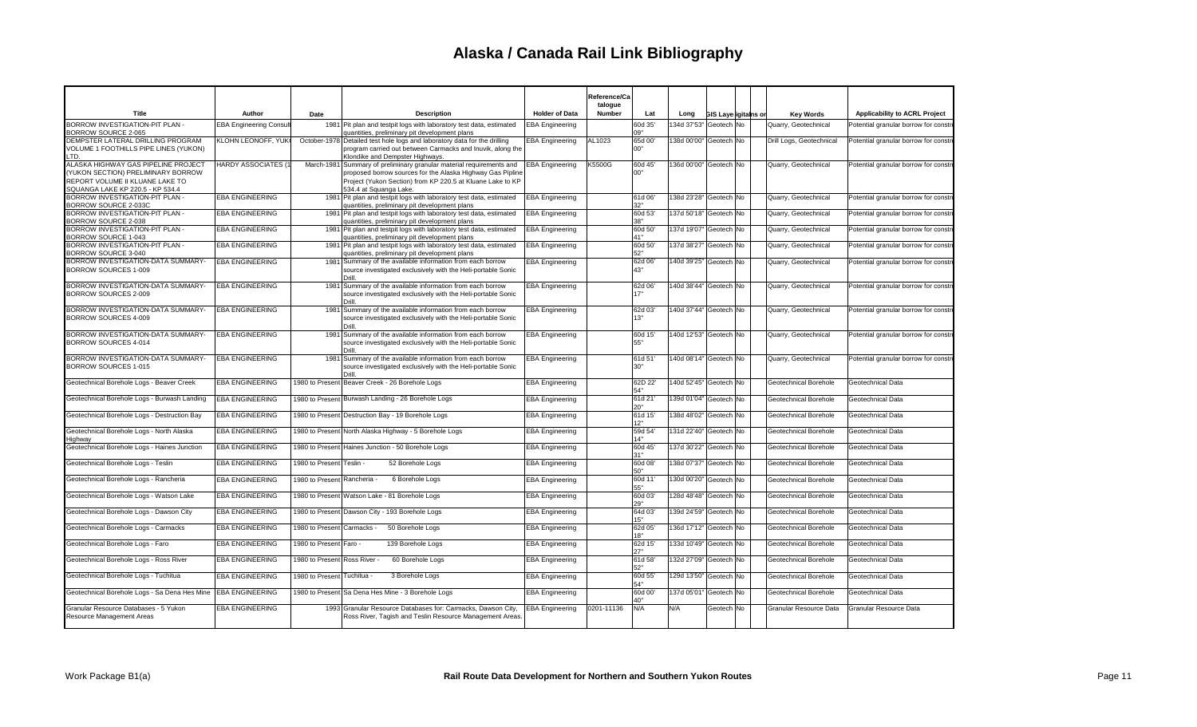|                                                                                                                                                  |                                                  |                                                       |                                                                                                                                                                                                                            |                                                  | Reference/Ca<br>talogue |                           |                                                      |                             |                                                |                                        |
|--------------------------------------------------------------------------------------------------------------------------------------------------|--------------------------------------------------|-------------------------------------------------------|----------------------------------------------------------------------------------------------------------------------------------------------------------------------------------------------------------------------------|--------------------------------------------------|-------------------------|---------------------------|------------------------------------------------------|-----------------------------|------------------------------------------------|----------------------------------------|
| Title                                                                                                                                            | Author                                           | Date                                                  | <b>Description</b>                                                                                                                                                                                                         | <b>Holder of Data</b>                            | Number                  | Lat                       | Long                                                 | <b>GIS Layerigitains or</b> | <b>Key Words</b>                               | Applicability to ACRL Project          |
| BORROW INVESTIGATION-PIT PLAN -<br>BORROW SOURCE 2-065                                                                                           | <b>EBA Engineering Consult</b>                   |                                                       | 1981 Pit plan and testpit logs with laboratory test data, estimated<br>quantities, preliminary pit development plans                                                                                                       | <b>EBA</b> Engineering                           |                         | 60d 35'<br>09"            | 134d 37'53" Geotech No                               |                             | Quarry, Geotechnical                           | Potential granular borrow for constr   |
| DEMPSTER LATERAL DRILLING PROGRAM<br>VOLUME 1 FOOTHILLS PIPE LINES (YUKON)<br>TD.                                                                | KLOHN LEONOFF, YUK                               |                                                       | October-1978 Detailed test hole logs and laboratory data for the drilling<br>program carried out between Carmacks and Inuvik, along the<br>Klondike and Dempster Highways.                                                 | <b>EBA Engineering</b>                           | AL1023                  | 65d 00'<br>00"            | 138d 00'00" Geotech No                               |                             | Drill Logs, Geotechnical                       | Potential granular borrow for constr   |
| ALASKA HIGHWAY GAS PIPELINE PROJECT<br>(YUKON SECTION) PRELIMINARY BORROW<br>REPORT VOLUME II KLUANE LAKE TO<br>SQUANGA LAKE KP 220.5 - KP 534.4 | <b>HARDY ASSOCIATES (1)</b>                      |                                                       | March-1981 Summary of preliminary granular material requirements and<br>proposed borrow sources for the Alaska Highway Gas Pipline<br>Project (Yukon Section) from KP 220.5 at Kluane Lake to KP<br>534.4 at Squanga Lake. | <b>EBA Engineering</b>                           | K5500G                  | 60d 45'<br>00"            | 136d 00'00" Geotech No                               |                             | Quarry, Geotechnical                           | Potential granular borrow for constr   |
| BORROW INVESTIGATION-PIT PLAN -<br>BORROW SOURCE 2-033C                                                                                          | <b>EBA ENGINEERING</b>                           |                                                       | 1981 Pit plan and testpit logs with laboratory test data, estimated<br>quantities, preliminary pit development plans                                                                                                       | <b>EBA</b> Engineering                           |                         | 61d 06'<br>32"            | 138d 23'28" Geotech No                               |                             | Quarry, Geotechnical                           | Potential granular borrow for constr   |
| BORROW INVESTIGATION-PIT PLAN -<br>BORROW SOURCE 2-038                                                                                           | <b>EBA ENGINEERING</b>                           |                                                       | 1981 Pit plan and testpit logs with laboratory test data, estimated<br>quantities, preliminary pit development plans                                                                                                       | <b>EBA Engineering</b>                           |                         | 60d 53'<br>38"            | 137d 50'18" Geotech No                               |                             | Quarry, Geotechnical                           | Potential granular borrow for constr   |
| BORROW INVESTIGATION-PIT PLAN -<br>BORROW SOURCE 1-043                                                                                           | <b>EBA ENGINEERING</b>                           |                                                       | 1981 Pit plan and testpit logs with laboratory test data, estimated<br>quantities, preliminary pit development plans                                                                                                       | <b>EBA</b> Engineering                           |                         | 60d 50'<br>41"            | 137d 19'07" Geotech No                               |                             | Quarry, Geotechnical                           | Potential granular borrow for constr   |
| BORROW INVESTIGATION-PIT PLAN -<br>BORROW SOURCE 3-040                                                                                           | <b>EBA ENGINEERING</b>                           |                                                       | 1981 Pit plan and testpit logs with laboratory test data, estimated<br>quantities, preliminary pit development plans                                                                                                       | <b>EBA</b> Engineering                           |                         | 60d 50'<br>52"            | 137d 38'27" Geotech No                               |                             | Quarry, Geotechnical                           | Potential granular borrow for constr   |
| BORROW INVESTIGATION-DATA SUMMARY-<br>BORROW SOURCES 1-009                                                                                       | <b>EBA ENGINEERING</b>                           |                                                       | 1981 Summary of the available information from each borrow<br>source investigated exclusively with the Heli-portable Sonic<br>Drill                                                                                        | <b>EBA Engineering</b>                           |                         | 62d 06'<br>43"            | 140d 39'25" Geotech No                               |                             | Quarry, Geotechnical                           | Potential granular borrow for constr   |
| BORROW INVESTIGATION-DATA SUMMARY-<br>BORROW SOURCES 2-009                                                                                       | <b>EBA ENGINEERING</b>                           |                                                       | 1981 Summary of the available information from each borrow<br>source investigated exclusively with the Heli-portable Sonic<br>Drill                                                                                        | <b>EBA Engineering</b>                           |                         | 62d 06'<br>17"            | 140d 38'44" Geotech No                               |                             | Quarry, Geotechnical                           | Potential granular borrow for constr   |
| BORROW INVESTIGATION-DATA SUMMARY-<br>BORROW SOURCES 4-009                                                                                       | <b>EBA ENGINEERING</b>                           |                                                       | 1981 Summary of the available information from each borrow<br>source investigated exclusively with the Heli-portable Sonic<br>Drill.                                                                                       | <b>EBA Engineering</b>                           |                         | 62d 03'<br>13"            | 140d 37'44" Geotech No                               |                             | Quarry, Geotechnical                           | Potential granular borrow for constr   |
| BORROW INVESTIGATION-DATA SUMMARY-<br>BORROW SOURCES 4-014                                                                                       | <b>EBA ENGINEERING</b>                           |                                                       | 1981 Summary of the available information from each borrow<br>source investigated exclusively with the Heli-portable Sonic<br>Drill.                                                                                       | <b>EBA Engineering</b>                           |                         | 60d 15<br>55"             | 140d 12'53" Geotech No                               |                             | Quarry, Geotechnical                           | Potential granular borrow for constr   |
| BORROW INVESTIGATION-DATA SUMMARY-<br>BORROW SOURCES 1-015                                                                                       | <b>EBA ENGINEERING</b>                           |                                                       | 1981 Summary of the available information from each borrow<br>source investigated exclusively with the Heli-portable Sonic<br>Drill                                                                                        | <b>EBA Engineering</b>                           |                         | 61d 51'<br>30"            | 140d 08'14" Geotech No                               |                             | Quarry, Geotechnical                           | Potential granular borrow for constr   |
| Geotechnical Borehole Logs - Beaver Creek                                                                                                        | <b>EBA ENGINEERING</b>                           |                                                       | 1980 to Present Beaver Creek - 26 Borehole Logs                                                                                                                                                                            | <b>EBA Engineering</b>                           |                         | 62D 22<br>54"             | 140d 52'45" Geotech No                               |                             | Geotechnical Borehole                          | Geotechnical Data                      |
| Geotechnical Borehole Logs - Burwash Landing                                                                                                     | <b>EBA ENGINEERING</b>                           |                                                       | 1980 to Present Burwash Landing - 26 Borehole Logs                                                                                                                                                                         | <b>EBA Engineering</b>                           |                         | 61d 21<br>20"             | 139d 01'04" Geotech No                               |                             | Geotechnical Borehole                          | Geotechnical Data                      |
| Geotechnical Borehole Logs - Destruction Bay                                                                                                     | <b>EBA ENGINEERING</b>                           |                                                       | 1980 to Present Destruction Bay - 19 Borehole Logs                                                                                                                                                                         | <b>EBA Engineering</b>                           |                         | 61d 15'<br>12"            | 138d 48'02" Geotech No                               |                             | Geotechnical Borehole                          | Geotechnical Data                      |
| Geotechnical Borehole Logs - North Alaska<br>Highway                                                                                             | <b>EBA ENGINEERING</b>                           |                                                       | 1980 to Present North Alaska Highway - 5 Borehole Logs                                                                                                                                                                     | <b>EBA Engineering</b>                           |                         | 59d 54<br>14"             | 131d 22'40" Geotech No                               |                             | Geotechnical Borehole                          | Geotechnical Data                      |
| Geotechnical Borehole Logs - Haines Junction                                                                                                     | <b>EBA ENGINEERING</b>                           |                                                       | 1980 to Present Haines Junction - 50 Borehole Logs                                                                                                                                                                         | <b>EBA Engineering</b>                           |                         | 60d 45'<br>31"            | 137d 30'22" Geotech No                               |                             | Geotechnical Borehole                          | Geotechnical Data                      |
| Geotechnical Borehole Logs - Teslin<br>Geotechnical Borehole Logs - Rancheria                                                                    | <b>EBA ENGINEERING</b><br><b>EBA ENGINEERING</b> | 1980 to Present Teslin -<br>1980 to Present Rancheria | 52 Borehole Logs                                                                                                                                                                                                           | <b>EBA Engineering</b><br><b>EBA Engineering</b> |                         | 60d 08'<br>50"<br>60d 11' | 138d 07'37"   Geotech   No<br>130d 00'20" Geotech No |                             | Geotechnical Borehole                          | Geotechnical Data                      |
| Geotechnical Borehole Logs - Watson Lake                                                                                                         | <b>EBA ENGINEERING</b>                           |                                                       | 6 Borehole Logs<br>1980 to Present Watson Lake - 81 Borehole Logs                                                                                                                                                          | <b>EBA Engineering</b>                           |                         | 55"<br>60d 03'            | 128d 48'48" Geotech No                               |                             | Geotechnical Borehole<br>Geotechnical Borehole | Geotechnical Data<br>Geotechnical Data |
| Geotechnical Borehole Logs - Dawson City                                                                                                         | <b>EBA ENGINEERING</b>                           |                                                       | 1980 to Present Dawson City - 193 Borehole Logs                                                                                                                                                                            | <b>EBA Engineering</b>                           |                         | 29"<br>64d 03'            | 139d 24'59" Geotech No                               |                             | Geotechnical Borehole                          | Geotechnical Data                      |
| Geotechnical Borehole Logs - Carmacks                                                                                                            | <b>EBA ENGINEERING</b>                           | 1980 to Present Carmacks -                            | 50 Borehole Logs                                                                                                                                                                                                           | <b>EBA Engineering</b>                           |                         | 15"<br>62d 05'            | 136d 17'12" Geotech No                               |                             | Geotechnical Borehole                          | Geotechnical Data                      |
| Geotechnical Borehole Logs - Faro                                                                                                                | <b>EBA ENGINEERING</b>                           | 1980 to Present Faro -                                | 139 Borehole Logs                                                                                                                                                                                                          | <b>EBA Engineering</b>                           |                         | 18"<br>62d 15'            | 133d 10'49" Geotech No                               |                             | Geotechnical Borehole                          | Geotechnical Data                      |
| Geotechnical Borehole Logs - Ross River                                                                                                          | <b>EBA ENGINEERING</b>                           | 1980 to Present Ross River                            | 60 Borehole Logs                                                                                                                                                                                                           | <b>EBA Engineering</b>                           |                         | 27"<br>61d 58'            | 132d 27'09"                                          | Geotech No                  | Geotechnical Borehole                          | Geotechnical Data                      |
| Geotechnical Borehole Logs - Tuchitua                                                                                                            | <b>EBA ENGINEERING</b>                           | 1980 to Present Tuchitua -                            | 3 Borehole Logs                                                                                                                                                                                                            | <b>EBA Engineering</b>                           |                         | 52"<br>60d 55             | 129d 13'50" Geotech No                               |                             | Geotechnical Borehole                          | Geotechnical Data                      |
| Geotechnical Borehole Logs - Sa Dena Hes Mine   EBA ENGINEERING                                                                                  |                                                  |                                                       | 1980 to Present Sa Dena Hes Mine - 3 Borehole Logs                                                                                                                                                                         | <b>EBA Engineering</b>                           |                         | 54"<br>60d 00'            | 137d 05'01" Geotech No                               |                             | Geotechnical Borehole                          | Geotechnical Data                      |
| Granular Resource Databases - 5 Yukon<br>Resource Management Areas                                                                               | <b>EBA ENGINEERING</b>                           |                                                       | 1993 Granular Resource Databases for: Carmacks, Dawson City,<br>Ross River, Tagish and Teslin Resource Management Areas.                                                                                                   | <b>EBA Engineering</b>                           | 0201-11136              | 40"<br>N/A                | N/A                                                  | Geotech No                  | Granular Resource Data                         | Granular Resource Data                 |
|                                                                                                                                                  |                                                  |                                                       |                                                                                                                                                                                                                            |                                                  |                         |                           |                                                      |                             |                                                |                                        |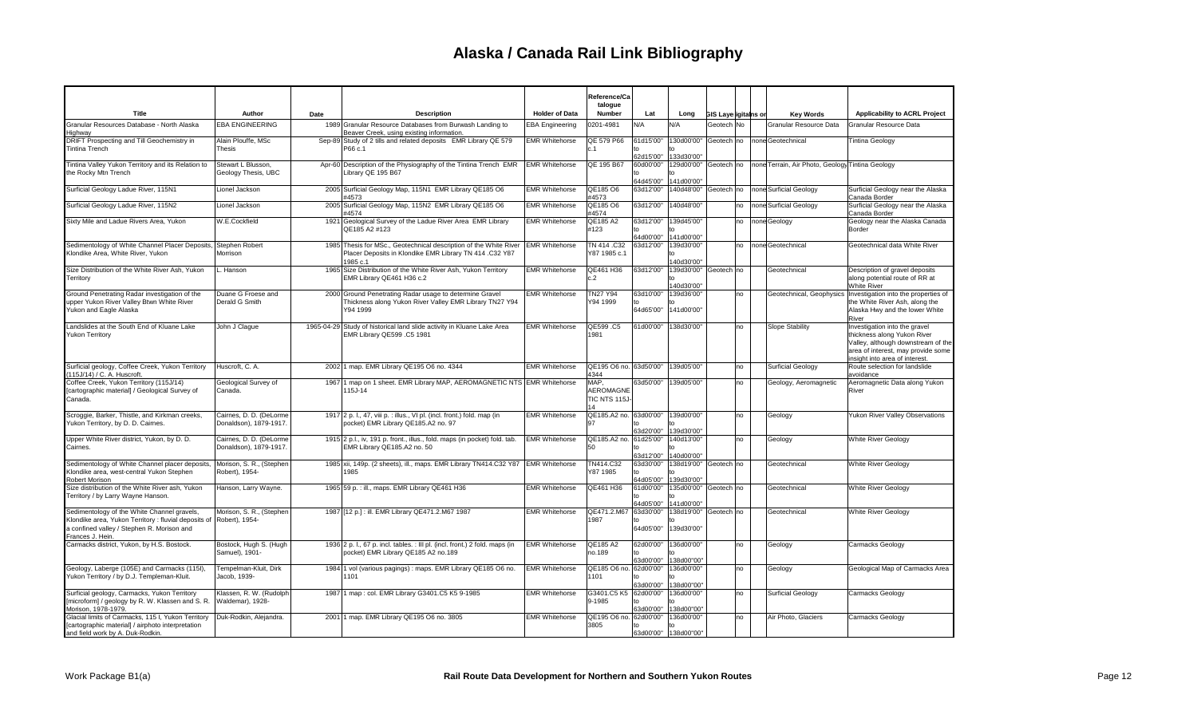|                                                                                                                                                                                      |                                                   |      |                                                                                                                                          |                        | Reference/Ca<br>talogue                  |                        |                                     |                        |    |                                                  |                                                                                                                                                                            |
|--------------------------------------------------------------------------------------------------------------------------------------------------------------------------------------|---------------------------------------------------|------|------------------------------------------------------------------------------------------------------------------------------------------|------------------------|------------------------------------------|------------------------|-------------------------------------|------------------------|----|--------------------------------------------------|----------------------------------------------------------------------------------------------------------------------------------------------------------------------------|
| Title                                                                                                                                                                                | Author                                            | Date | <b>Description</b>                                                                                                                       | <b>Holder of Data</b>  | Number                                   | Lat                    | Long                                | GIS Layerigitains or   |    | <b>Key Words</b>                                 | <b>Applicability to ACRL Project</b>                                                                                                                                       |
| Granular Resources Database - North Alaska<br>Highway                                                                                                                                | EBA ENGINEERING                                   |      | 1989 Granular Resource Databases from Burwash Landing to<br>Beaver Creek, using existing information.                                    | <b>EBA Engineering</b> | 0201-4981                                | N/A                    | N/A                                 | Geotech <sup>INo</sup> |    | Granular Resource Data                           | Granular Resource Data                                                                                                                                                     |
| DRIFT Prospecting and Till Geochemistry in<br><b>Tintina Trench</b>                                                                                                                  | Alain Plouffe, MSc<br>Thesis                      |      | Sep-89 Study of 2 tills and related deposits EMR Library QE 579<br>P66 c.1                                                               | <b>EMR Whitehorse</b>  | QE 579 P66<br>n <sub>1</sub>             | 61d15'00"<br>62d15'00" | 130d00'00"<br>133d30'00'            | Geotech no             |    | none Geotechnical                                | <b>Tintina Geology</b>                                                                                                                                                     |
| Tintina Valley Yukon Territory and its Relation to<br>the Rocky Mtn Trench                                                                                                           | Stewart L Blusson.<br>Geology Thesis, UBC         |      | Apr-60 Description of the Physiography of the Tintina Trench EMR<br>Library QE 195 B67                                                   | <b>EMR Whitehorse</b>  | QE 195 B67                               | 60d00'00"<br>64d45'00" | 129d00'00"<br>141d00'00"            | Geotech no             |    | none Terrain, Air Photo, Geology Tintina Geology |                                                                                                                                                                            |
| Surficial Geology Ladue River, 115N1                                                                                                                                                 | Lionel Jackson                                    |      | 2005 Surficial Geology Map, 115N1 EMR Library QE185 O6<br>#4573                                                                          | <b>EMR Whitehorse</b>  | QE185 O6<br>#4573                        | 63d12'00"              | 140d48'00"                          | Geotech no             |    | none Surficial Geology                           | Surficial Geology near the Alaska<br>Canada Border                                                                                                                         |
| Surficial Geology Ladue River, 115N2                                                                                                                                                 | Lionel Jackson                                    |      | 2005 Surficial Geology Map, 115N2 EMR Library QE185 O6<br>#4574                                                                          | <b>EMR Whitehorse</b>  | QE185 O6<br>#4574                        | 63d12'00"              | 140d48'00'                          |                        | no | none Surficial Geology                           | Surficial Geology near the Alaska<br>Canada Border                                                                                                                         |
| Sixty Mile and Ladue Rivers Area, Yukon                                                                                                                                              | W.E.Cockfield                                     |      | 1921 Geological Survey of the Ladue River Area EMR Library<br>QE185 A2 #123                                                              | <b>EMR Whitehorse</b>  | QE185 A2<br>#123                         | 63d12'00"<br>64d00'00" | 139d45'00"<br>141d00'00"            |                        | no | none Geology                                     | Geology near the Alaska Canada<br>Border                                                                                                                                   |
| Sedimentology of White Channel Placer Deposits,<br>Klondike Area, White River, Yukon                                                                                                 | Stephen Robert<br>Morrison                        |      | 1985 Thesis for MSc., Geotechnical description of the White River<br>Placer Deposits in Klondike EMR Library TN 414 .C32 Y87<br>1985 c.1 | <b>EMR Whitehorse</b>  | TN 414 .C32<br>Y87 1985 c.1              | 63d12'00"              | 139d30'00"<br>140d30'00"            |                        | no | Inone Geotechnical                               | Geotechnical data White River                                                                                                                                              |
| Size Distribution of the White River Ash, Yukon<br>Territory                                                                                                                         | L. Hanson                                         |      | 1965 Size Distribution of the White River Ash, Yukon Territory<br>EMR Library QE461 H36 c.2                                              | <b>EMR</b> Whitehorse  | QE461 H36<br>c.2                         | 63d12'00'              | 139d30'00"<br>140d30'00'            | Geotech no             |    | Geotechnical                                     | Description of gravel deposits<br>along potential route of RR at<br><b>White River</b>                                                                                     |
| Ground Penetrating Radar investigation of the<br>upper Yukon River Valley Btwn White River<br>Yukon and Eagle Alaska                                                                 | Duane G Froese and<br>Derald G Smith              |      | 2000 Ground Penetrating Radar usage to determine Gravel<br>Thickness along Yukon River Valley EMR Library TN27 Y94<br>Y94 1999           | <b>EMR Whitehorse</b>  | <b>TN27 Y94</b><br>Y94 1999              | 63d10'00"<br>64d65'00" | 139d36'00'<br>141d00'00"            |                        | no | Geotechnical, Geophysics                         | Investigation into the properties of<br>the White River Ash, along the<br>Alaska Hwy and the lower White<br>River                                                          |
| Landslides at the South End of Kluane Lake<br><b>Yukon Territory</b>                                                                                                                 | John J Claque                                     |      | 1965-04-29 Study of historical land slide activity in Kluane Lake Area<br>EMR Library QE599 .C5 1981                                     | <b>EMR Whitehorse</b>  | QE599.C5<br>1981                         | 61d00'00"              | 138d30'00'                          |                        | no | <b>Slope Stability</b>                           | Investigation into the gravel<br>thickness along Yukon River<br>Valley, although downstream of the<br>area of interest, may provide some<br>insight into area of interest. |
| Surficial geology, Coffee Creek, Yukon Territory<br>(115J/14) / C. A. Huscroft.                                                                                                      | Huscroft, C. A.                                   |      | 2002 1 map. EMR Library QE195 O6 no. 4344                                                                                                | <b>EMR Whitehorse</b>  | QE195 O6 no. 63d50'00"<br>4344           |                        | 139d05'00'                          |                        | no | <b>Surficial Geology</b>                         | Route selection for landslide<br>avoidance                                                                                                                                 |
| Coffee Creek, Yukon Territory (115J/14)<br>[cartographic material] / Geological Survey of<br>Canada.                                                                                 | Geological Survey of<br>Canada.                   |      | 1967 1 map on 1 sheet. EMR Library MAP, AEROMAGNETIC NTS EMR Whitehorse<br>115J-14                                                       |                        | MAP,<br>AEROMAGNE<br>TIC NTS 115J-<br>14 | 63d50'00"              | 139d05'00'                          |                        | no | Geology, Aeromagnetic                            | Aeromagnetic Data along Yukon<br>River                                                                                                                                     |
| Scroggie, Barker, Thistle, and Kirkman creeks,<br>Yukon Territory, by D. D. Cairnes.                                                                                                 | Cairnes, D. D. (DeLorme<br>Donaldson), 1879-1917. |      | 1917 2 p. l., 47, viii p. : illus., VI pl. (incl. front.) fold. map (in<br>pocket) EMR Library QE185.A2 no. 97                           | <b>EMR Whitehorse</b>  | QE185.A2 no. 63d00'00" 139d00'00"<br>97  | 63d20'00"              | 139d30'00"                          |                        | no | Geology                                          | Yukon River Valley Observations                                                                                                                                            |
| Upper White River district, Yukon, by D. D.<br>Cairnes.                                                                                                                              | Cairnes, D. D. (DeLorme<br>Donaldson), 1879-1917. |      | 1915 2 p.l., iv, 191 p. front., illus., fold. maps (in pocket) fold. tab.<br>EMR Library QE185.A2 no. 50                                 | <b>EMR Whitehorse</b>  | QE185.A2 no.<br>50                       | 61d25'00"<br>63d12'00" | 140d13'00"<br>140d00'00"            |                        | no | Geology                                          | White River Geology                                                                                                                                                        |
| Sedimentology of White Channel placer deposits<br>Klondike area, west-central Yukon Stephen<br>Robert Morison                                                                        | Morison, S. R., (Stephen<br>Robert), 1954-        |      | 1985 xii, 149p. (2 sheets), ill., maps. EMR Library TN414.C32 Y87<br>1985                                                                | <b>EMR Whitehorse</b>  | TN414.C32<br>Y87 1985                    | 63d30'00"<br>64d05'00" | 138d19'00" Geotech no<br>139d30'00" |                        |    | Geotechnical                                     | <b>White River Geology</b>                                                                                                                                                 |
| Size distribution of the White River ash, Yukon<br>Territory / by Larry Wayne Hanson.                                                                                                | Hanson, Larry Wayne                               |      | 1965 59 p. : ill., maps. EMR Library QE461 H36                                                                                           | <b>EMR Whitehorse</b>  | QE461 H36                                | 61d00'00"<br>64d05'00' | 135d00'00" Geotech no<br>141d00'00" |                        |    | Geotechnical                                     | White River Geology                                                                                                                                                        |
| Sedimentology of the White Channel gravels,<br>Klondike area, Yukon Territory : fluvial deposits of Robert), 1954-<br>a confined vallev / Stephen R. Morison and<br>Frances J. Hein. | Morison, S. R., (Stephen                          |      | 1987 12 p.] : ill. EMR Library QE471.2.M67 1987                                                                                          | <b>EMR Whitehorse</b>  | QE471.2.M67<br>1987                      | 63d30'00"<br>64d05'00" | 138d19'00" Geotech no<br>139d30'00" |                        |    | Geotechnical                                     | <b>White River Geology</b>                                                                                                                                                 |
| Carmacks district, Yukon, by H.S. Bostock.                                                                                                                                           | Bostock, Hugh S. (Hugh<br>Samuel), 1901-          |      | 1936 2 p. l., 67 p. incl. tables. : III pl. (incl. front.) 2 fold. maps (in<br>pocket) EMR Library QE185 A2 no.189                       | <b>EMR Whitehorse</b>  | QE185 A2<br>no.189                       | 63d00'00"              | 62d00'00" 136d00'00"<br>138d00"00"  |                        | no | Geology                                          | <b>Carmacks Geology</b>                                                                                                                                                    |
| Geology, Laberge (105E) and Carmacks (115I),<br>Yukon Territory / by D.J. Templeman-Kluit.                                                                                           | Tempelman-Kluit, Dirk<br>Jacob, 1939-             |      | 1984 1 vol (various pagings) : maps. EMR Library QE185 O6 no.<br>1101                                                                    | <b>EMR Whitehorse</b>  | QE185 O6 no.<br>1101                     | 62d00'00"<br>63d00'00" | 136d00'00"<br>138d00"00"            |                        | no | Geology                                          | Geological Map of Carmacks Area                                                                                                                                            |
| Surficial geology, Carmacks, Yukon Territory<br>[microform] / geology by R. W. Klassen and S. R.<br>Morison, 1978-1979.                                                              | Klassen, R. W. (Rudolph<br>Waldemar), 1928-       |      | 1987 1 map : col. EMR Library G3401.C5 K5 9-1985                                                                                         | <b>EMR Whitehorse</b>  | G3401.C5 K5<br>9-1985                    | 62d00'00"<br>63d00'00" | 136d00'00'<br>138d00"00"            |                        | no | <b>Surficial Geology</b>                         | Carmacks Geology                                                                                                                                                           |
| Glacial limits of Carmacks, 115 I, Yukon Territory<br>[cartographic material] / airphoto interpretation<br>and field work by A. Duk-Rodkin                                           | Duk-Rodkin, Alejandra.                            |      | 2001 1 map. EMR Library QE195 O6 no. 3805                                                                                                | <b>EMR Whitehorse</b>  | QE195 O6 no.<br>3805                     | 62d00'00"              | 136d00'00"<br>63d00'00" 138d00"00"  |                        | no | Air Photo, Glaciers                              | <b>Carmacks Geology</b>                                                                                                                                                    |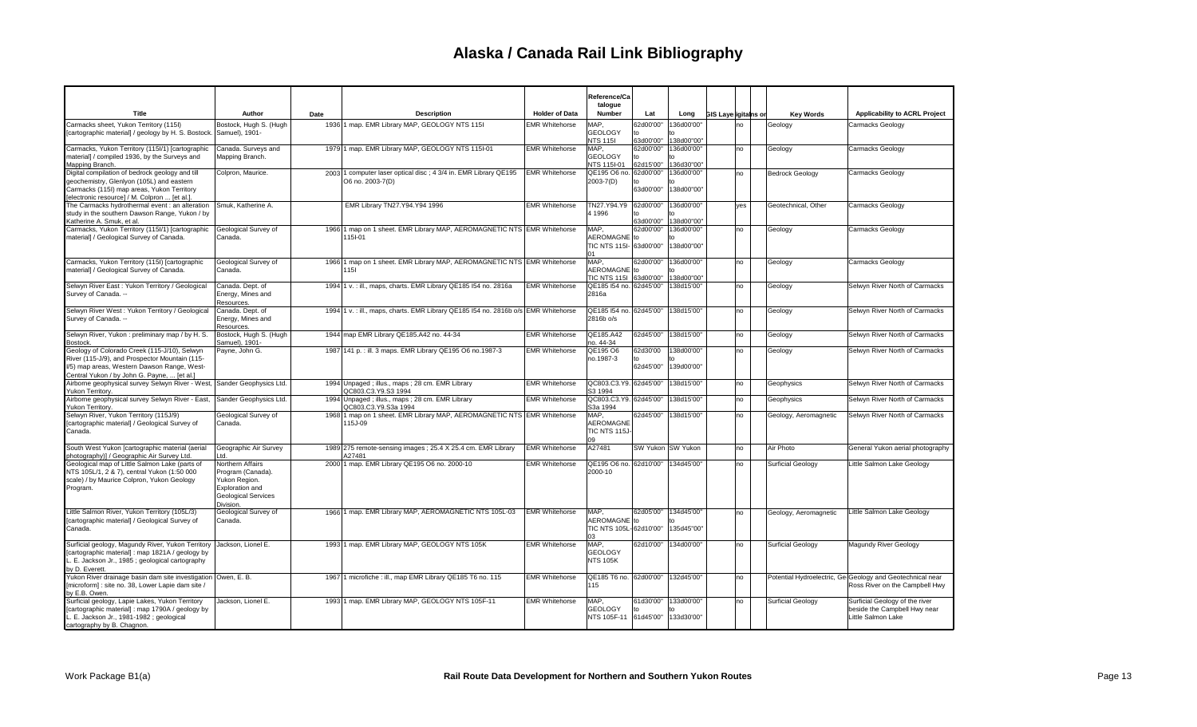|                                                                                                                                                                                              |                                                                                                               |      |                                                                                     |                       | Reference/Ca<br>talogue                               |                                         |                                          |                             |     |                          |                                                                                             |
|----------------------------------------------------------------------------------------------------------------------------------------------------------------------------------------------|---------------------------------------------------------------------------------------------------------------|------|-------------------------------------------------------------------------------------|-----------------------|-------------------------------------------------------|-----------------------------------------|------------------------------------------|-----------------------------|-----|--------------------------|---------------------------------------------------------------------------------------------|
| Title                                                                                                                                                                                        | Author                                                                                                        | Date | <b>Description</b>                                                                  | <b>Holder of Data</b> | Number                                                | Lat                                     | Long                                     | <b>GIS Layerigitains or</b> |     | <b>Key Words</b>         | Applicability to ACRL Project                                                               |
| Carmacks sheet, Yukon Territory (115I)<br>[cartographic material] / geology by H. S. Bostock.                                                                                                | Bostock, Hugh S. (Hugh<br>Samuel), 1901-                                                                      |      | 1936 1 map. EMR Library MAP, GEOLOGY NTS 1151                                       | <b>EMR Whitehorse</b> | MAP,<br><b>GEOLOGY</b><br><b>NTS 1151</b>             | 62d00'00"<br>63d00'00"                  | 136d00'00"<br>138d00"00"                 |                             | Ino | Geology                  | Carmacks Geology                                                                            |
| Carmacks, Yukon Territory (115I/1) [cartographic<br>material] / compiled 1936, by the Surveys and<br>Mapping Branch.                                                                         | Canada. Surveys and<br>Mapping Branch.                                                                        |      | 1979 1 map. EMR Library MAP, GEOLOGY NTS 115I-01                                    | <b>EMR Whitehorse</b> | MAP,<br><b>GEOLOGY</b><br>NTS 115I-01                 | 62d00'00"<br>to<br>62d15'00"            | 136d00'00"<br>136d30"00"                 |                             | no  | Geology                  | Carmacks Geology                                                                            |
| Digital compilation of bedrock geology and till<br>geochemistry, Glenlyon (105L) and eastern<br>Carmacks (115I) map areas, Yukon Territory<br>[electronic resource] / M. Colpron  [et al.].  | Colpron, Maurice.                                                                                             |      | 2003 1 computer laser optical disc; 4 3/4 in. EMR Library QE195<br>O6 no. 2003-7(D) | <b>EMR Whitehorse</b> | QE195 O6 no.<br>2003-7(D)                             | 62d00'00"<br>to<br>63d00'00"            | 136d00'00"<br>138d00"00"                 |                             | no  | <b>Bedrock Geology</b>   | Carmacks Geology                                                                            |
| The Carmacks hydrothermal event : an alteration<br>study in the southern Dawson Range, Yukon / by<br>Katherine A. Smuk, et al.                                                               | Smuk, Katherine A.                                                                                            |      | EMR Library TN27.Y94.Y94 1996                                                       | <b>EMR Whitehorse</b> | TN27.Y94.Y9<br>4 1996                                 | 62d00'00"<br>to<br>63d00'00"            | 136d00'00"<br>$t_{\Omega}$<br>138d00"00" |                             | yes | Geotechnical, Other      | Carmacks Geology                                                                            |
| Carmacks, Yukon Territory (115l/1) [cartographic<br>material] / Geological Survey of Canada.                                                                                                 | Geological Survey of<br>Canada.                                                                               |      | 1966 1 map on 1 sheet. EMR Library MAP, AEROMAGNETIC NTS EMR Whitehorse<br>115I-01  |                       | MAP.<br>AEROMAGNE to<br>TIC NTS 115I- 63d00'00"<br>01 | 62d00'00"                               | 136d00'00"<br>138d00"00"                 |                             | no  | Geology                  | Carmacks Geology                                                                            |
| Carmacks, Yukon Territory (115I) [cartographic<br>material] / Geological Survey of Canada.                                                                                                   | Geological Survey of<br>Canada.                                                                               |      | 1966 1 map on 1 sheet. EMR Library MAP, AEROMAGNETIC NTS EMR Whitehorse<br>1151     |                       | MAP,<br>AEROMAGNE to<br>TIC NTS 115  63d00'00"        | 62d00'00" 136d00'00"                    | 138d00"00"                               |                             | no  | Geology                  | Carmacks Geology                                                                            |
| Selwyn River East: Yukon Territory / Geological<br>Survey of Canada. --                                                                                                                      | Canada. Dept. of<br>Energy, Mines and<br>Resources.                                                           |      | 1994 1 v. : ill., maps, charts. EMR Library QE185 I54 no. 2816a                     | <b>EMR Whitehorse</b> | QE185 154 no. 62d45'00"<br>2816a                      |                                         | 138d15'00"                               |                             | no  | Geology                  | Selwyn River North of Carmacks                                                              |
| Selwyn River West: Yukon Territory / Geological<br>Survey of Canada. --                                                                                                                      | Canada. Dept. of<br>Energy, Mines and<br>Resources.                                                           |      | 1994 1 v. : ill., maps, charts. EMR Library QE185 154 no. 2816b o/s EMR Whitehorse  |                       | QE185 I54 no. 62d45'00" 138d15'00"<br>2816b o/s       |                                         |                                          |                             | no  | Geology                  | Selwyn River North of Carmacks                                                              |
| Selwyn River, Yukon : preliminary map / by H. S.<br>Bostock.                                                                                                                                 | Bostock, Hugh S. (Hugh<br>Samuel), 1901-                                                                      |      | 1944 map EMR Library QE185.A42 no. 44-34                                            | <b>EMR Whitehorse</b> | QE185.A42<br>no. 44-34                                | 62d45'00" 138d15'00"                    |                                          |                             | no  | Geology                  | Selwyn River North of Carmacks                                                              |
| Geology of Colorado Creek (115-J/10), Selwyn<br>River (115-J/9), and Prospector Mountain (115-<br>I/5) map areas, Western Dawson Range, West-<br>Central Yukon / by John G. Payne,  [et al.] | Payne, John G.                                                                                                |      | 1987 141 p. : ill. 3 maps. EMR Library QE195 O6 no.1987-3                           | <b>EMR Whitehorse</b> | QE195 O6<br>no.1987-3                                 | 62d30'00<br>to<br>62d45'00"             | 138d00'00"<br>t٥<br>139d00'00"           |                             | no  | Geology                  | Selwyn River North of Carmacks                                                              |
| Airborne geophysical survey Selwyn River - West, Sander Geophysics Ltd.<br>Yukon Territory.                                                                                                  |                                                                                                               |      | 1994 Unpaged; illus., maps; 28 cm. EMR Library<br>QC803.C3.Y9.S3 1994               | <b>EMR Whitehorse</b> | QC803.C3.Y9. 62d45'00"<br>S3 1994                     |                                         | 138d15'00"                               |                             | no  | Geophysics               | Selwyn River North of Carmacks                                                              |
| Airborne geophysical survey Selwyn River - East,<br>Yukon Territory.                                                                                                                         | Sander Geophysics Ltd.                                                                                        |      | 1994 Unpaged; illus., maps; 28 cm. EMR Library<br>QC803.C3.Y9.S3a 1994              | <b>EMR Whitehorse</b> | QC803.C3.Y9. 62d45'00"<br>S3a 1994                    |                                         | 138d15'00"                               |                             | no  | Geophysics               | Selwyn River North of Carmacks                                                              |
| Selwyn River, Yukon Territory (115J/9)<br>[cartographic material] / Geological Survey of<br>Canada.                                                                                          | Geological Survey of<br>Canada.                                                                               |      | 1968 1 map on 1 sheet. EMR Library MAP, AEROMAGNETIC NTS EMR Whitehorse<br>115J-09  |                       | MAP,<br>AEROMAGNE<br>TIC NTS 115J-<br>09              | 62d45'00" 138d15'00"                    |                                          |                             | no  | Geology, Aeromagnetic    | Selwyn River North of Carmacks                                                              |
| South West Yukon [cartographic material (aerial<br>ohotography)] / Geographic Air Survey Ltd.                                                                                                | Geographic Air Survey<br>Ltd.                                                                                 |      | 1989 275 remote-sensing images ; 25.4 X 25.4 cm. EMR Library<br>A27481              | <b>EMR</b> Whitehorse | A27481                                                | SW Yukon SW Yukon                       |                                          |                             | no  | Air Photo                | General Yukon aerial photography                                                            |
| Geological map of Little Salmon Lake (parts of<br>NTS 105L/1, 2 & 7), central Yukon (1:50 000<br>scale) / by Maurice Colpron, Yukon Geology<br>Program.                                      | Northern Affairs<br>Program (Canada).<br>Yukon Region.<br>Exploration and<br>Geological Services<br>Division. |      | 2000 1 map. EMR Library QE195 O6 no. 2000-10                                        | <b>EMR Whitehorse</b> | QE195 O6 no. 62d10'00"<br>2000-10                     |                                         | 134d45'00"                               |                             | no  | <b>Surficial Geology</b> | Little Salmon Lake Geology                                                                  |
| Little Salmon River, Yukon Territory (105L/3)<br>[cartographic material] / Geological Survey of<br>Canada.                                                                                   | Geological Survey of<br>Canada.                                                                               |      | 1966 1 map. EMR Library MAP, AEROMAGNETIC NTS 105L-03                               | <b>EMR</b> Whitehorse | MAP.<br>AEROMAGNE to<br>TIC NTS 105L-62d10'00"<br>03  | 62d05'00" 134d45'00"                    | 135d45"00"                               |                             | no  | Geology, Aeromagnetic    | Little Salmon Lake Geology                                                                  |
| Surficial geology, Magundy River, Yukon Territory   Jackson, Lionel E.<br>[cartographic material]: map 1821A / geology by<br>E. Jackson Jr., 1985 ; geological cartography<br>by D. Everett. |                                                                                                               |      | 1993 1 map. EMR Library MAP, GEOLOGY NTS 105K                                       | <b>EMR Whitehorse</b> | MAP,<br><b>GEOLOGY</b><br><b>NTS 105K</b>             | 62d10'00" 134d00'00"                    |                                          |                             | no  | Surficial Geology        | Magundy River Geology                                                                       |
| Yukon River drainage basin dam site investigation Owen, E. B.<br>[microform] : site no. 38, Lower Lapie dam site /<br>by E.B. Owen                                                           |                                                                                                               |      | 1967 1 microfiche : ill., map EMR Library QE185 T6 no. 115                          | <b>EMR Whitehorse</b> | QE185 T6 no. 62d00'00" 132d45'00"<br>115              |                                         |                                          |                             | no  |                          | Potential Hydroelectric, Ge Geology and Geotechnical near<br>Ross River on the Campbell Hwy |
| Surficial geology, Lapie Lakes, Yukon Territory<br>[cartographic material] : map 1790A / geology by<br>L. E. Jackson Jr., 1981-1982 ; geological<br>cartography by B. Chagnon.               | Jackson, Lionel E.                                                                                            |      | 1993 1 map. EMR Library MAP, GEOLOGY NTS 105F-11                                    | <b>EMR Whitehorse</b> | MAP.<br><b>GEOLOGY</b><br>NTS 105F-11                 | 61d30'00"<br>to<br>61d45'00" 133d30'00" | 133d00'00"                               |                             | no  | Surficial Geology        | Surficial Geology of the river<br>beside the Campbell Hwy near<br>Little Salmon Lake        |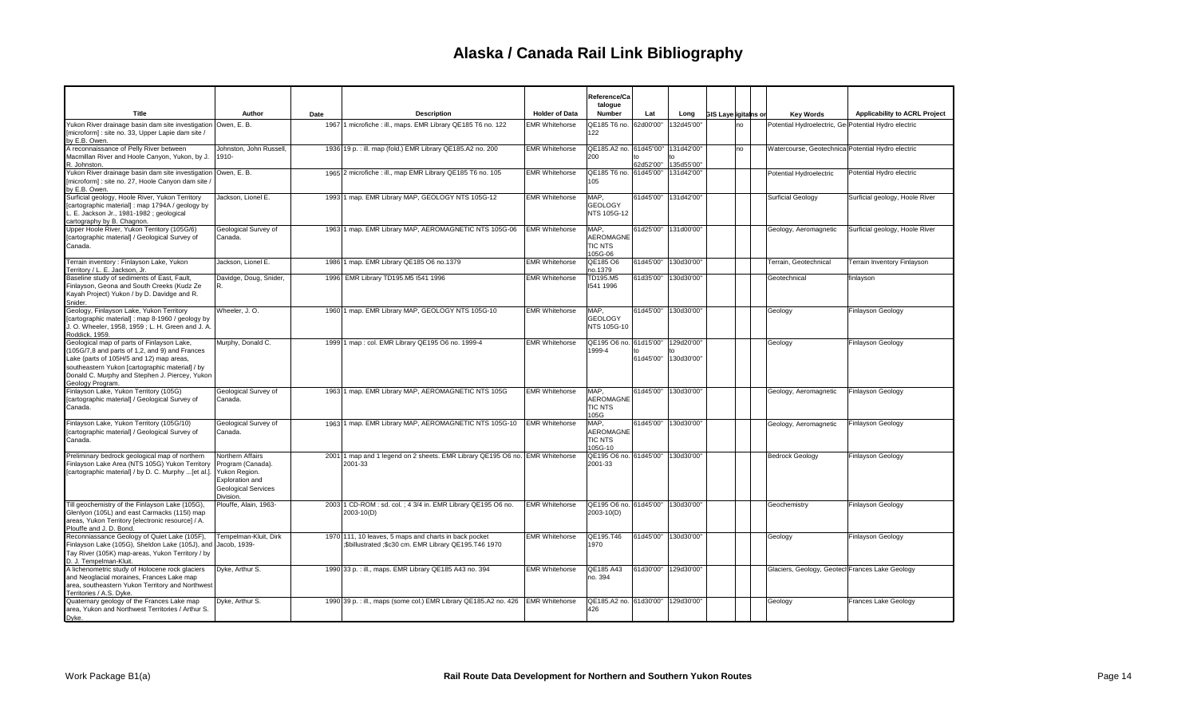|                                                                                                                                                                                                                                                                   |                                                                                                                      |      |                                                                                                                |                       | Reference/Ca<br>talogue                               |                      |                          |                      |                                                      |                                      |
|-------------------------------------------------------------------------------------------------------------------------------------------------------------------------------------------------------------------------------------------------------------------|----------------------------------------------------------------------------------------------------------------------|------|----------------------------------------------------------------------------------------------------------------|-----------------------|-------------------------------------------------------|----------------------|--------------------------|----------------------|------------------------------------------------------|--------------------------------------|
| Title                                                                                                                                                                                                                                                             | Author                                                                                                               | Date | <b>Description</b>                                                                                             | <b>Holder of Data</b> | Number                                                | Lat                  | Long                     | GIS Layerigitains or | <b>Key Words</b>                                     | <b>Applicability to ACRL Project</b> |
| Yukon River drainage basin dam site investigation Owen, E. B.<br>[microform] : site no. 33, Upper Lapie dam site /<br>by E.B. Owen.                                                                                                                               |                                                                                                                      |      | 1967 1 microfiche : ill., maps. EMR Library QE185 T6 no. 122                                                   | <b>EMR Whitehorse</b> | QE185 T6 no. 62d00'00'<br>122                         |                      | 132d45'00"               | no                   | Potential Hydroelectric, Ge Potential Hydro electric |                                      |
| A reconnaissance of Pelly River between<br>Macmillan River and Hoole Canyon, Yukon, by J.<br>R. Johnston.                                                                                                                                                         | Johnston, John Russell.<br>1910-                                                                                     |      | 1936 19 p. : ill. map (fold.) EMR Library QE185.A2 no. 200                                                     | <b>EMR Whitehorse</b> | QE185.A2 no. 61d45"00"<br>200                         | 62d52'00"            | 131d42'00'<br>135d55'00" | no                   | Watercourse, Geotechnica Potential Hydro electric    |                                      |
| Yukon River drainage basin dam site investigation Owen, E. B.<br>[microform] : site no. 27, Hoole Canyon dam site /<br>y E.B. Owen                                                                                                                                |                                                                                                                      |      | 1965 2 microfiche : ill., map EMR Library QE185 T6 no. 105                                                     | <b>EMR Whitehorse</b> | QE185 T6 no. 61d45'00"<br>105                         |                      | 131d42'00"               |                      | Potential Hydroelectric                              | Potential Hydro electric             |
| Surficial geology, Hoole River, Yukon Territory<br>[cartographic material] : map 1794A / geology by<br>. E. Jackson Jr., 1981-1982 ; geological<br>cartography by B. Chagnon.                                                                                     | Jackson, Lionel E.                                                                                                   |      | 1993 1 map. EMR Library MAP, GEOLOGY NTS 105G-12                                                               | <b>EMR Whitehorse</b> | MAP,<br><b>GEOLOGY</b><br>NTS 105G-12                 | 61d45'00"            | 131d42'00"               |                      | <b>Surficial Geology</b>                             | Surficial geology, Hoole River       |
| Upper Hoole River, Yukon Territory (105G/6)<br>[cartographic material] / Geological Survey of<br>Canada.                                                                                                                                                          | Geological Survey of<br>Canada.                                                                                      |      | 1963 1 map. EMR Library MAP, AEROMAGNETIC NTS 105G-06                                                          | <b>EMR Whitehorse</b> | MAP,<br><b>AEROMAGNE</b><br><b>TIC NTS</b><br>105G-06 | 61d25'00"            | 131d00'00"               |                      | Geology, Aeromagnetic                                | Surficial geology, Hoole River       |
| Terrain inventory : Finlayson Lake, Yukon<br>Territory / L. E. Jackson, Jr.                                                                                                                                                                                       | Jackson, Lionel E.                                                                                                   |      | 1986 1 map. EMR Library QE185 O6 no.1379                                                                       | <b>EMR Whitehorse</b> | QE185 O6<br>no.1379                                   | 61d45'00'            | 130d30'00"               |                      | Terrain, Geotechnical                                | Terrain Inventory Finlayson          |
| Baseline study of sediments of East, Fault,<br>Finlayson, Geona and South Creeks (Kudz Ze<br>Kayah Project) Yukon / by D. Davidge and R.<br>Snider.                                                                                                               | Davidge, Doug, Snider,                                                                                               |      | 1996 EMR Library TD195.M5 I541 1996                                                                            | <b>EMR Whitehorse</b> | TD195.M5<br>1541 1996                                 | 61d35'00"            | 130d30'00"               |                      | Geotechnical                                         | finlayson                            |
| Geology, Finlayson Lake, Yukon Territory<br>[cartographic material]: map 8-1960 / geology by<br>. O. Wheeler, 1958, 1959 ; L. H. Green and J. A.<br>Roddick, 1959.                                                                                                | Wheeler, J.O.                                                                                                        |      | 1960 1 map. EMR Library MAP, GEOLOGY NTS 105G-10                                                               | <b>EMR Whitehorse</b> | MAP,<br><b>GEOLOGY</b><br>NTS 105G-10                 | 61d45'00"            | 130d30'00"               |                      | Geology                                              | <b>Finlayson Geology</b>             |
| Geological map of parts of Finlayson Lake,<br>(105G/7,8 and parts of 1,2, and 9) and Frances<br>Lake (parts of 105H/5 and 12) map areas,<br>southeastern Yukon [cartographic material] / by<br>Donald C. Murphy and Stephen J. Piercey, Yukon<br>Geology Program. | Murphy, Donald C.                                                                                                    |      | 1999 1 map : col. EMR Library QE195 O6 no. 1999-4                                                              | <b>EMR Whitehorse</b> | QE195 O6 no. 61d15'00"<br>1999-4                      | 61d45'00"            | 129d20'00"<br>130d30'00" |                      | Geology                                              | <b>Finlayson Geology</b>             |
| Finlayson Lake, Yukon Territory (105G)<br>[cartographic material] / Geological Survey of<br>Canada.                                                                                                                                                               | Geological Survey of<br>Canada.                                                                                      |      | 1963 1 map. EMR Library MAP, AEROMAGNETIC NTS 105G                                                             | <b>EMR Whitehorse</b> | MAP,<br><b>AEROMAGNE</b><br><b>TIC NTS</b><br>105G    | 61d45'00"            | 130d30'00"               |                      | Geology, Aeromagnetic                                | <b>Finlayson Geology</b>             |
| Finlayson Lake, Yukon Territory (105G/10)<br>[cartographic material] / Geological Survey of<br>Canada.                                                                                                                                                            | Geological Survey of<br>Canada.                                                                                      |      | 1963 1 map. EMR Library MAP, AEROMAGNETIC NTS 105G-10                                                          | <b>EMR Whitehorse</b> | MAP.<br><b>AEROMAGNE</b><br><b>TIC NTS</b><br>105G-10 | 61d45'00"            | 130d30'00"               |                      | Geology, Aeromagnetic                                | <b>Finlayson Geology</b>             |
| Preliminary bedrock geological map of northern<br>Finlayson Lake Area (NTS 105G) Yukon Territory<br>[cartographic material] / by D. C. Murphy  [et al.]                                                                                                           | Northern Affairs<br>Program (Canada).<br>Yukon Region.<br>Exploration and<br><b>Geological Services</b><br>Division. | 2001 | 1 map and 1 legend on 2 sheets. EMR Library QE195 O6 no. EMR Whitehorse<br>2001-33                             |                       | QE195 O6 no. 61d45'00"<br>2001-33                     |                      | 130d30'00"               |                      | <b>Bedrock Geology</b>                               | <b>Finlayson Geology</b>             |
| Till geochemistry of the Finlayson Lake (105G),<br>Glenlyon (105L) and east Carmacks (115I) map<br>areas, Yukon Territory [electronic resource] / A.<br>Plouffe and J. D. Bond.                                                                                   | Plouffe, Alain, 1963-                                                                                                |      | 2003 1 CD-ROM : sd. col. ; 4 3/4 in. EMR Library QE195 O6 no.<br>2003-10(D)                                    | <b>EMR Whitehorse</b> | QE195 O6 no. 61d45'00" 130d30'00"<br>2003-10(D)       |                      |                          |                      | Geochemistry                                         | Finlayson Geology                    |
| Reconniassance Geology of Quiet Lake (105F),<br>Finlayson Lake (105G), Sheldon Lake (105J), and Jacob, 1939-<br>Tay River (105K) map-areas, Yukon Territory / by<br>D. J. Tempelman-Kluit                                                                         | Tempelman-Kluit, Dirk                                                                                                |      | 1970 111, 10 leaves, 5 maps and charts in back pocket<br>\$billustrated ;\$c30 cm. EMR Library QE195.T46 1970; | <b>EMR Whitehorse</b> | QE195.T46<br>1970                                     |                      | 61d45'00" 130d30'00"     |                      | Geology                                              | <b>Finlayson Geology</b>             |
| A lichenometric study of Holocene rock glaciers<br>and Neoglacial moraines, Frances Lake map<br>area, southeastern Yukon Territory and Northwest<br>Territories / A.S. Dvke.                                                                                      | Dyke, Arthur S.                                                                                                      |      | 1990 33 p. : ill., maps. EMR Library QE185 A43 no. 394                                                         | <b>EMR Whitehorse</b> | QE185 A43<br>no. 394                                  | 61d30'00" 129d30'00" |                          |                      | Glaciers, Geology, Geotecl Frances Lake Geology      |                                      |
| Quaternary geology of the Frances Lake map<br>area, Yukon and Northwest Territories / Arthur S.<br>Dyke.                                                                                                                                                          | Dyke, Arthur S.                                                                                                      |      | 1990 39 p. : ill., maps (some col.) EMR Library QE185.A2 no. 426                                               | <b>EMR Whitehorse</b> | QE185.A2 no. 61d30'00" 129d30'00"<br>426              |                      |                          |                      | Geology                                              | <b>Frances Lake Geology</b>          |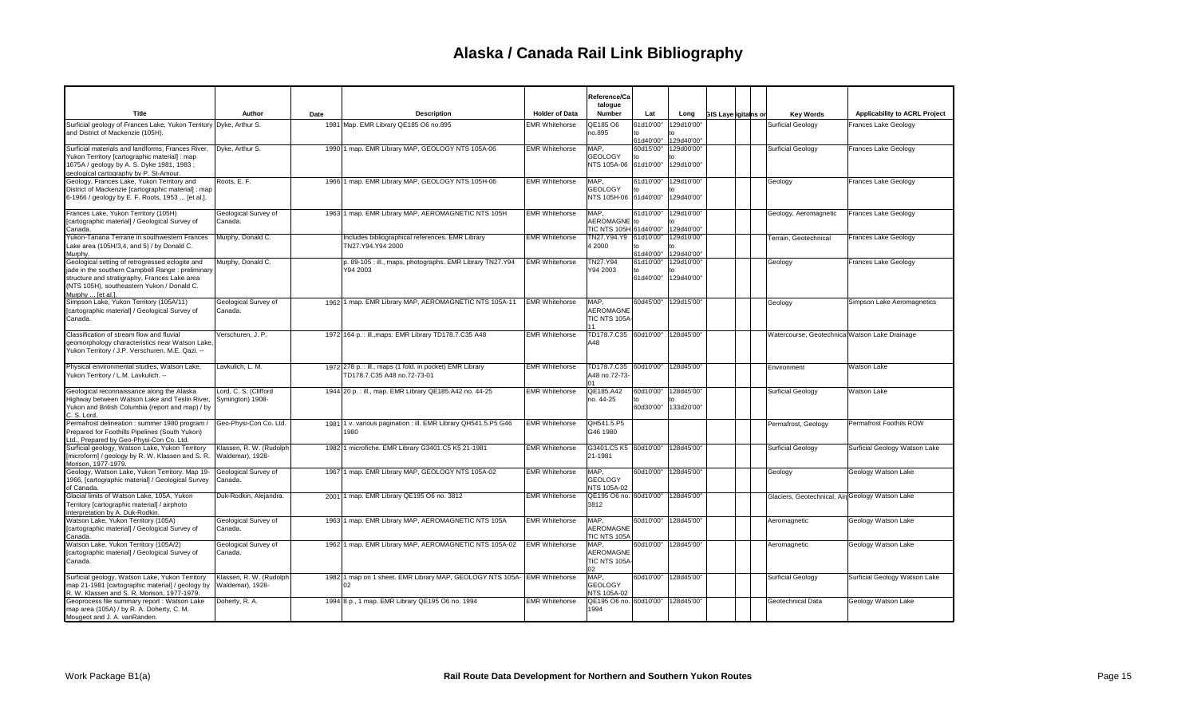|                                                                                                                                                                                                                          |                                             |      |                                                                                         |                       | Reference/Ca<br>talogue                         |                              |                                    |                             |                                                 |                               |
|--------------------------------------------------------------------------------------------------------------------------------------------------------------------------------------------------------------------------|---------------------------------------------|------|-----------------------------------------------------------------------------------------|-----------------------|-------------------------------------------------|------------------------------|------------------------------------|-----------------------------|-------------------------------------------------|-------------------------------|
| Title                                                                                                                                                                                                                    | Author                                      | Date | <b>Description</b>                                                                      | <b>Holder of Data</b> | Number                                          | Lat                          | Long                               | <b>GIS Layerigitains or</b> | <b>Key Words</b>                                | Applicability to ACRL Project |
| Surficial geology of Frances Lake, Yukon Territory Dyke, Arthur S.<br>and District of Mackenzie (105H).                                                                                                                  |                                             |      | 1981 Map. EMR Library QE185 O6 no.895                                                   | <b>EMR Whitehorse</b> | QE185 O6<br>no.895                              | 61d10'00"<br>to<br>61d40'00" | 129d10'00"<br>129d40'00"           |                             | <b>Surficial Geology</b>                        | Frances Lake Geology          |
| Surficial materials and landforms, Frances River,<br>/ukon Territory [cartographic material] : map<br>1675A / geology by A. S. Dyke 1981, 1983;<br>geological cartography by P. St-Amour.                                | Dyke, Arthur S.                             |      | 1990 1 map. EMR Library MAP, GEOLOGY NTS 105A-06                                        | <b>EMR Whitehorse</b> | MAP.<br><b>GEOLOGY</b><br>NTS 105A-06 61d10'00" | 60d15'00"                    | 129d00'00"<br>129d10'00"           |                             | Surficial Geology                               | Frances Lake Geology          |
| Geology, Frances Lake, Yukon Territory and<br>District of Mackenzie [cartographic material] : map<br>6-1966 / geology by E. F. Roots, 1953  [et al.].                                                                    | Roots, E. F.                                |      | 1966 1 map. EMR Library MAP, GEOLOGY NTS 105H-06                                        | <b>EMR Whitehorse</b> | MAP,<br><b>GEOLOGY</b><br>NTS 105H-06 61d40'00" | to                           | 61d10'00" 129d10'00"<br>129d40'00" |                             | Geology                                         | Frances Lake Geology          |
| Frances Lake, Yukon Territory (105H)<br>cartographic material] / Geological Survey of<br>Canada.                                                                                                                         | Geological Survey of<br>Canada.             |      | 1963 1 map. EMR Library MAP, AEROMAGNETIC NTS 105H                                      | <b>EMR Whitehorse</b> | MAP.<br>AEROMAGNE to<br>TIC NTS 105H 61d40'00"  | 61d10'00"                    | 129d10'00"<br>129d40'00"           |                             | Geology, Aeromagnetic                           | Frances Lake Geology          |
| Yukon-Tanana Terrane in southwestern Frances<br>Lake area (105H/3,4, and 5) / by Donald C.<br>Murphy.                                                                                                                    | Murphy, Donald C.                           |      | Includes bibliographical references. EMR Library<br>TN27.Y94.Y94 2000                   | <b>EMR Whitehorse</b> | TN27.Y94.Y9 61d10'00"<br>4 2000                 | $t_0$<br>61d40'00"           | 129d10'00"<br>$t_0$<br>129d40'00"  |                             | Terrain, Geotechnical                           | Frances Lake Geology          |
| Geological setting of retrogressed eclogite and<br>jade in the southern Campbell Range : preliminary<br>structure and stratigraphy, Frances Lake area<br>(NTS 105H), southeastern Yukon / Donald C.<br>Murphy  [et al.]. | Murphy, Donald C.                           |      | p. 89-105 : ill., maps, photographs. EMR Library TN27.Y94<br>Y94 2003                   | <b>EMR Whitehorse</b> | TN27.Y94<br>Y94 2003                            | 61d10'00"<br>to<br>61d40'00" | 129d10'00"<br>129d40'00"           |                             | Geology                                         | Frances Lake Geology          |
| Simpson Lake, Yukon Territory (105A/11)<br>[cartographic material] / Geological Survey of<br>Canada.                                                                                                                     | Geological Survey of<br>Canada.             |      | 1962 1 map. EMR Library MAP, AEROMAGNETIC NTS 105A-11                                   | <b>EMR Whitehorse</b> | MAP,<br>AEROMAGNE<br>TIC NTS 105A<br>11         |                              | 60d45'00" 129d15'00"               |                             | Geology                                         | Simpson Lake Aeromagnetics    |
| Classification of stream flow and fluvial<br>geomorphology characteristics near Watson Lake,<br>Yukon Territory / J.P. Verschuren, M.E. Qazi. --                                                                         | Verschuren, J. P.                           |      | 1972 164 p. : ill., maps. EMR Library TD178.7.C35 A48                                   | <b>EMR Whitehorse</b> | TD178.7.C35 60d10'00" 128d45'00"<br>A48         |                              |                                    |                             | Watercourse, Geotechnica Watson Lake Drainage   |                               |
| Physical environmental studies, Watson Lake,<br>Yukon Territory / L.M. Lavkulich. --                                                                                                                                     | Lavkulich, L. M.                            |      | 1972 278 p. : ill., maps (1 fold. in pocket) EMR Library<br>TD178.7.C35 A48 no.72-73-01 | <b>EMR Whitehorse</b> | TD178.7.C35 60d10'00"<br>A48 no.72-73-<br>01    |                              | 128d45'00"                         |                             | Environment                                     | <b>Watson Lake</b>            |
| Geological reconnaissance along the Alaska<br>Highway between Watson Lake and Teslin River,<br>Yukon and British Columbia (report and map) / by<br>. S. Lord.                                                            | Lord, C. S. (Clifford<br>Symington) 1908-   |      | 1944 20 p. : ill., map. EMR Library QE185.A42 no. 44-25                                 | <b>EMR Whitehorse</b> | QE185.A42<br>no. 44-25                          | 60d10'00"<br>to<br>60d30'00" | 128d45'00"<br>133d20'00"           |                             | <b>Surficial Geology</b>                        | Watson Lake                   |
| Permafrost delineation : summer 1980 program /<br>Prepared for Foothills Pipelines (South Yukon)<br>Ltd., Prepared by Geo-Physi-Con Co. Ltd.                                                                             | Geo-Physi-Con Co. Ltd.                      |      | 1981 1 v. various pagination : ill. EMR Library QH541.5.P5 G46<br>1980                  | <b>EMR Whitehorse</b> | QH541.5.P5<br>G46 1980                          |                              |                                    |                             | Permafrost, Geology                             | Permafrost Foothils ROW       |
| Surficial geology, Watson Lake, Yukon Territory<br>[microform] / geology by R. W. Klassen and S. R.<br>Morison, 1977-1979.                                                                                               | Klassen, R. W. (Rudolph<br>Waldemar), 1928- |      | 1982 1 microfiche. EMR Library G3401.C5 K5 21-1981                                      | <b>EMR Whitehorse</b> | G3401.C5 K5 60d10'00" 128d45'00"<br>21-1981     |                              |                                    |                             | Surficial Geology                               | Surficial Geology Watson Lake |
| Geology, Watson Lake, Yukon Territory. Map 19-<br>1966, [cartographic material] / Geological Survey<br>of Canada.                                                                                                        | Geological Survey of<br>Canada.             |      | 1967 1 map. EMR Library MAP, GEOLOGY NTS 105A-02                                        | <b>EMR Whitehorse</b> | MAP,<br><b>GEOLOGY</b><br>NTS 105A-02           |                              | 60d10'00" 128d45'00"               |                             | Geology                                         | Geology Watson Lake           |
| Glacial limits of Watson Lake, 105A, Yukon<br>Territory [cartographic material] / airphoto<br>interpretation by A. Duk-Rodkin                                                                                            | Duk-Rodkin, Alejandra.                      |      | 2001 1 map. EMR Library QE195 O6 no. 3812                                               | <b>EMR Whitehorse</b> | QE195 O6 no. 60d10'00" 128d45'00"<br>3812       |                              |                                    |                             | Glaciers, Geotechnical, Air Geology Watson Lake |                               |
| Watson Lake, Yukon Territory (105A)<br>[cartographic material] / Geological Survey of<br>Canada.                                                                                                                         | Geological Survey of<br>Canada.             |      | 1963 1 map. EMR Library MAP, AEROMAGNETIC NTS 105A                                      | <b>EMR Whitehorse</b> | MAP,<br><b>AEROMAGNE</b><br>TIC NTS 105A        |                              | 60d10'00" 128d45'00"               |                             | Aeromagnetic                                    | Geology Watson Lake           |
| Watson Lake, Yukon Territory (105A/2)<br>[cartographic material] / Geological Survey of<br>Canada.                                                                                                                       | Geological Survey of<br>Canada.             |      | 1962 1 map. EMR Library MAP, AEROMAGNETIC NTS 105A-02                                   | <b>EMR Whitehorse</b> | MAP,<br>AEROMAGNE<br>TIC NTS 105A-<br>02        |                              | 60d10'00" 128d45'00"               |                             | Aeromagnetic                                    | Geology Watson Lake           |
| Surficial geology, Watson Lake, Yukon Territory<br>map 21-1981 [cartographic material] / geology by<br>R. W. Klassen and S. R. Morison, 1977-1979.                                                                       | Klassen, R. W. (Rudolph<br>Waldemar), 1928- |      | 1982 1 map on 1 sheet. EMR Library MAP, GEOLOGY NTS 105A- EMR Whitehorse<br>02          |                       | MAP,<br><b>GEOLOGY</b><br>NTS 105A-02           |                              | 60d10'00" 128d45'00"               |                             | Surficial Geology                               | Surficial Geology Watson Lake |
| Geoprocess file summary report : Watson Lake<br>map area (105A) / by R. A. Doherty, C. M.<br>Mougeot and J. A. vanRanden.                                                                                                | Doherty, R. A.                              |      | 1994 8 p., 1 map. EMR Library QE195 O6 no. 1994                                         | <b>EMR Whitehorse</b> | QE195 O6 no. 60d10'00" 128d45'00"<br>1994       |                              |                                    |                             | Geotechnical Data                               | Geology Watson Lake           |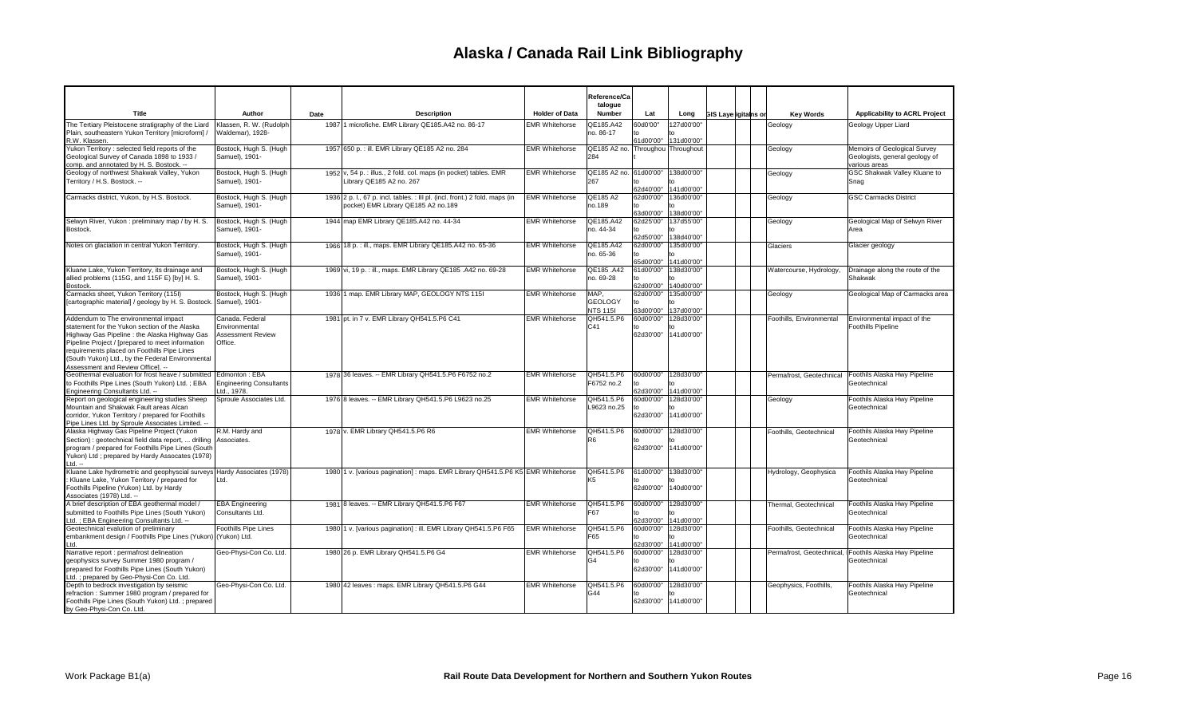|                                                                                                                        |                                                 |      |                                                                                               |                       | Reference/Ca                      |                        |                                    |                             |                          |                                              |
|------------------------------------------------------------------------------------------------------------------------|-------------------------------------------------|------|-----------------------------------------------------------------------------------------------|-----------------------|-----------------------------------|------------------------|------------------------------------|-----------------------------|--------------------------|----------------------------------------------|
| Title                                                                                                                  | Author                                          | Date | <b>Description</b>                                                                            | <b>Holder of Data</b> | talogue<br>Number                 | Lat                    | Long                               | <b>GIS Layerigitains or</b> | <b>Key Words</b>         | <b>Applicability to ACRL Project</b>         |
| The Tertiary Pleistocene stratigraphy of the Liard                                                                     | Klassen, R. W. (Rudolph                         |      | 1987 1 microfiche. EMR Library QE185.A42 no. 86-17                                            | <b>EMR Whitehorse</b> | QE185.A42                         | 60d0'00"               | 127d00'00"                         |                             | Geology                  | Geology Upper Liard                          |
| Plain, southeastern Yukon Territory [microform] /                                                                      | Waldemar), 1928-                                |      |                                                                                               |                       | no. 86-17                         |                        |                                    |                             |                          |                                              |
| R.W. Klassen.<br>/ukon Territory : selected field reports of the                                                       | Bostock, Hugh S. (Hugh                          |      | 1957 650 p. : ill. EMR Library QE185 A2 no. 284                                               | <b>EMR Whitehorse</b> | QE185 A2 no.                      | 61d00'00"              | 131d00'00"<br>Throughou Throughout |                             | Geology                  | Memoirs of Geological Survey                 |
| Geological Survey of Canada 1898 to 1933 /                                                                             | Samuel), 1901-                                  |      |                                                                                               |                       | 284                               |                        |                                    |                             |                          | Geologists, general geology of               |
| comp. and annotated by H. S. Bostock. --                                                                               |                                                 |      |                                                                                               |                       |                                   |                        |                                    |                             |                          | various areas                                |
| Geology of northwest Shakwak Valley, Yukon<br>Territory / H.S. Bostock. --                                             | Bostock, Hugh S. (Hugh<br>Samuel), 1901-        |      | 1952 v, 54 p. : illus., 2 fold. col. maps (in pocket) tables. EMR<br>Library QE185 A2 no. 267 | <b>EMR Whitehorse</b> | QE185 A2 no. 61d00'00"<br>267     |                        | 138d00'00"                         |                             | Geology                  | GSC Shakwak Valley Kluane to<br>Snag         |
|                                                                                                                        |                                                 |      |                                                                                               |                       |                                   | 62d40'00'              | 141d00'00"                         |                             |                          |                                              |
| Carmacks district, Yukon, by H.S. Bostock.                                                                             | Bostock, Hugh S. (Hugh                          |      | 1936 2 p. l., 67 p. incl. tables. : Ill pl. (incl. front.) 2 fold. maps (in                   | <b>EMR Whitehorse</b> | QE185 A2                          | 62d00'00"              | 136d00'00"                         |                             | Geology                  | <b>GSC Carmacks District</b>                 |
|                                                                                                                        | Samuel), 1901-                                  |      | pocket) EMR Library QE185 A2 no.189                                                           |                       | no.189                            | 63d00'00'              | 138d00'00'                         |                             |                          |                                              |
| Selwyn River, Yukon : preliminary map / by H. S.                                                                       | Bostock, Hugh S. (Hugh                          |      | 1944 map EMR Library QE185.A42 no. 44-34                                                      | <b>EMR Whitehorse</b> | QE185.A42                         | 62d25'00'              | 137d55'00"                         |                             | Geology                  | Geological Map of Selwyn River               |
| Bostock.                                                                                                               | Samuel), 1901-                                  |      |                                                                                               |                       | no. 44-34                         | to                     |                                    |                             |                          | Area                                         |
| Notes on glaciation in central Yukon Territory.                                                                        | Bostock, Hugh S. (Hugh                          |      | 1966 18 p. : ill., maps. EMR Library QE185.A42 no. 65-36                                      | <b>EMR Whitehorse</b> | QE185.A42                         | 62d50'00'<br>62d00'00" | 138d40'00"<br>135d00'00"           |                             | Glaciers                 | Glacier geology                              |
|                                                                                                                        | Samuel), 1901-                                  |      |                                                                                               |                       | no. 65-36                         |                        |                                    |                             |                          |                                              |
|                                                                                                                        |                                                 |      |                                                                                               |                       |                                   | 65d00'00'              | 141d00'00"                         |                             |                          |                                              |
| Kluane Lake, Yukon Territory, its drainage and<br>allied problems (115G, and 115F E) [by] H. S.                        | Bostock, Hugh S. (Hugh<br>Samuel), 1901-        |      | 1969 vi, 19 p. : ill., maps. EMR Library QE185 .A42 no. 69-28                                 | <b>EMR Whitehorse</b> | QE185 .A42<br>no. 69-28           | 61d00'00"<br>to        | 138d30'00"                         |                             | Watercourse, Hydrology,  | Drainage along the route of the<br>Shakwak   |
| Bostock.                                                                                                               |                                                 |      |                                                                                               |                       |                                   | 62d00'00'              | 140d00'00"                         |                             |                          |                                              |
| Carmacks sheet, Yukon Territory (115I)                                                                                 | Bostock, Hugh S. (Hugh                          |      | 1936 1 map. EMR Library MAP, GEOLOGY NTS 1151                                                 | <b>EMR Whitehorse</b> | MAP.                              | 62d00'00"              | 135d00'00"                         |                             | Geology                  | Geological Map of Carmacks area              |
| [cartographic material] / geology by H. S. Bostock.                                                                    | Samuel), 1901-                                  |      |                                                                                               |                       | <b>GEOLOGY</b><br><b>NTS 1151</b> | to<br>63d00'00         | 137d00'00"                         |                             |                          |                                              |
| Addendum to The environmental impact                                                                                   | Canada. Federal                                 |      | 1981 pt. in 7 v. EMR Library QH541.5.P6 C41                                                   | <b>EMR Whitehorse</b> | QH541.5.P6                        | 60d00'00               | 128d30'00"                         |                             | Foothills, Environmental | Environmental impact of the                  |
| statement for the Yukon section of the Alaska                                                                          | Environmental                                   |      |                                                                                               |                       | C41                               |                        |                                    |                             |                          | <b>Foothills Pipeline</b>                    |
| Highway Gas Pipeline : the Alaska Highway Gas                                                                          | <b>Assessment Review</b>                        |      |                                                                                               |                       |                                   | 62d30'00"              | 141d00'00"                         |                             |                          |                                              |
| Pipeline Project / [prepared to meet information<br>requirements placed on Foothills Pipe Lines                        | Office.                                         |      |                                                                                               |                       |                                   |                        |                                    |                             |                          |                                              |
| (South Yukon) Ltd., by the Federal Environmental                                                                       |                                                 |      |                                                                                               |                       |                                   |                        |                                    |                             |                          |                                              |
| Assessment and Review Officel. --                                                                                      |                                                 |      |                                                                                               |                       |                                   |                        |                                    |                             |                          |                                              |
| Geothermal evaluation for frost heave / submitted<br>to Foothills Pipe Lines (South Yukon) Ltd.; EBA                   | Edmonton: EBA<br><b>Engineering Consultants</b> |      | 1978 36 leaves. -- EMR Library QH541.5.P6 F6752 no.2                                          | <b>EMR Whitehorse</b> | QH541.5.P6<br>F6752 no.2          | 60d00'00'<br>$t_0$     | 128d30'00"                         |                             | Permafrost, Geotechnical | Foothils Alaska Hwy Pipeline<br>Geotechnical |
| Engineering Consultants Ltd. --                                                                                        | Ltd., 1978.                                     |      |                                                                                               |                       |                                   | 62d30'00"              | 141d00'00"                         |                             |                          |                                              |
| Report on geological engineering studies Sheep                                                                         | Sproule Associates Ltd.                         |      | 1976 8 leaves. -- EMR Library QH541.5.P6 L9623 no.25                                          | <b>EMR Whitehorse</b> | QH541.5.P6                        | 60d00'00"              | 128d30'00"                         |                             | Geology                  | Foothils Alaska Hwy Pipeline                 |
| Mountain and Shakwak Fault areas Alcan<br>corridor, Yukon Territory / prepared for Foothills                           |                                                 |      |                                                                                               |                       | L9623 no.25                       | $t_0$<br>62d30'00"     | 141d00'00"                         |                             |                          | Geotechnical                                 |
| Pipe Lines Ltd. by Sproule Associates Limited. -                                                                       |                                                 |      |                                                                                               |                       |                                   |                        |                                    |                             |                          |                                              |
| Alaska Highway Gas Pipeline Project (Yukon                                                                             | R.M. Hardy and                                  |      | 1978 v. EMR Library QH541.5.P6 R6                                                             | <b>EMR Whitehorse</b> | QH541.5.P6                        | 60d00'00'              | 128d30'00"                         |                             | Foothills, Geotechnical  | Foothils Alaska Hwy Pipeline                 |
| Section) : geotechnical field data report,  drilling Associates.<br>program / prepared for Foothills Pipe Lines (South |                                                 |      |                                                                                               |                       | R <sub>6</sub>                    | 62d30'00"              | 141d00'00"                         |                             |                          | Geotechnical                                 |
| Yukon) Ltd; prepared by Hardy Assocates (1978)                                                                         |                                                 |      |                                                                                               |                       |                                   |                        |                                    |                             |                          |                                              |
| Ltd. --                                                                                                                |                                                 |      |                                                                                               |                       |                                   |                        |                                    |                             |                          |                                              |
| Kluane Lake hydrometric and geophyscial surveys Hardy Associates (1978)<br>Kluane Lake, Yukon Territory / prepared for | Ltd.                                            |      | 1980 1 v. [various pagination]: maps. EMR Library QH541.5.P6 K5 EMR Whitehorse                |                       | QH541.5.P6<br>K5                  | 61d00'00               | 138d30'00"                         |                             | Hydrology, Geophysica    | Foothils Alaska Hwy Pipeline<br>Geotechnical |
| Foothills Pipeline (Yukon) Ltd. by Hardy                                                                               |                                                 |      |                                                                                               |                       |                                   | 62d00'00"              | 140d00'00"                         |                             |                          |                                              |
| Associates (1978) Ltd. --                                                                                              |                                                 |      |                                                                                               |                       |                                   |                        |                                    |                             |                          |                                              |
| A brief description of EBA geothermal model /<br>submitted to Foothills Pipe Lines (South Yukon)                       | <b>EBA Engineering</b><br>Consultants Ltd.      |      | 1981 8 leaves. -- EMR Library QH541.5.P6 F67                                                  | <b>EMR Whitehorse</b> | QH541.5.P6<br>F67                 | 60d00'00"              | 128d30'00"                         |                             | Thermal, Geotechnical    | Foothils Alaska Hwy Pipeline<br>Geotechnical |
| Ltd.; EBA Engineering Consultants Ltd. --                                                                              |                                                 |      |                                                                                               |                       |                                   | to<br>62d30'00'        | 141d00'00"                         |                             |                          |                                              |
| Geotechnical evalution of preliminary                                                                                  | Foothills Pipe Lines                            |      | 1980 1 v. [various pagination] : ill. EMR Library QH541.5.P6 F65                              | <b>EMR Whitehorse</b> | QH541.5.P6                        | 60d00'00'              | 128d30'00"                         |                             | Foothills, Geotechnical  | Foothils Alaska Hwy Pipeline                 |
| embankment design / Foothills Pipe Lines (Yukon)   (Yukon) Ltd.                                                        |                                                 |      |                                                                                               |                       | F65                               | to                     |                                    |                             |                          | Geotechnical                                 |
| _td.<br>Narrative report : permafrost delineation                                                                      | Geo-Physi-Con Co. Ltd.                          |      | 1980 26 p. EMR Library QH541.5.P6 G4                                                          | <b>EMR Whitehorse</b> | QH541.5.P6                        | 62d30'00<br>60d00'00"  | 141d00'00"<br>128d30'00"           |                             | Permafrost, Geotechnical | Foothils Alaska Hwy Pipeline                 |
| geophysics survey Summer 1980 program /                                                                                |                                                 |      |                                                                                               |                       | G4                                |                        |                                    |                             |                          | Geotechnical                                 |
| prepared for Foothills Pipe Lines (South Yukon)                                                                        |                                                 |      |                                                                                               |                       |                                   | 62d30'00'              | 141d00'00"                         |                             |                          |                                              |
| .td.; prepared by Geo-Physi-Con Co. Ltd.<br>Depth to bedrock investigation by seismic                                  | Geo-Physi-Con Co. Ltd.                          |      | 1980 42 leaves : maps. EMR Library QH541.5.P6 G44                                             | <b>EMR Whitehorse</b> | QH541.5.P6                        | 60d00'00'              | 128d30'00"                         |                             | Geophysics, Foothills,   | Foothils Alaska Hwy Pipeline                 |
| refraction: Summer 1980 program / prepared for                                                                         |                                                 |      |                                                                                               |                       | G44                               |                        |                                    |                             |                          | Geotechnical                                 |
| Foothills Pipe Lines (South Yukon) Ltd.; prepared                                                                      |                                                 |      |                                                                                               |                       |                                   | 62d30'00"              | 141d00'00"                         |                             |                          |                                              |
| by Geo-Physi-Con Co. Ltd.                                                                                              |                                                 |      |                                                                                               |                       |                                   |                        |                                    |                             |                          |                                              |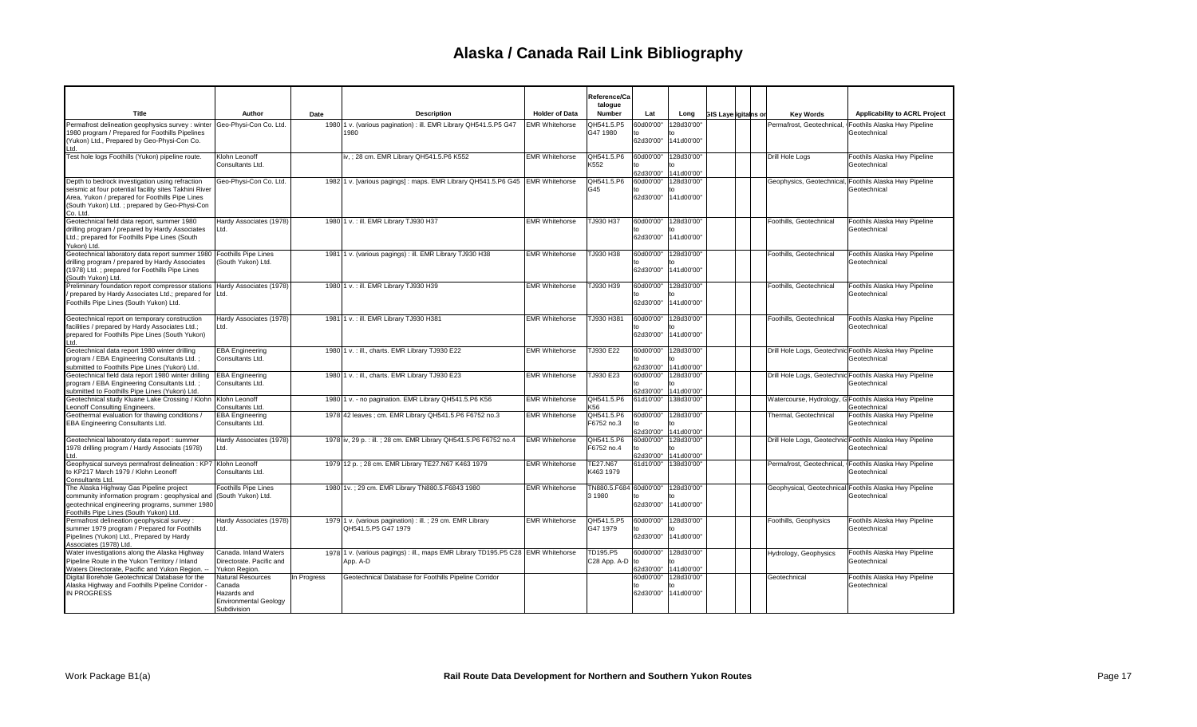|                                                                                                                                                                                                                           |                                                                                           |             |                                                                                              |                       | Reference/Ca<br>talogue            |                              |                          |                             |                           |                                                                          |
|---------------------------------------------------------------------------------------------------------------------------------------------------------------------------------------------------------------------------|-------------------------------------------------------------------------------------------|-------------|----------------------------------------------------------------------------------------------|-----------------------|------------------------------------|------------------------------|--------------------------|-----------------------------|---------------------------|--------------------------------------------------------------------------|
| Title                                                                                                                                                                                                                     | Author                                                                                    | Date        | <b>Description</b>                                                                           | <b>Holder of Data</b> | <b>Number</b>                      | Lat                          | Long                     | <b>GIS Layerigitains or</b> | <b>Key Words</b>          | Applicability to ACRL Project                                            |
| Permafrost delineation geophysics survey : winter<br>1980 program / Prepared for Foothills Pipelines<br>(Yukon) Ltd., Prepared by Geo-Physi-Con Co.<br>l td                                                               | Geo-Physi-Con Co. Ltd.                                                                    |             | 1980 1 v. (various pagination) : ill. EMR Library QH541.5.P5 G47<br>1980                     | <b>EMR Whitehorse</b> | QH541.5.P5<br>G47 1980             | 60d00'00<br>to<br>62d30'00   | 128d30'00"<br>141d00'00" |                             | Permafrost, Geotechnical, | Foothils Alaska Hwy Pipeline<br>Geotechnical                             |
| Test hole logs Foothills (Yukon) pipeline route.                                                                                                                                                                          | Klohn Leonoff<br>Consultants Ltd.                                                         |             | iv, ; 28 cm. EMR Library QH541.5.P6 K552                                                     | <b>EMR Whitehorse</b> | QH541.5.P6<br>K552                 | 60d00'00'<br>62d30'00'       | 128d30'00"<br>141d00'00" |                             | Drill Hole Loas           | Foothils Alaska Hwy Pipeline<br>Geotechnical                             |
| Depth to bedrock investigation using refraction<br>seismic at four potential facility sites Takhini River<br>Area, Yukon / prepared for Foothills Pipe Lines<br>(South Yukon) Ltd.; prepared by Geo-Physi-Con<br>Co. Ltd. | Geo-Physi-Con Co. Ltd.                                                                    |             | 1982 1 v. [various pagings] : maps. EMR Library QH541.5.P6 G45 EMR Whitehorse                |                       | QH541.5.P6<br>G45                  | 60d00'00"<br>to<br>62d30'00" | 128d30'00"<br>141d00'00" |                             |                           | Geophysics, Geotechnical, Foothils Alaska Hwy Pipeline<br>Geotechnical   |
| Geotechnical field data report, summer 1980<br>drilling program / prepared by Hardy Associates<br>Ltd.; prepared for Foothills Pipe Lines (South<br>Yukon) Ltd.                                                           | Hardy Associates (1978)<br>Ltd.                                                           |             | 1980 1 v. : ill. EMR Library TJ930 H37                                                       | <b>EMR Whitehorse</b> | TJ930 H37                          | 60d00'00<br>62d30'00         | 128d30'00"<br>141d00'00" |                             | Foothills, Geotechnical   | Foothils Alaska Hwy Pipeline<br>Geotechnical                             |
| Geotechnical laboratory data report summer 1980<br>drilling program / prepared by Hardy Associates<br>(1978) Ltd.; prepared for Foothills Pipe Lines<br>(South Yukon) Ltd.                                                | Foothills Pipe Lines<br>(South Yukon) Ltd.                                                |             | 1981 1 v. (various pagings) : ill. EMR Library TJ930 H38                                     | <b>EMR Whitehorse</b> | TJ930 H38                          | 60d00'00<br>62d30'00"        | 128d30'00"<br>141d00'00" |                             | Foothills, Geotechnical   | Foothils Alaska Hwy Pipeline<br>Geotechnical                             |
| Preliminary foundation report compressor stations Hardy Associates (1978)<br>prepared by Hardy Associates Ltd.; prepared for Ltd.<br>Foothills Pipe Lines (South Yukon) Ltd.                                              |                                                                                           |             | 1980 1 v. : ill. EMR Library TJ930 H39                                                       | <b>EMR Whitehorse</b> | TJ930 H39                          | 60d00'00"<br>62d30'00        | 128d30'00"<br>141d00'00" |                             | Foothills, Geotechnical   | Foothils Alaska Hwy Pipeline<br>Geotechnical                             |
| Geotechnical report on temporary construction<br>facilities / prepared by Hardy Associates Ltd.;<br>prepared for Foothills Pipe Lines (South Yukon)<br>Ltd.                                                               | Hardy Associates (1978)<br>Ltd.                                                           |             | 1981 1 v. : ill. EMR Library TJ930 H381                                                      | <b>EMR Whitehorse</b> | TJ930 H381                         | 60d00'00'<br>62d30'00'       | 128d30'00"<br>141d00'00" |                             | Foothills, Geotechnical   | Foothils Alaska Hwy Pipeline<br>Geotechnical                             |
| Geotechnical data report 1980 winter drilling<br>program / EBA Engineering Consultants Ltd.;<br>submitted to Foothills Pipe Lines (Yukon) Ltd.                                                                            | <b>EBA Engineering</b><br>Consultants Ltd.                                                |             | 1980 1 v. : ill., charts. EMR Library TJ930 E22                                              | <b>EMR Whitehorse</b> | TJ930 E22                          | 60d00'00<br>62d30'00'        | 128d30'00"<br>141d00'00" |                             |                           | Drill Hole Logs, Geotechnic Foothils Alaska Hwy Pipeline<br>Geotechnical |
| Geotechnical field data report 1980 winter drilling<br>program / EBA Engineering Consultants Ltd.;<br>submitted to Foothills Pipe Lines (Yukon) Ltd.                                                                      | <b>EBA</b> Engineering<br>Consultants Ltd.                                                |             | 1980 1 v. : ill., charts. EMR Library TJ930 E23                                              | <b>EMR Whitehorse</b> | TJ930 E23                          | 60d00'00"<br>to<br>62d30'00' | 128d30'00"<br>141d00'00" |                             |                           | Drill Hole Logs, Geotechnic Foothils Alaska Hwy Pipeline<br>Geotechnical |
| Geotechnical study Kluane Lake Crossing / Klohn<br>eonoff Consulting Engineers.                                                                                                                                           | Klohn Leonoff<br>Consultants Ltd.                                                         |             | 1980 1 v. - no pagination. EMR Library QH541.5.P6 K56                                        | <b>EMR Whitehorse</b> | QH541.5.P6<br>K56                  | 61d10'00'                    | 138d30'00"               |                             | Watercourse, Hydrology,   | G Foothils Alaska Hwy Pipeline<br>Geotechnical                           |
| Geothermal evaluation for thawing conditions /<br>EBA Engineering Consultants Ltd.                                                                                                                                        | <b>EBA Engineering</b><br>Consultants Ltd.                                                |             | 1978 42 leaves ; cm. EMR Library QH541.5.P6 F6752 no.3                                       | <b>EMR Whitehorse</b> | QH541.5.P6<br>F6752 no.3           | 60d00'00<br>to<br>62d30'00"  | 128d30'00"<br>141d00'00" |                             | Thermal, Geotechnical     | Foothils Alaska Hwy Pipeline<br>Geotechnical                             |
| Geotechnical laboratory data report : summer<br>1978 drilling program / Hardy Associats (1978)<br>Ltd.                                                                                                                    | Hardy Associates (1978)<br>Ltd.                                                           |             | 1978 iv, 29 p. : ill. ; 28 cm. EMR Library QH541.5.P6 F6752 no.4                             | <b>EMR Whitehorse</b> | QH541.5.P6<br>F6752 no.4           | 60d00'00'<br>to<br>62d30'00' | 128d30'00"<br>141d00'00" |                             |                           | Drill Hole Logs, Geotechnic Foothils Alaska Hwy Pipeline<br>Geotechnical |
| Geophysical surveys permafrost delineation : KP7   Klohn Leonoff<br>to KP217 March 1979 / Klohn Leonoff<br>Consultants Ltd.                                                                                               | Consultants Ltd.                                                                          |             | 1979 12 p. ; 28 cm. EMR Library TE27.N67 K463 1979                                           | <b>EMR Whitehorse</b> | <b>TE27.N67</b><br>K463 1979       | 61d10'00"                    | 138d30'00"               |                             | Permafrost, Geotechnical, | Foothils Alaska Hwy Pipeline<br>Geotechnical                             |
| The Alaska Highway Gas Pipeline project<br>community information program : geophysical and (South Yukon) Ltd.<br>geotechnical engineering programs, summer 1980<br>Foothills Pipe Lines (South Yukon) Ltd.                | <b>Foothills Pipe Lines</b>                                                               |             | 1980 1v.; 29 cm. EMR Library TN880.5.F6843 1980                                              | <b>EMR Whitehorse</b> | TN880.5.F684 60d00'00<br>3 1 9 8 0 | 62d30'00                     | 128d30'00"<br>141d00'00" |                             |                           | Geophysical, Geotechnical Foothils Alaska Hwy Pipeline<br>Geotechnical   |
| Permafrost delineation geophysical survey:<br>summer 1979 program / Prepared for Foothills<br>Pipelines (Yukon) Ltd., Prepared by Hardy<br>Associates (1978) Ltd.                                                         | Hardy Associates (1978)<br>Ltd.                                                           |             | 1979 1 v. (various pagination) : ill. ; 29 cm. EMR Library<br>QH541.5.P5 G47 1979            | <b>EMR Whitehorse</b> | QH541.5.P5<br>G47 1979             | 60d00'00'<br>62d30'00"       | 128d30'00"<br>141d00'00" |                             | Foothills, Geophysics     | Foothils Alaska Hwy Pipeline<br>Geotechnical                             |
| Water investigations along the Alaska Highway<br>Pipeline Route in the Yukon Territory / Inland<br>Waters Directorate, Pacific and Yukon Region. --                                                                       | Canada, Inland Waters<br>Directorate, Pacific and<br>Yukon Region.                        |             | 1978 1 v. (various pagings) : ill., maps EMR Library TD195.P5 C28 EMR Whitehorse<br>App. A-D |                       | TD195.P5<br>C28 App. A-D           | 60d00'00"<br>to<br>62d30'00" | 128d30'00"<br>141d00'00" |                             | Hydrology, Geophysics     | Foothils Alaska Hwy Pipeline<br>Geotechnical                             |
| Digital Borehole Geotechnical Database for the<br>Alaska Highway and Foothills Pipeline Corridor<br><b>IN PROGRESS</b>                                                                                                    | Natural Resources<br>Canada<br>Hazards and<br><b>Environmental Geology</b><br>Subdivision | In Progress | Geotechnical Database for Foothills Pipeline Corridor                                        |                       |                                    | 60d00'00'<br>62d30'00"       | 128d30'00"<br>141d00'00" |                             | Geotechnical              | Foothils Alaska Hwy Pipeline<br>Geotechnical                             |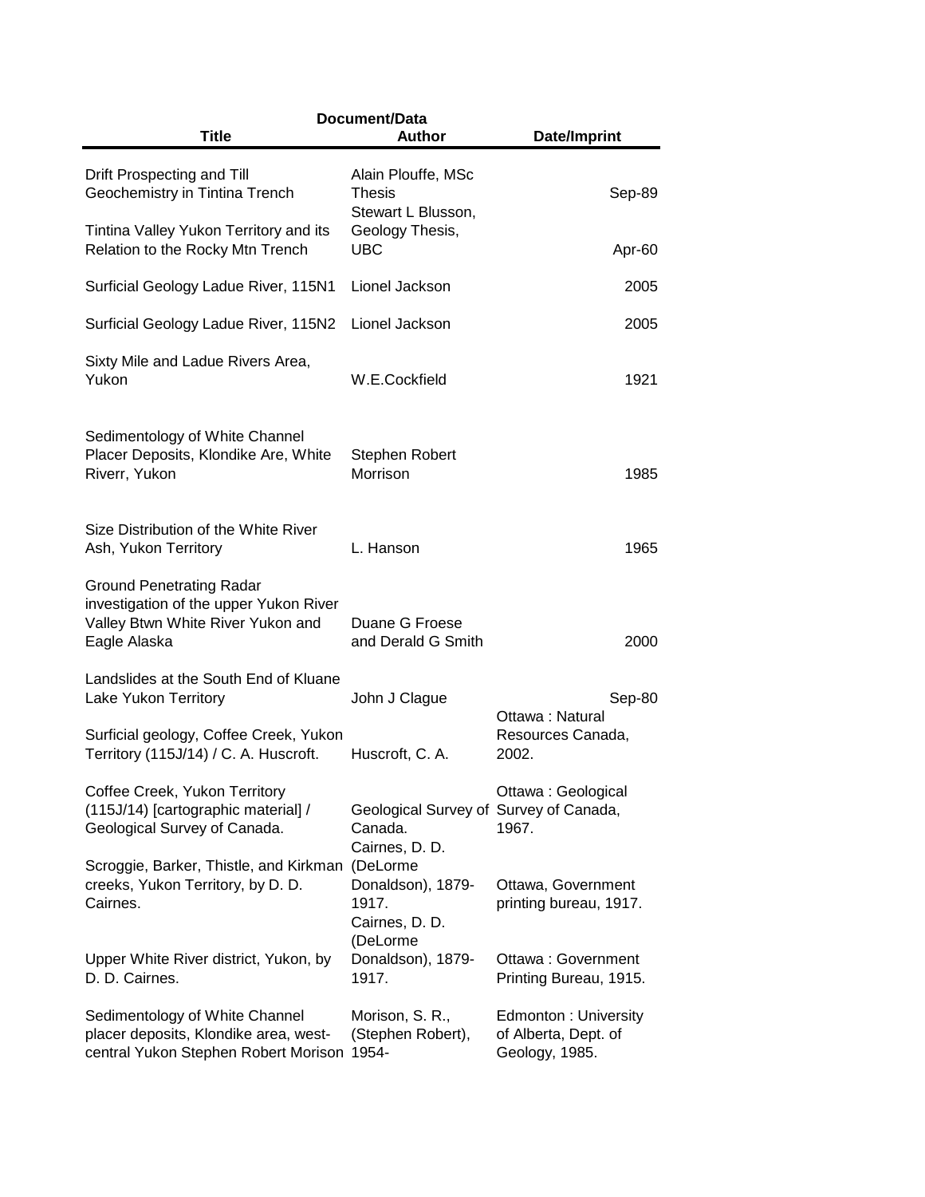| Document/Data                                                                                                                  |                                                                      |                                                                |  |  |  |  |
|--------------------------------------------------------------------------------------------------------------------------------|----------------------------------------------------------------------|----------------------------------------------------------------|--|--|--|--|
| <b>Title</b>                                                                                                                   | <b>Author</b>                                                        | Date/Imprint                                                   |  |  |  |  |
| Drift Prospecting and Till<br>Geochemistry in Tintina Trench                                                                   | Alain Plouffe, MSc<br>Thesis<br>Stewart L Blusson,                   | Sep-89                                                         |  |  |  |  |
| Tintina Valley Yukon Territory and its<br>Relation to the Rocky Mtn Trench                                                     | Geology Thesis,<br><b>UBC</b>                                        | Apr-60                                                         |  |  |  |  |
| Surficial Geology Ladue River, 115N1                                                                                           | Lionel Jackson                                                       | 2005                                                           |  |  |  |  |
| Surficial Geology Ladue River, 115N2                                                                                           | Lionel Jackson                                                       | 2005                                                           |  |  |  |  |
| Sixty Mile and Ladue Rivers Area,<br>Yukon                                                                                     | W.E.Cockfield                                                        | 1921                                                           |  |  |  |  |
| Sedimentology of White Channel<br>Placer Deposits, Klondike Are, White<br>Riverr, Yukon                                        | Stephen Robert<br>Morrison                                           | 1985                                                           |  |  |  |  |
| Size Distribution of the White River<br>Ash, Yukon Territory                                                                   | L. Hanson                                                            | 1965                                                           |  |  |  |  |
| <b>Ground Penetrating Radar</b><br>investigation of the upper Yukon River<br>Valley Btwn White River Yukon and<br>Eagle Alaska | Duane G Froese<br>and Derald G Smith                                 | 2000                                                           |  |  |  |  |
| Landslides at the South End of Kluane<br>Lake Yukon Territory                                                                  | John J Clague                                                        | Sep-80<br>Ottawa: Natural                                      |  |  |  |  |
| Surficial geology, Coffee Creek, Yukon<br>Territory (115J/14) / C. A. Huscroft.                                                | Huscroft, C. A.                                                      | Resources Canada,<br>2002.                                     |  |  |  |  |
| Coffee Creek, Yukon Territory<br>(115J/14) [cartographic material] /<br>Geological Survey of Canada.                           | Geological Survey of Survey of Canada,<br>Canada.<br>Cairnes, D. D.  | Ottawa: Geological<br>1967.                                    |  |  |  |  |
| Scroggie, Barker, Thistle, and Kirkman<br>creeks, Yukon Territory, by D. D.<br>Cairnes.                                        | (DeLorme<br>Donaldson), 1879-<br>1917.<br>Cairnes, D. D.<br>(DeLorme | Ottawa, Government<br>printing bureau, 1917.                   |  |  |  |  |
| Upper White River district, Yukon, by<br>D. D. Cairnes.                                                                        | Donaldson), 1879-<br>1917.                                           | Ottawa: Government<br>Printing Bureau, 1915.                   |  |  |  |  |
| Sedimentology of White Channel<br>placer deposits, Klondike area, west-<br>central Yukon Stephen Robert Morison                | Morison, S. R.,<br>(Stephen Robert),<br>1954-                        | Edmonton: University<br>of Alberta, Dept. of<br>Geology, 1985. |  |  |  |  |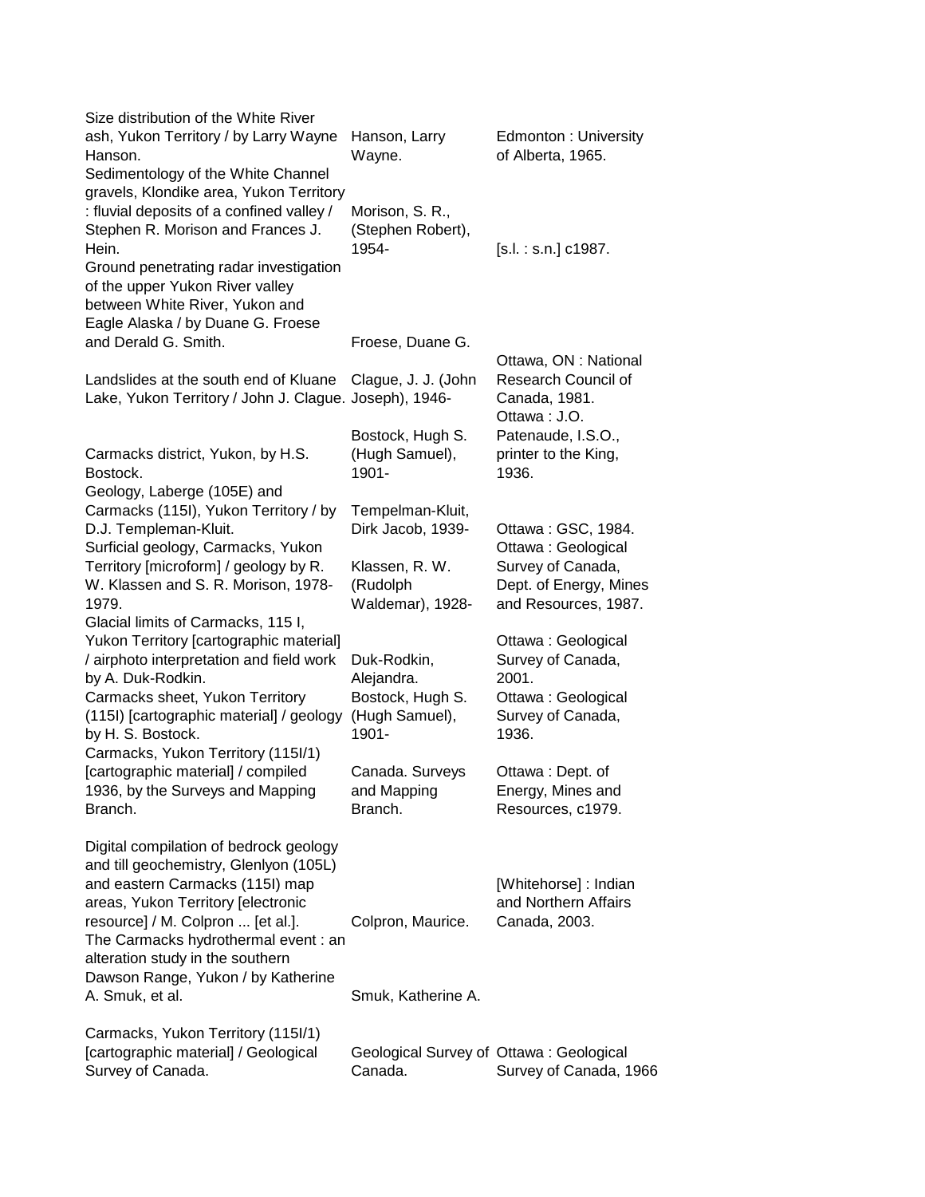| Hanson, Larry<br>Wayne.                                                  | Edmonton: University<br>of Alberta, 1965.                                                                                                 |
|--------------------------------------------------------------------------|-------------------------------------------------------------------------------------------------------------------------------------------|
| Morison, S. R.,<br>(Stephen Robert),<br>1954-                            | $[s.l. : s.n.]$ c1987.                                                                                                                    |
| Froese, Duane G.                                                         | Ottawa, ON: National                                                                                                                      |
| Clague, J. J. (John                                                      | Research Council of<br>Canada, 1981.<br>Ottawa: J.O.                                                                                      |
| Bostock, Hugh S.<br>(Hugh Samuel),<br>1901-                              | Patenaude, I.S.O.,<br>printer to the King,<br>1936.                                                                                       |
| Tempelman-Kluit,<br>Dirk Jacob, 1939-                                    | Ottawa: GSC, 1984.<br>Ottawa: Geological                                                                                                  |
| Klassen, R. W.<br>(Rudolph<br>Waldemar), 1928-                           | Survey of Canada,<br>Dept. of Energy, Mines<br>and Resources, 1987.                                                                       |
| Duk-Rodkin,<br>Alejandra.<br>Bostock, Hugh S.<br>(Hugh Samuel),<br>1901- | Ottawa: Geological<br>Survey of Canada,<br>2001.<br>Ottawa: Geological<br>Survey of Canada,<br>1936.                                      |
| Canada. Surveys<br>and Mapping<br>Branch.                                | Ottawa: Dept. of<br>Energy, Mines and<br>Resources, c1979.                                                                                |
| Colpron, Maurice.                                                        | [Whitehorse] : Indian<br>and Northern Affairs<br>Canada, 2003.                                                                            |
| Smuk, Katherine A.                                                       |                                                                                                                                           |
| Geological Survey of Ottawa: Geological<br>Canada.                       | Survey of Canada, 1966                                                                                                                    |
| (115I) [cartographic material] / geology                                 | gravels, Klondike area, Yukon Territory<br>Lake, Yukon Territory / John J. Clague. Joseph), 1946-<br>The Carmacks hydrothermal event : an |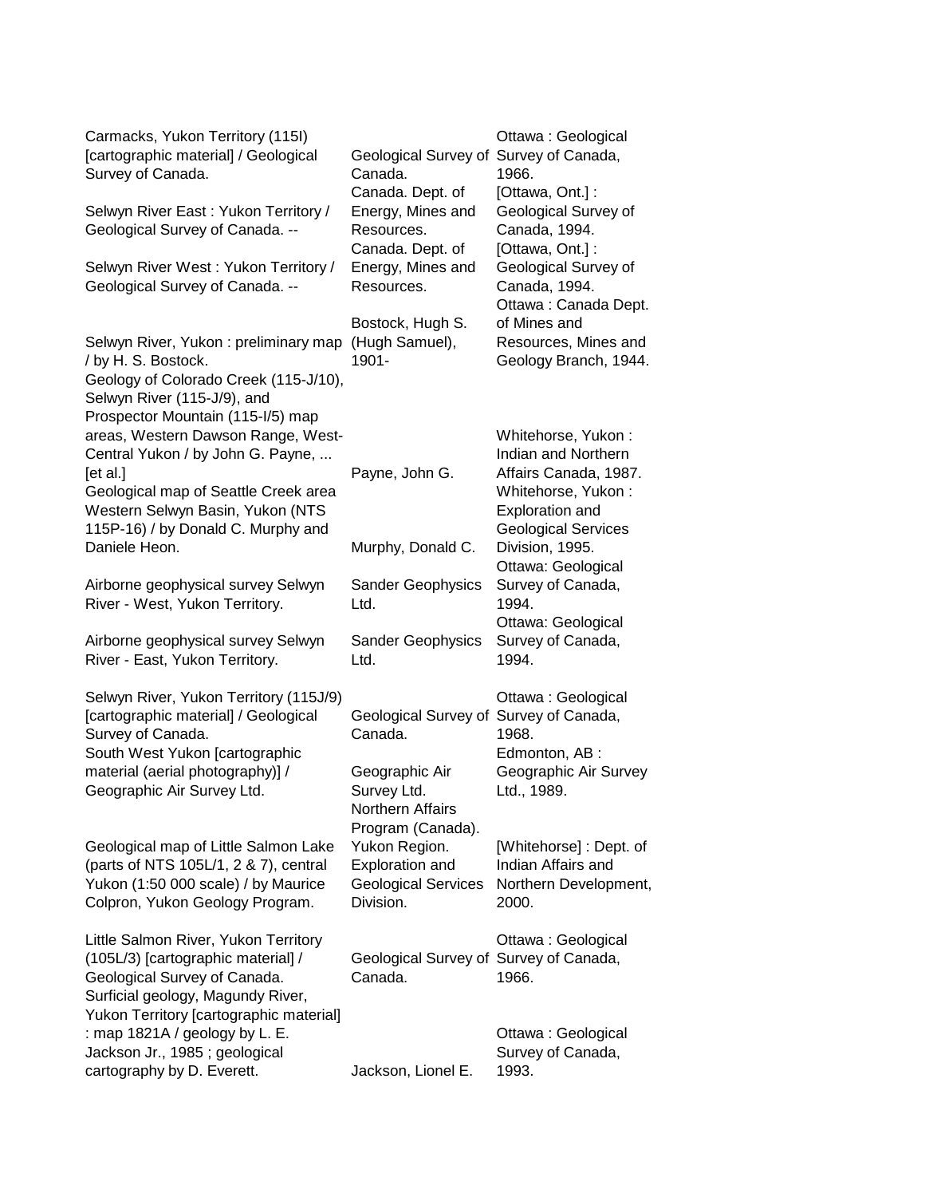| Carmacks, Yukon Territory (115I)<br>[cartographic material] / Geological<br>Survey of Canada.<br>Selwyn River East: Yukon Territory /<br>Geological Survey of Canada. --                              | Geological Survey of<br>Canada.<br>Canada. Dept. of<br>Energy, Mines and<br>Resources.<br>Canada. Dept. of | Ottawa: Geological<br>Survey of Canada,<br>1966.<br>[Ottawa, Ont.]:<br>Geological Survey of<br>Canada, 1994.<br>[Ottawa, Ont.]:                  |
|-------------------------------------------------------------------------------------------------------------------------------------------------------------------------------------------------------|------------------------------------------------------------------------------------------------------------|--------------------------------------------------------------------------------------------------------------------------------------------------|
| Selwyn River West: Yukon Territory /<br>Geological Survey of Canada. --                                                                                                                               | Energy, Mines and<br>Resources.                                                                            | Geological Survey of<br>Canada, 1994.<br>Ottawa: Canada Dept.                                                                                    |
| Selwyn River, Yukon: preliminary map<br>/ by H. S. Bostock.<br>Geology of Colorado Creek (115-J/10),<br>Selwyn River (115-J/9), and<br>Prospector Mountain (115-I/5) map                              | Bostock, Hugh S.<br>(Hugh Samuel),<br>1901-                                                                | of Mines and<br>Resources, Mines and<br>Geology Branch, 1944.                                                                                    |
| areas, Western Dawson Range, West-<br>Central Yukon / by John G. Payne,<br>[et al.]<br>Geological map of Seattle Creek area<br>Western Selwyn Basin, Yukon (NTS<br>115P-16) / by Donald C. Murphy and | Payne, John G.                                                                                             | Whitehorse, Yukon:<br>Indian and Northern<br>Affairs Canada, 1987.<br>Whitehorse, Yukon:<br><b>Exploration and</b><br><b>Geological Services</b> |
| Daniele Heon.                                                                                                                                                                                         | Murphy, Donald C.                                                                                          | Division, 1995.<br>Ottawa: Geological                                                                                                            |
| Airborne geophysical survey Selwyn<br>River - West, Yukon Territory.                                                                                                                                  | <b>Sander Geophysics</b><br>Ltd.                                                                           | Survey of Canada,<br>1994.                                                                                                                       |
| Airborne geophysical survey Selwyn<br>River - East, Yukon Territory.                                                                                                                                  | <b>Sander Geophysics</b><br>Ltd.                                                                           | Ottawa: Geological<br>Survey of Canada,<br>1994.                                                                                                 |
| Selwyn River, Yukon Territory (115J/9)<br>[cartographic material] / Geological<br>Survey of Canada.<br>South West Yukon [cartographic                                                                 | Geological Survey of Survey of Canada,<br>Canada.                                                          | Ottawa: Geological<br>1968.<br>Edmonton, AB:                                                                                                     |
| material (aerial photography)] /<br>Geographic Air Survey Ltd.                                                                                                                                        | Geographic Air<br>Survey Ltd.<br>Northern Affairs                                                          | Geographic Air Survey<br>Ltd., 1989.                                                                                                             |
| Geological map of Little Salmon Lake<br>(parts of NTS 105L/1, 2 & 7), central<br>Yukon (1:50 000 scale) / by Maurice<br>Colpron, Yukon Geology Program.                                               | Program (Canada).<br>Yukon Region.<br>Exploration and<br><b>Geological Services</b><br>Division.           | [Whitehorse]: Dept. of<br>Indian Affairs and<br>Northern Development,<br>2000.                                                                   |
| Little Salmon River, Yukon Territory<br>(105L/3) [cartographic material] /<br>Geological Survey of Canada.<br>Surficial geology, Magundy River,<br>Yukon Territory [cartographic material]            | Geological Survey of Survey of Canada,<br>Canada.                                                          | Ottawa: Geological<br>1966.                                                                                                                      |
| : map 1821A / geology by L. E.<br>Jackson Jr., 1985; geological<br>cartography by D. Everett.                                                                                                         | Jackson, Lionel E.                                                                                         | Ottawa: Geological<br>Survey of Canada,<br>1993.                                                                                                 |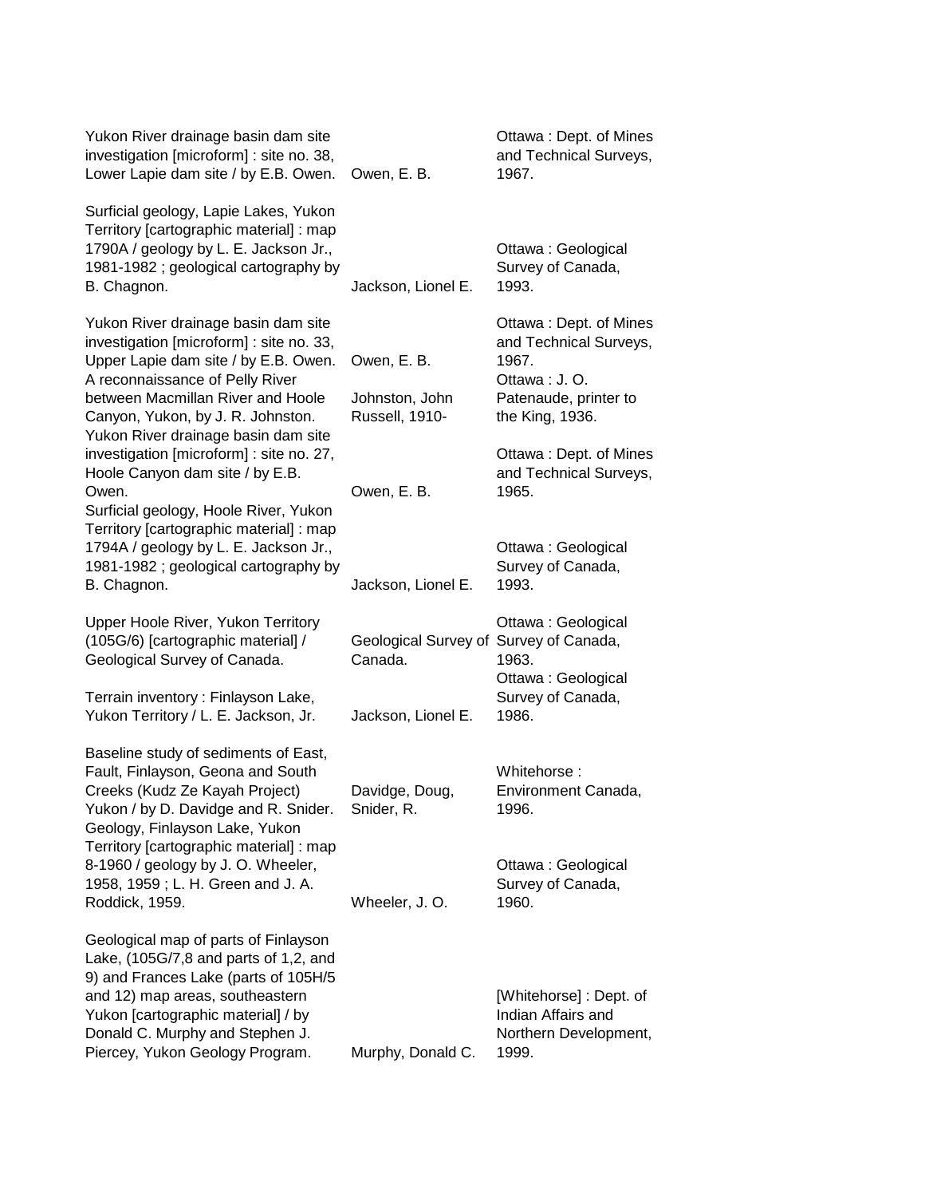| Yukon River drainage basin dam site<br>investigation [microform] : site no. 38,<br>Lower Lapie dam site / by E.B. Owen.                                                                                                                                                     | Owen, E. B.                                       | Ottawa: Dept. of Mines<br>and Technical Surveys,<br>1967.                                                               |  |
|-----------------------------------------------------------------------------------------------------------------------------------------------------------------------------------------------------------------------------------------------------------------------------|---------------------------------------------------|-------------------------------------------------------------------------------------------------------------------------|--|
| Surficial geology, Lapie Lakes, Yukon<br>Territory [cartographic material] : map<br>1790A / geology by L. E. Jackson Jr.,<br>1981-1982; geological cartography by<br>B. Chagnon.                                                                                            | Jackson, Lionel E.                                | Ottawa: Geological<br>Survey of Canada,<br>1993.                                                                        |  |
| Yukon River drainage basin dam site<br>investigation [microform] : site no. 33,<br>Upper Lapie dam site / by E.B. Owen.<br>A reconnaissance of Pelly River<br>between Macmillan River and Hoole<br>Canyon, Yukon, by J. R. Johnston.<br>Yukon River drainage basin dam site | Owen, E. B.<br>Johnston, John<br>Russell, 1910-   | Ottawa: Dept. of Mines<br>and Technical Surveys,<br>1967.<br>Ottawa : J. O.<br>Patenaude, printer to<br>the King, 1936. |  |
| investigation [microform] : site no. 27,<br>Hoole Canyon dam site / by E.B.<br>Owen.<br>Surficial geology, Hoole River, Yukon<br>Territory [cartographic material] : map                                                                                                    | Owen, E. B.                                       | Ottawa: Dept. of Mines<br>and Technical Surveys,<br>1965.                                                               |  |
| 1794A / geology by L. E. Jackson Jr.,<br>1981-1982; geological cartography by<br>B. Chagnon.                                                                                                                                                                                | Jackson, Lionel E.                                | Ottawa: Geological<br>Survey of Canada,<br>1993.                                                                        |  |
| Upper Hoole River, Yukon Territory<br>(105G/6) [cartographic material] /<br>Geological Survey of Canada.                                                                                                                                                                    | Geological Survey of Survey of Canada,<br>Canada. | Ottawa: Geological<br>1963.                                                                                             |  |
| Terrain inventory : Finlayson Lake,<br>Yukon Territory / L. E. Jackson, Jr.                                                                                                                                                                                                 | Jackson, Lionel E.                                | Ottawa: Geological<br>Survey of Canada,<br>1986.                                                                        |  |
| Baseline study of sediments of East,<br>Fault, Finlayson, Geona and South<br>Creeks (Kudz Ze Kayah Project)<br>Yukon / by D. Davidge and R. Snider.<br>Geology, Finlayson Lake, Yukon                                                                                       | Davidge, Doug,<br>Snider, R.                      | Whitehorse:<br>Environment Canada,<br>1996.                                                                             |  |
| Territory [cartographic material] : map<br>8-1960 / geology by J. O. Wheeler,<br>1958, 1959; L. H. Green and J. A.<br>Roddick, 1959.                                                                                                                                        | Wheeler, J.O.                                     | Ottawa: Geological<br>Survey of Canada,<br>1960.                                                                        |  |
| Geological map of parts of Finlayson<br>Lake, (105G/7,8 and parts of 1,2, and<br>9) and Frances Lake (parts of 105H/5<br>and 12) map areas, southeastern<br>Yukon [cartographic material] / by<br>Donald C. Murphy and Stephen J.<br>Piercey, Yukon Geology Program.        | Murphy, Donald C.                                 | [Whitehorse]: Dept. of<br>Indian Affairs and<br>Northern Development,<br>1999.                                          |  |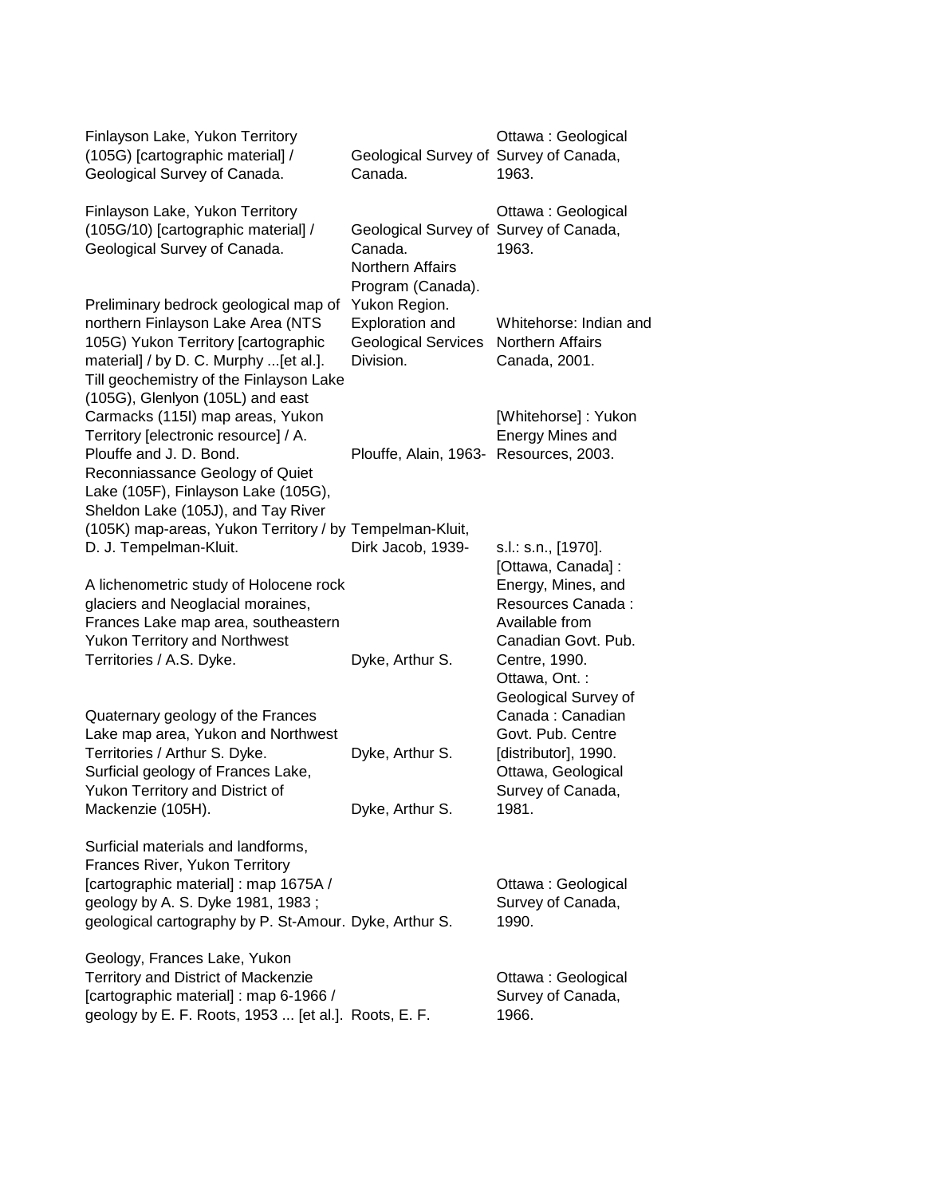| Finlayson Lake, Yukon Territory<br>(105G) [cartographic material] /<br>Geological Survey of Canada.                                                                                                                                        | Geological Survey of Survey of Canada,<br>Canada.                                                 | Ottawa: Geological<br>1963.                                                                            |
|--------------------------------------------------------------------------------------------------------------------------------------------------------------------------------------------------------------------------------------------|---------------------------------------------------------------------------------------------------|--------------------------------------------------------------------------------------------------------|
| Finlayson Lake, Yukon Territory<br>(105G/10) [cartographic material] /<br>Geological Survey of Canada.                                                                                                                                     | Geological Survey of Survey of Canada,<br>Canada.<br><b>Northern Affairs</b><br>Program (Canada). | Ottawa: Geological<br>1963.                                                                            |
| Preliminary bedrock geological map of<br>northern Finlayson Lake Area (NTS<br>105G) Yukon Territory [cartographic<br>material] / by D. C. Murphy  [et al.].<br>Till geochemistry of the Finlayson Lake<br>(105G), Glenlyon (105L) and east | Yukon Region.<br><b>Exploration and</b><br><b>Geological Services</b><br>Division.                | Whitehorse: Indian and<br>Northern Affairs<br>Canada, 2001.                                            |
| Carmacks (115I) map areas, Yukon<br>Territory [electronic resource] / A.<br>Plouffe and J. D. Bond.<br>Reconniassance Geology of Quiet                                                                                                     | Plouffe, Alain, 1963- Resources, 2003.                                                            | [Whitehorse]: Yukon<br>Energy Mines and                                                                |
| Lake (105F), Finlayson Lake (105G),<br>Sheldon Lake (105J), and Tay River<br>(105K) map-areas, Yukon Territory / by Tempelman-Kluit,<br>D. J. Tempelman-Kluit.                                                                             | Dirk Jacob, 1939-                                                                                 | s.l.: s.n., [1970].<br>[Ottawa, Canada]:                                                               |
| A lichenometric study of Holocene rock<br>glaciers and Neoglacial moraines,<br>Frances Lake map area, southeastern<br><b>Yukon Territory and Northwest</b><br>Territories / A.S. Dyke.                                                     | Dyke, Arthur S.                                                                                   | Energy, Mines, and<br>Resources Canada:<br>Available from<br>Canadian Govt. Pub.<br>Centre, 1990.      |
| Quaternary geology of the Frances<br>Lake map area, Yukon and Northwest<br>Territories / Arthur S. Dyke.                                                                                                                                   | Dyke, Arthur S.                                                                                   | Ottawa, Ont.:<br>Geological Survey of<br>Canada: Canadian<br>Govt. Pub. Centre<br>[distributor], 1990. |
| Surficial geology of Frances Lake,<br>Yukon Territory and District of<br>Mackenzie (105H).                                                                                                                                                 | Dyke, Arthur S.                                                                                   | Ottawa, Geological<br>Survey of Canada,<br>1981.                                                       |
| Surficial materials and landforms,<br>Frances River, Yukon Territory<br>[cartographic material] : map 1675A /<br>geology by A. S. Dyke 1981, 1983;<br>geological cartography by P. St-Amour. Dyke, Arthur S.                               |                                                                                                   | Ottawa: Geological<br>Survey of Canada,<br>1990.                                                       |
| Geology, Frances Lake, Yukon<br>Territory and District of Mackenzie<br>[cartographic material] : map 6-1966 /<br>geology by E. F. Roots, 1953  [et al.]. Roots, E. F.                                                                      |                                                                                                   | Ottawa: Geological<br>Survey of Canada,<br>1966.                                                       |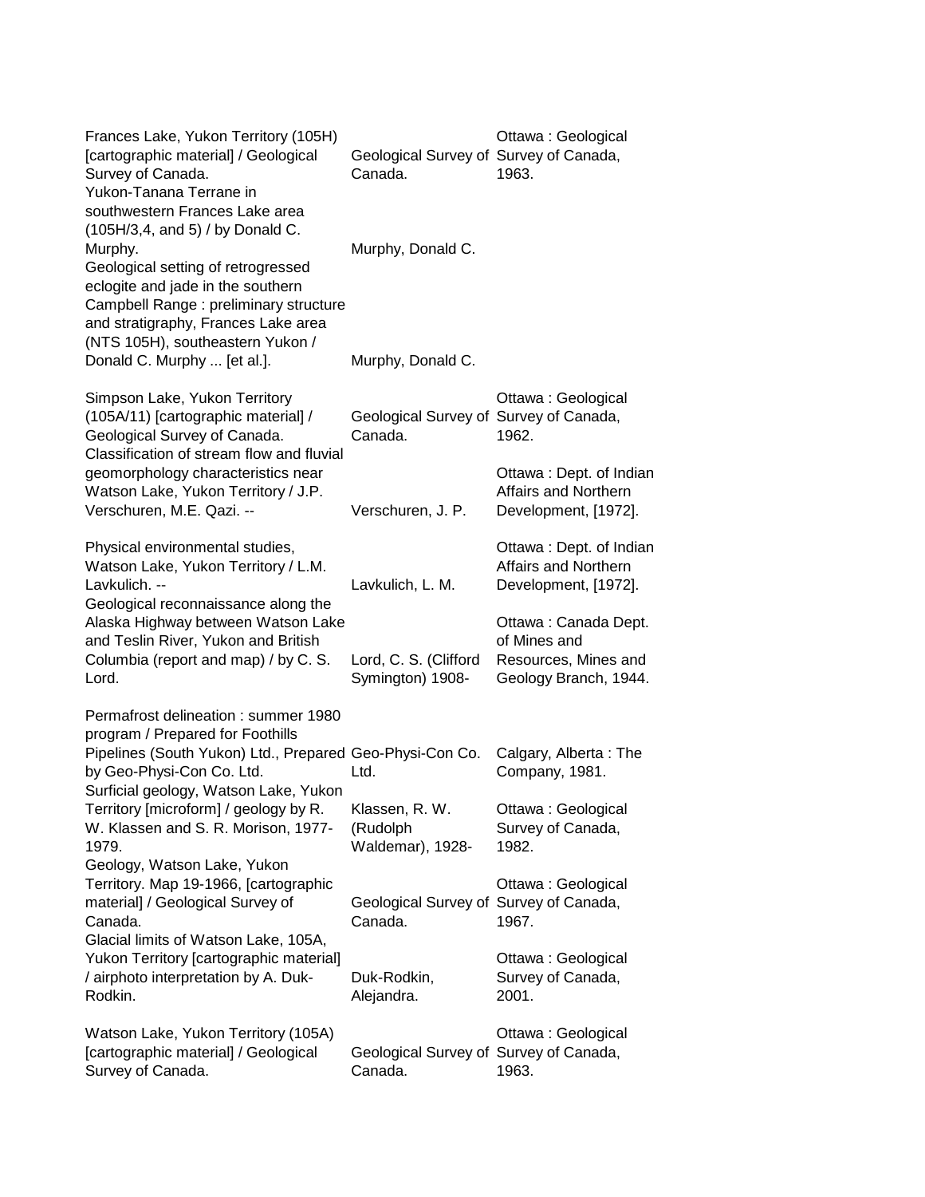| Frances Lake, Yukon Territory (105H)<br>[cartographic material] / Geological<br>Survey of Canada.<br>Yukon-Tanana Terrane in<br>southwestern Frances Lake area<br>(105H/3,4, and 5) / by Donald C.     | Geological Survey of Survey of Canada,<br>Canada. | Ottawa: Geological<br>1963.                                                           |
|--------------------------------------------------------------------------------------------------------------------------------------------------------------------------------------------------------|---------------------------------------------------|---------------------------------------------------------------------------------------|
| Murphy.<br>Geological setting of retrogressed<br>eclogite and jade in the southern<br>Campbell Range: preliminary structure<br>and stratigraphy, Frances Lake area<br>(NTS 105H), southeastern Yukon / | Murphy, Donald C.                                 |                                                                                       |
| Donald C. Murphy  [et al.].                                                                                                                                                                            | Murphy, Donald C.                                 |                                                                                       |
| Simpson Lake, Yukon Territory<br>(105A/11) [cartographic material] /<br>Geological Survey of Canada.<br>Classification of stream flow and fluvial                                                      | Geological Survey of Survey of Canada,<br>Canada. | Ottawa: Geological<br>1962.                                                           |
| geomorphology characteristics near<br>Watson Lake, Yukon Territory / J.P.<br>Verschuren, M.E. Qazi. --                                                                                                 | Verschuren, J. P.                                 | Ottawa: Dept. of Indian<br>Affairs and Northern<br>Development, [1972].               |
| Physical environmental studies,<br>Watson Lake, Yukon Territory / L.M.<br>Lavkulich. --<br>Geological reconnaissance along the                                                                         | Lavkulich, L. M.                                  | Ottawa: Dept. of Indian<br>Affairs and Northern<br>Development, [1972].               |
| Alaska Highway between Watson Lake<br>and Teslin River, Yukon and British<br>Columbia (report and map) / by C. S.<br>Lord.                                                                             | Lord, C. S. (Clifford<br>Symington) 1908-         | Ottawa: Canada Dept.<br>of Mines and<br>Resources, Mines and<br>Geology Branch, 1944. |
| Permafrost delineation: summer 1980                                                                                                                                                                    |                                                   |                                                                                       |
| program / Prepared for Foothills<br>Pipelines (South Yukon) Ltd., Prepared Geo-Physi-Con Co.<br>by Geo-Physi-Con Co. Ltd.<br>Surficial geology, Watson Lake, Yukon                                     | Ltd.                                              | Calgary, Alberta: The<br>Company, 1981.                                               |
| Territory [microform] / geology by R.<br>W. Klassen and S. R. Morison, 1977-<br>1979.<br>Geology, Watson Lake, Yukon                                                                                   | Klassen, R. W.<br>(Rudolph<br>Waldemar), 1928-    | Ottawa: Geological<br>Survey of Canada,<br>1982.                                      |
| Territory. Map 19-1966, [cartographic<br>material] / Geological Survey of<br>Canada.<br>Glacial limits of Watson Lake, 105A,                                                                           | Geological Survey of Survey of Canada,<br>Canada. | Ottawa: Geological<br>1967.                                                           |
| Yukon Territory [cartographic material]<br>/ airphoto interpretation by A. Duk-<br>Rodkin.                                                                                                             | Duk-Rodkin,<br>Alejandra.                         | Ottawa: Geological<br>Survey of Canada,<br>2001.                                      |
| Watson Lake, Yukon Territory (105A)<br>[cartographic material] / Geological<br>Survey of Canada.                                                                                                       | Geological Survey of Survey of Canada,<br>Canada. | Ottawa: Geological<br>1963.                                                           |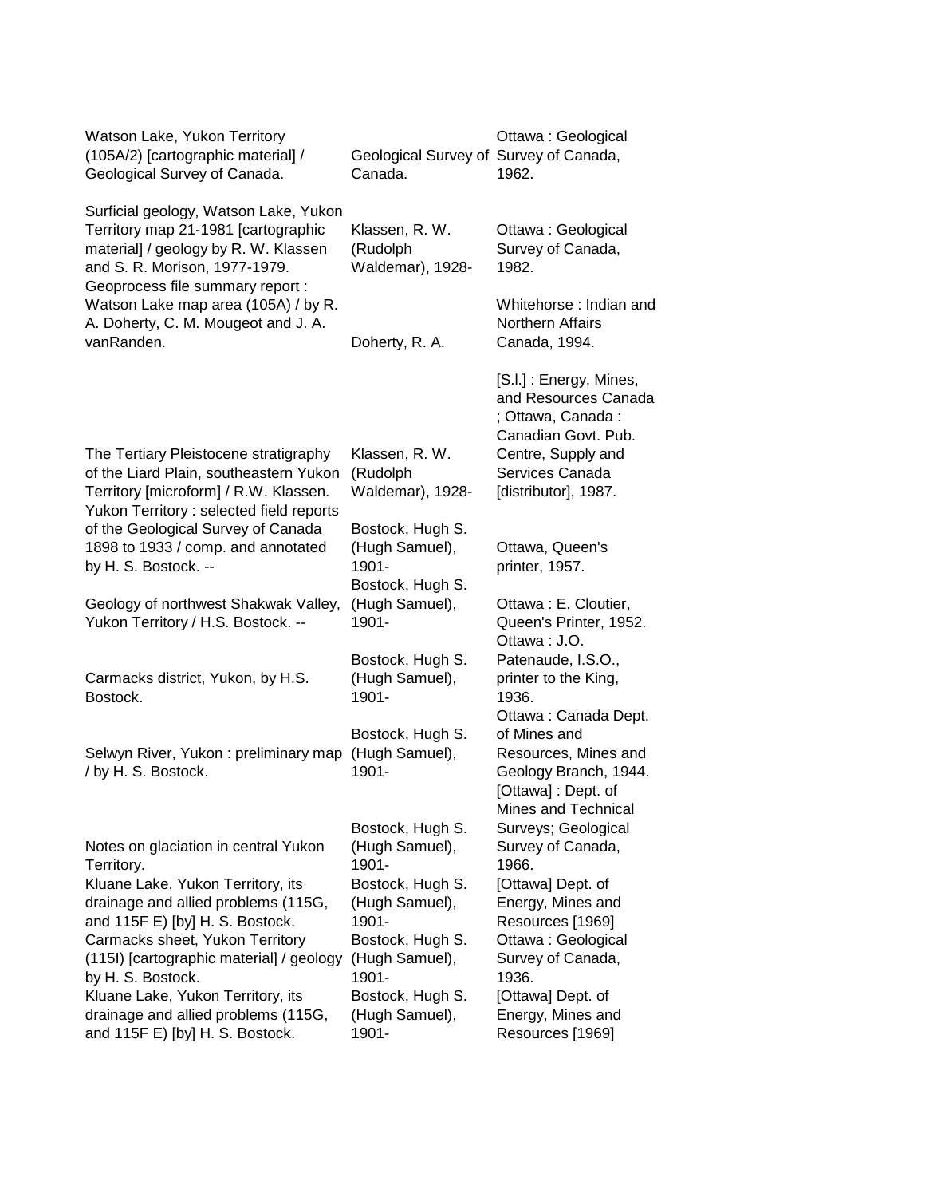| Watson Lake, Yukon Territory<br>(105A/2) [cartographic material] /<br>Geological Survey of Canada.                                                                                         | Geological Survey of Survey of Canada,<br>Canada.                                 | Ottawa: Geological<br>1962.                                                                                                         |
|--------------------------------------------------------------------------------------------------------------------------------------------------------------------------------------------|-----------------------------------------------------------------------------------|-------------------------------------------------------------------------------------------------------------------------------------|
| Surficial geology, Watson Lake, Yukon<br>Territory map 21-1981 [cartographic<br>material] / geology by R. W. Klassen<br>and S. R. Morison, 1977-1979.<br>Geoprocess file summary report :  | Klassen, R. W.<br>(Rudolph<br>Waldemar), 1928-                                    | Ottawa: Geological<br>Survey of Canada,<br>1982.                                                                                    |
| Watson Lake map area (105A) / by R.<br>A. Doherty, C. M. Mougeot and J. A.<br>vanRanden.                                                                                                   | Doherty, R. A.                                                                    | Whitehorse: Indian and<br><b>Northern Affairs</b><br>Canada, 1994.                                                                  |
|                                                                                                                                                                                            |                                                                                   | [S.I.] : Energy, Mines,<br>and Resources Canada<br>; Ottawa, Canada:<br>Canadian Govt, Pub.                                         |
| The Tertiary Pleistocene stratigraphy<br>of the Liard Plain, southeastern Yukon<br>Territory [microform] / R.W. Klassen.<br>Yukon Territory : selected field reports                       | Klassen, R. W.<br>(Rudolph<br>Waldemar), 1928-                                    | Centre, Supply and<br>Services Canada<br>[distributor], 1987.                                                                       |
| of the Geological Survey of Canada<br>1898 to 1933 / comp. and annotated<br>by H. S. Bostock. --                                                                                           | Bostock, Hugh S.<br>(Hugh Samuel),<br>1901-<br>Bostock, Hugh S.                   | Ottawa, Queen's<br>printer, 1957.                                                                                                   |
| Geology of northwest Shakwak Valley,<br>Yukon Territory / H.S. Bostock. --                                                                                                                 | (Hugh Samuel),<br>1901-                                                           | Ottawa: E. Cloutier,<br>Queen's Printer, 1952.<br>Ottawa: J.O.                                                                      |
| Carmacks district, Yukon, by H.S.<br>Bostock.                                                                                                                                              | Bostock, Hugh S.<br>(Hugh Samuel),<br>1901-                                       | Patenaude, I.S.O.,<br>printer to the King,<br>1936.                                                                                 |
| Selwyn River, Yukon: preliminary map<br>/ by H. S. Bostock.                                                                                                                                | Bostock, Hugh S.<br>(Hugh Samuel),<br>1901-                                       | Ottawa: Canada Dept.<br>of Mines and<br>Resources, Mines and<br>Geology Branch, 1944.<br>[Ottawa] : Dept. of<br>Mines and Technical |
| Notes on glaciation in central Yukon<br>Territory.                                                                                                                                         | Bostock, Hugh S.<br>(Hugh Samuel),<br>1901-                                       | Surveys; Geological<br>Survey of Canada,<br>1966.                                                                                   |
| Kluane Lake, Yukon Territory, its<br>drainage and allied problems (115G,<br>and 115F E) [by] H. S. Bostock.<br>Carmacks sheet, Yukon Territory<br>(115I) [cartographic material] / geology | Bostock, Hugh S.<br>(Hugh Samuel),<br>1901-<br>Bostock, Hugh S.<br>(Hugh Samuel), | [Ottawa] Dept. of<br>Energy, Mines and<br>Resources [1969]<br>Ottawa: Geological<br>Survey of Canada,                               |
| by H. S. Bostock.<br>Kluane Lake, Yukon Territory, its<br>drainage and allied problems (115G,<br>and 115F E) [by] H. S. Bostock.                                                           | 1901-<br>Bostock, Hugh S.<br>(Hugh Samuel),<br>1901-                              | 1936.<br>[Ottawa] Dept. of<br>Energy, Mines and<br>Resources [1969]                                                                 |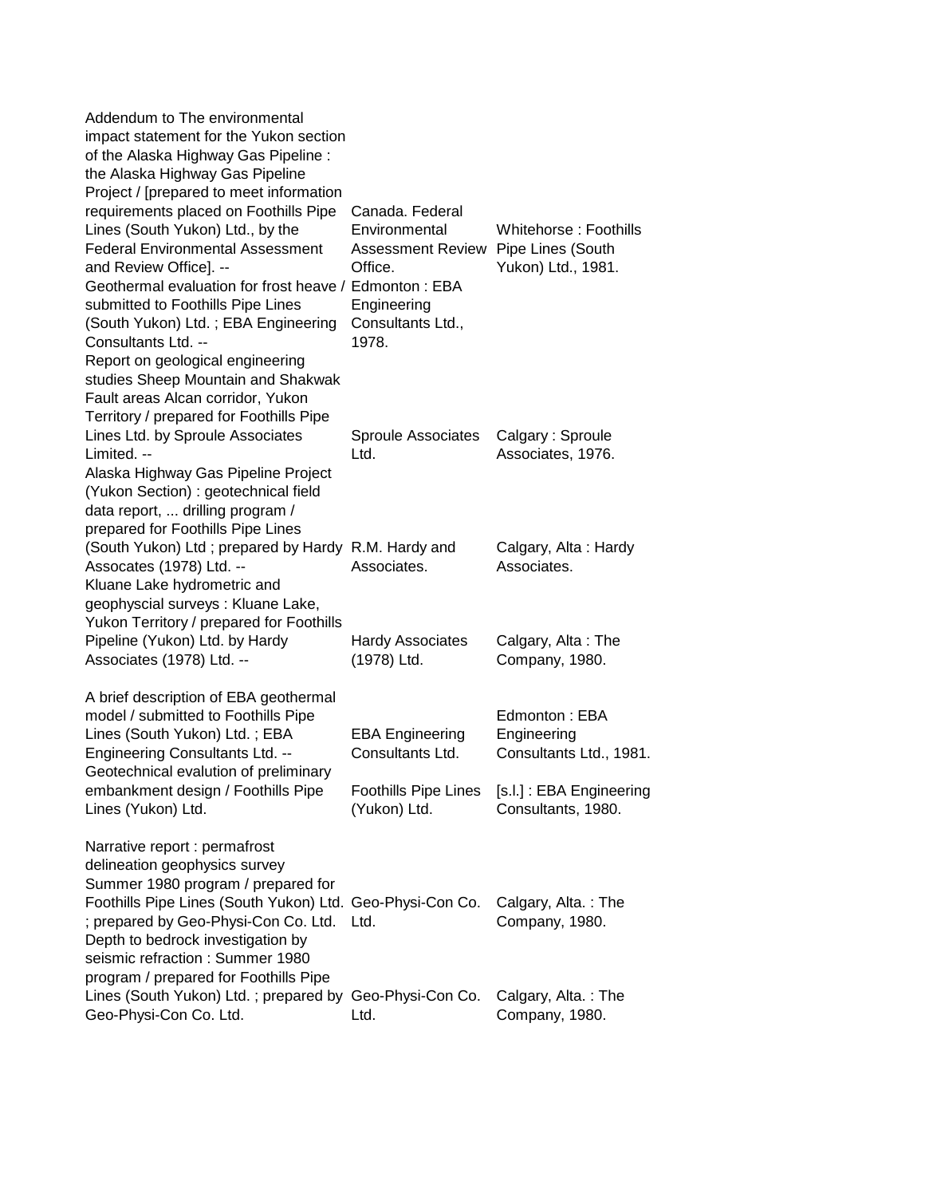| Addendum to The environmental<br>impact statement for the Yukon section<br>of the Alaska Highway Gas Pipeline :<br>the Alaska Highway Gas Pipeline                                                                                                                                                                                                                                                                                                                   |                                                                                                                                 |                                                                                                                               |
|----------------------------------------------------------------------------------------------------------------------------------------------------------------------------------------------------------------------------------------------------------------------------------------------------------------------------------------------------------------------------------------------------------------------------------------------------------------------|---------------------------------------------------------------------------------------------------------------------------------|-------------------------------------------------------------------------------------------------------------------------------|
| Project / [prepared to meet information<br>requirements placed on Foothills Pipe<br>Lines (South Yukon) Ltd., by the<br><b>Federal Environmental Assessment</b><br>and Review Office]. --<br>Geothermal evaluation for frost heave / Edmonton: EBA<br>submitted to Foothills Pipe Lines<br>(South Yukon) Ltd.; EBA Engineering<br>Consultants Ltd. --<br>Report on geological engineering<br>studies Sheep Mountain and Shakwak<br>Fault areas Alcan corridor, Yukon | Canada. Federal<br>Environmental<br>Assessment Review Pipe Lines (South<br>Office.<br>Engineering<br>Consultants Ltd.,<br>1978. | Whitehorse: Foothills<br>Yukon) Ltd., 1981.                                                                                   |
| Territory / prepared for Foothills Pipe<br>Lines Ltd. by Sproule Associates<br>Limited. --<br>Alaska Highway Gas Pipeline Project<br>(Yukon Section) : geotechnical field<br>data report,  drilling program /<br>prepared for Foothills Pipe Lines                                                                                                                                                                                                                   | Sproule Associates<br>Ltd.                                                                                                      | Calgary: Sproule<br>Associates, 1976.                                                                                         |
| (South Yukon) Ltd; prepared by Hardy R.M. Hardy and<br>Assocates (1978) Ltd. --<br>Kluane Lake hydrometric and<br>geophyscial surveys: Kluane Lake,<br>Yukon Territory / prepared for Foothills                                                                                                                                                                                                                                                                      | Associates.                                                                                                                     | Calgary, Alta: Hardy<br>Associates.                                                                                           |
| Pipeline (Yukon) Ltd. by Hardy<br>Associates (1978) Ltd. --                                                                                                                                                                                                                                                                                                                                                                                                          | <b>Hardy Associates</b><br>(1978) Ltd.                                                                                          | Calgary, Alta: The<br>Company, 1980.                                                                                          |
| A brief description of EBA geothermal<br>model / submitted to Foothills Pipe<br>Lines (South Yukon) Ltd.; EBA<br><b>Engineering Consultants Ltd. --</b><br>Geotechnical evalution of preliminary<br>embankment design / Foothills Pipe<br>Lines (Yukon) Ltd.                                                                                                                                                                                                         | <b>EBA Engineering</b><br>Consultants Ltd.<br>(Yukon) Ltd.                                                                      | Edmonton: EBA<br>Engineering<br>Consultants Ltd., 1981.<br>Foothills Pipe Lines [s.l.]: EBA Engineering<br>Consultants, 1980. |
| Narrative report : permafrost<br>delineation geophysics survey<br>Summer 1980 program / prepared for<br>Foothills Pipe Lines (South Yukon) Ltd. Geo-Physi-Con Co.<br>; prepared by Geo-Physi-Con Co. Ltd. Ltd.<br>Depth to bedrock investigation by<br>seismic refraction : Summer 1980<br>program / prepared for Foothills Pipe                                                                                                                                     |                                                                                                                                 | Calgary, Alta.: The<br>Company, 1980.                                                                                         |
| Lines (South Yukon) Ltd.; prepared by Geo-Physi-Con Co.<br>Geo-Physi-Con Co. Ltd.                                                                                                                                                                                                                                                                                                                                                                                    | Ltd.                                                                                                                            | Calgary, Alta.: The<br>Company, 1980.                                                                                         |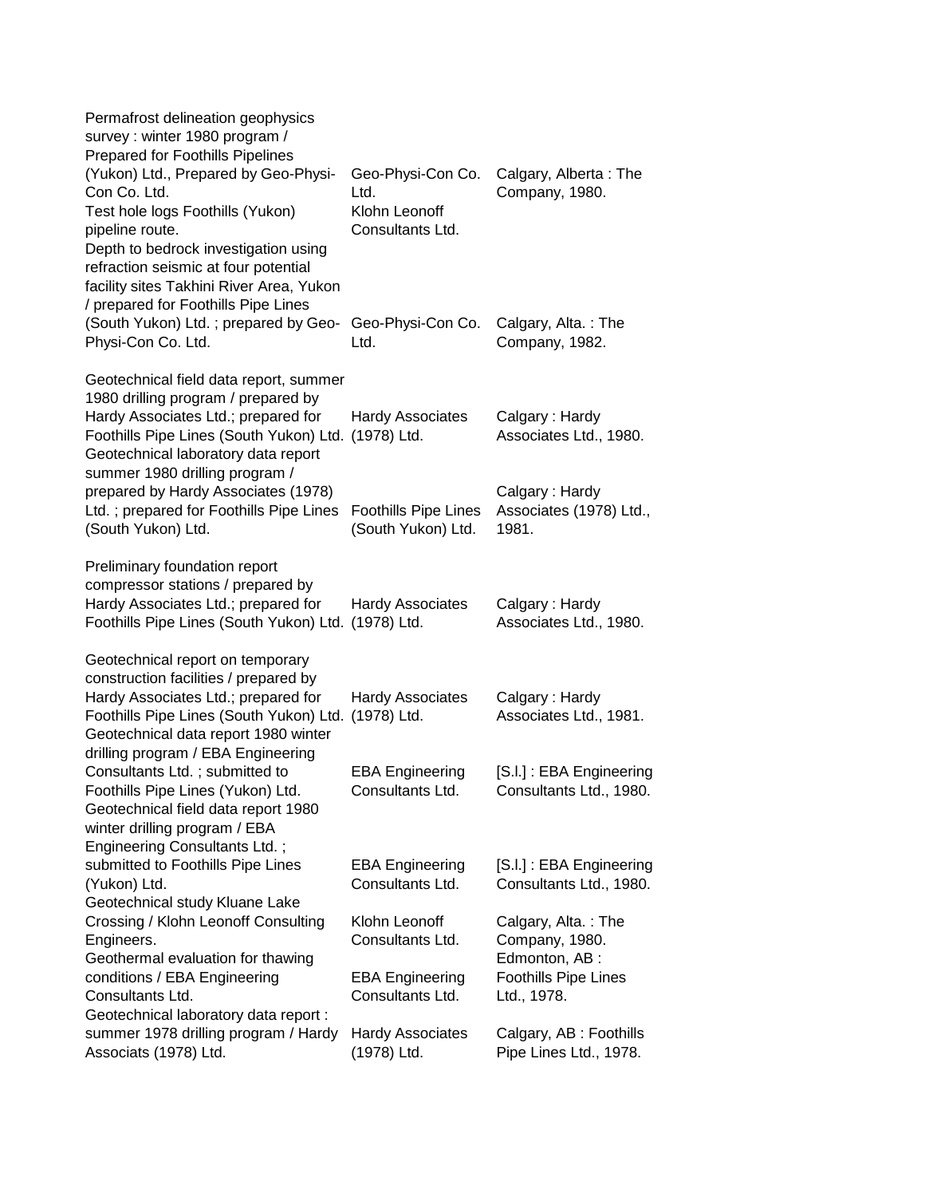| Permafrost delineation geophysics<br>survey: winter 1980 program /<br><b>Prepared for Foothills Pipelines</b>                                                                                                                                                                  |                                                                |                                                                                        |
|--------------------------------------------------------------------------------------------------------------------------------------------------------------------------------------------------------------------------------------------------------------------------------|----------------------------------------------------------------|----------------------------------------------------------------------------------------|
| (Yukon) Ltd., Prepared by Geo-Physi-<br>Con Co. Ltd.<br>Test hole logs Foothills (Yukon)<br>pipeline route.<br>Depth to bedrock investigation using<br>refraction seismic at four potential<br>facility sites Takhini River Area, Yukon<br>/ prepared for Foothills Pipe Lines | Geo-Physi-Con Co.<br>Ltd.<br>Klohn Leonoff<br>Consultants Ltd. | Calgary, Alberta: The<br>Company, 1980.                                                |
| (South Yukon) Ltd. ; prepared by Geo-<br>Physi-Con Co. Ltd.                                                                                                                                                                                                                    | Geo-Physi-Con Co.<br>Ltd.                                      | Calgary, Alta.: The<br>Company, 1982.                                                  |
| Geotechnical field data report, summer<br>1980 drilling program / prepared by<br>Hardy Associates Ltd.; prepared for<br>Foothills Pipe Lines (South Yukon) Ltd.<br>Geotechnical laboratory data report<br>summer 1980 drilling program /                                       | <b>Hardy Associates</b><br>(1978) Ltd.                         | Calgary: Hardy<br>Associates Ltd., 1980.                                               |
| prepared by Hardy Associates (1978)<br>Ltd.; prepared for Foothills Pipe Lines<br>(South Yukon) Ltd.                                                                                                                                                                           | <b>Foothills Pipe Lines</b><br>(South Yukon) Ltd.              | Calgary: Hardy<br>Associates (1978) Ltd.,<br>1981.                                     |
| Preliminary foundation report<br>compressor stations / prepared by<br>Hardy Associates Ltd.; prepared for<br>Foothills Pipe Lines (South Yukon) Ltd. (1978) Ltd.                                                                                                               | <b>Hardy Associates</b>                                        | Calgary: Hardy<br>Associates Ltd., 1980.                                               |
| Geotechnical report on temporary<br>construction facilities / prepared by<br>Hardy Associates Ltd.; prepared for<br>Foothills Pipe Lines (South Yukon) Ltd.<br>Geotechnical data report 1980 winter<br>drilling program / EBA Engineering                                      | <b>Hardy Associates</b><br>(1978) Ltd.                         | Calgary: Hardy<br>Associates Ltd., 1981.                                               |
| Consultants Ltd.; submitted to<br>Foothills Pipe Lines (Yukon) Ltd.<br>Geotechnical field data report 1980<br>winter drilling program / EBA                                                                                                                                    | <b>EBA Engineering</b><br>Consultants Ltd.                     | [S.I.]: EBA Engineering<br>Consultants Ltd., 1980.                                     |
| Engineering Consultants Ltd.;<br>submitted to Foothills Pipe Lines<br>(Yukon) Ltd.<br>Geotechnical study Kluane Lake                                                                                                                                                           | <b>EBA Engineering</b><br>Consultants Ltd.                     | [S.I.] : EBA Engineering<br>Consultants Ltd., 1980.                                    |
| Crossing / Klohn Leonoff Consulting<br>Engineers.<br>Geothermal evaluation for thawing<br>conditions / EBA Engineering                                                                                                                                                         | Klohn Leonoff<br>Consultants Ltd.<br><b>EBA Engineering</b>    | Calgary, Alta.: The<br>Company, 1980.<br>Edmonton, AB :<br><b>Foothills Pipe Lines</b> |
| Consultants Ltd.<br>Geotechnical laboratory data report :<br>summer 1978 drilling program / Hardy<br>Associats (1978) Ltd.                                                                                                                                                     | Consultants Ltd.<br><b>Hardy Associates</b><br>(1978) Ltd.     | Ltd., 1978.<br>Calgary, AB: Foothills<br>Pipe Lines Ltd., 1978.                        |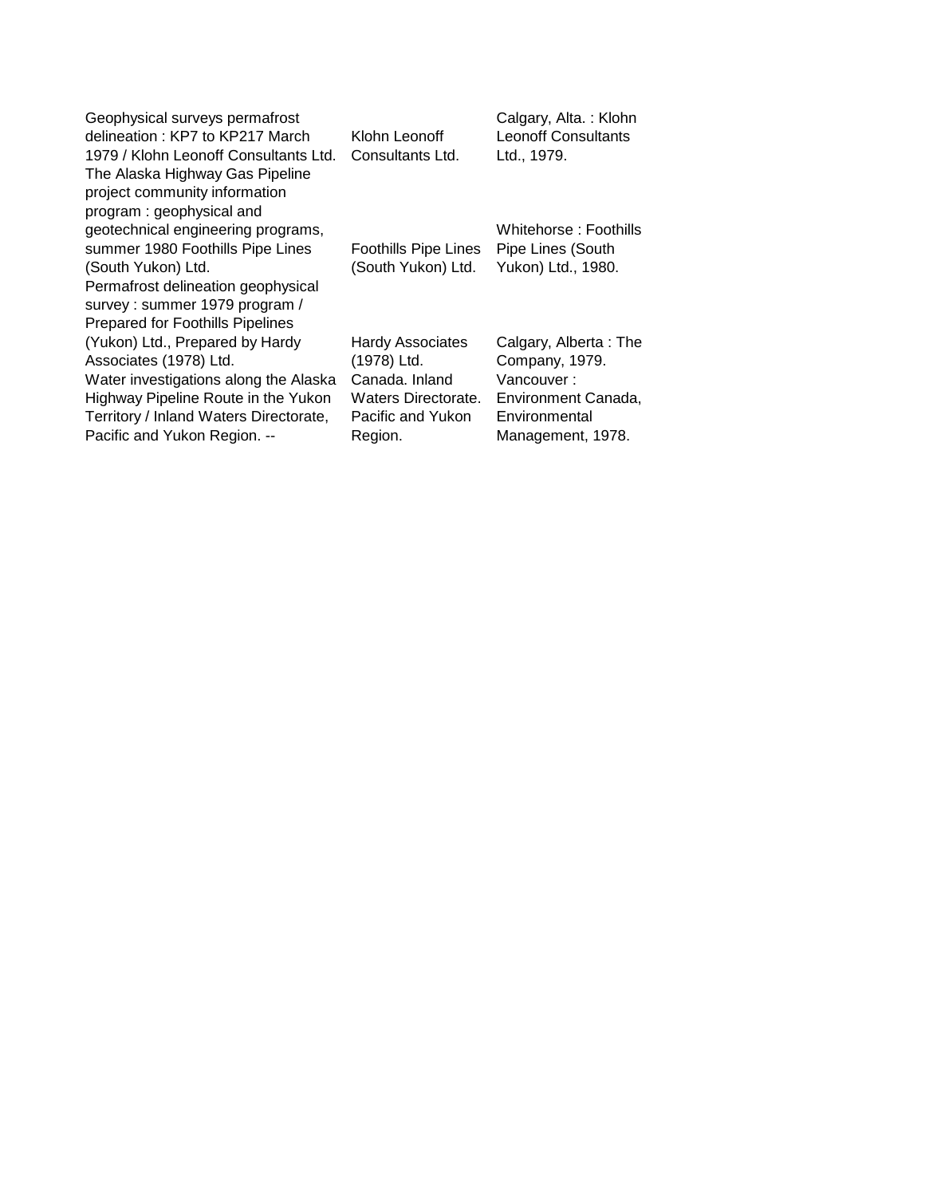| Geophysical surveys permafrost         |                             | Calgary, Alta.: Klohn      |
|----------------------------------------|-----------------------------|----------------------------|
| delineation: KP7 to KP217 March        | Klohn Leonoff               | <b>Leonoff Consultants</b> |
| 1979 / Klohn Leonoff Consultants Ltd.  | Consultants Ltd.            | Ltd., 1979.                |
| The Alaska Highway Gas Pipeline        |                             |                            |
| project community information          |                             |                            |
| program: geophysical and               |                             |                            |
| geotechnical engineering programs,     |                             | Whitehorse: Foothills      |
| summer 1980 Foothills Pipe Lines       | <b>Foothills Pipe Lines</b> | Pipe Lines (South          |
| (South Yukon) Ltd.                     | (South Yukon) Ltd.          | Yukon) Ltd., 1980.         |
| Permafrost delineation geophysical     |                             |                            |
| survey: summer 1979 program /          |                             |                            |
| Prepared for Foothills Pipelines       |                             |                            |
| (Yukon) Ltd., Prepared by Hardy        | <b>Hardy Associates</b>     | Calgary, Alberta: The      |
| Associates (1978) Ltd.                 | (1978) Ltd.                 | Company, 1979.             |
| Water investigations along the Alaska  | Canada, Inland              | Vancouver:                 |
| Highway Pipeline Route in the Yukon    | Waters Directorate.         | Environment Canada,        |
| Territory / Inland Waters Directorate, | Pacific and Yukon           | Environmental              |
| Pacific and Yukon Region. --           | Region.                     | Management, 1978.          |
|                                        |                             |                            |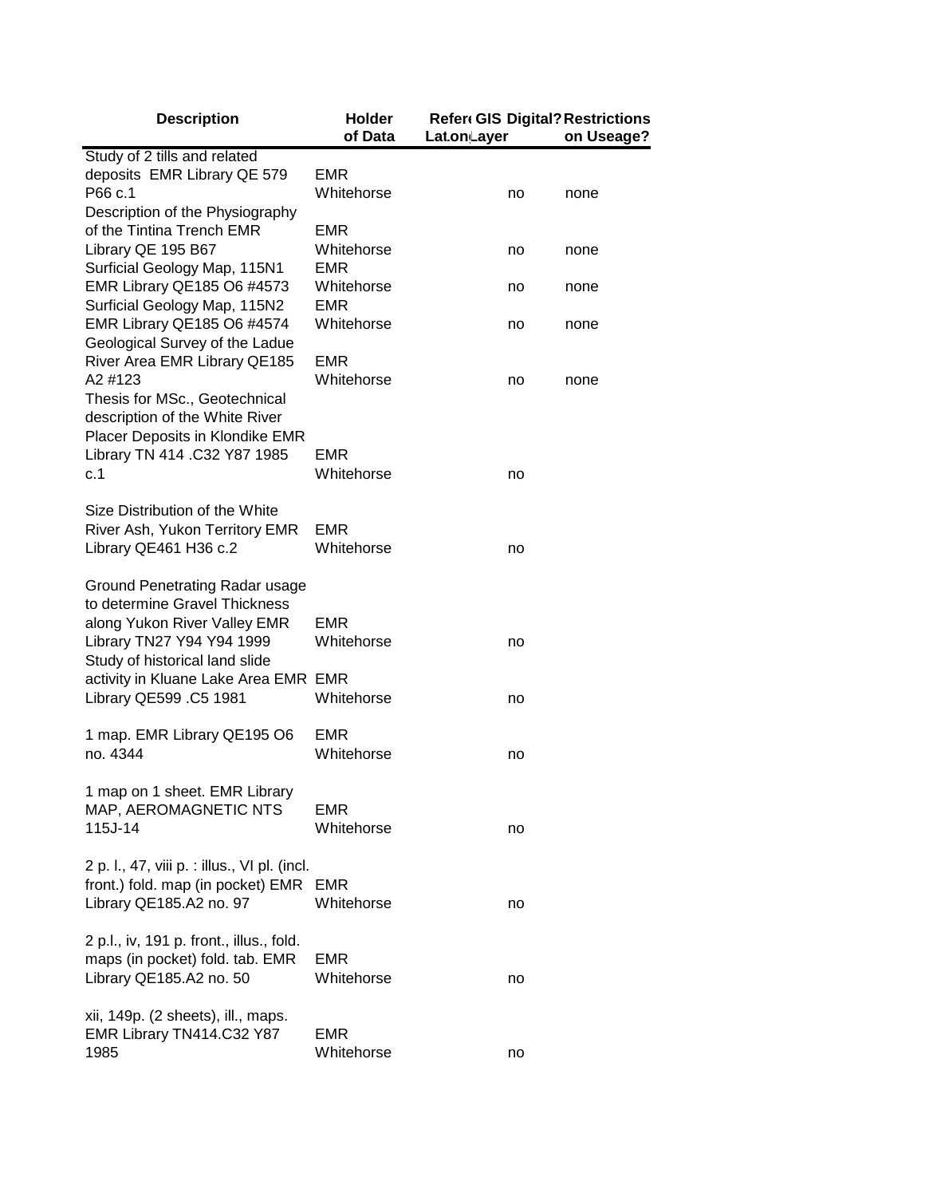| <b>Description</b>                                                          | <b>Holder</b><br>of Data | <b>Refere GIS Digital? Restrictions</b><br>Lat.on Layer | on Useage? |
|-----------------------------------------------------------------------------|--------------------------|---------------------------------------------------------|------------|
| Study of 2 tills and related                                                |                          |                                                         |            |
| deposits EMR Library QE 579                                                 | EMR                      |                                                         |            |
| P66 c.1                                                                     | Whitehorse               | no                                                      | none       |
| Description of the Physiography                                             |                          |                                                         |            |
| of the Tintina Trench EMR                                                   | EMR                      |                                                         |            |
| Library QE 195 B67                                                          | Whitehorse               | no                                                      | none       |
| Surficial Geology Map, 115N1                                                | <b>EMR</b>               |                                                         |            |
| EMR Library QE185 O6 #4573                                                  | Whitehorse               | no                                                      | none       |
| Surficial Geology Map, 115N2                                                | <b>EMR</b>               |                                                         |            |
| EMR Library QE185 O6 #4574                                                  | Whitehorse               | no                                                      | none       |
| Geological Survey of the Ladue                                              |                          |                                                         |            |
| River Area EMR Library QE185                                                | <b>EMR</b>               |                                                         |            |
| A2 #123                                                                     | Whitehorse               | no                                                      | none       |
| Thesis for MSc., Geotechnical                                               |                          |                                                         |            |
| description of the White River                                              |                          |                                                         |            |
| Placer Deposits in Klondike EMR                                             |                          |                                                         |            |
| Library TN 414 .C32 Y87 1985                                                | <b>EMR</b>               |                                                         |            |
| c.1                                                                         | Whitehorse               | no                                                      |            |
|                                                                             |                          |                                                         |            |
| Size Distribution of the White                                              |                          |                                                         |            |
| River Ash, Yukon Territory EMR                                              | <b>EMR</b>               |                                                         |            |
| Library QE461 H36 c.2                                                       | Whitehorse               | no                                                      |            |
|                                                                             |                          |                                                         |            |
| Ground Penetrating Radar usage<br>to determine Gravel Thickness             |                          |                                                         |            |
| along Yukon River Valley EMR                                                | <b>EMR</b>               |                                                         |            |
| Library TN27 Y94 Y94 1999                                                   | Whitehorse               | no                                                      |            |
| Study of historical land slide                                              |                          |                                                         |            |
| activity in Kluane Lake Area EMR EMR                                        |                          |                                                         |            |
| Library QE599 .C5 1981                                                      | Whitehorse               | no                                                      |            |
|                                                                             |                          |                                                         |            |
| 1 map. EMR Library QE195 O6                                                 | <b>EMR</b>               |                                                         |            |
| no. 4344                                                                    | Whitehorse               | no                                                      |            |
|                                                                             |                          |                                                         |            |
| 1 map on 1 sheet. EMR Library                                               |                          |                                                         |            |
| MAP, AEROMAGNETIC NTS                                                       | <b>EMR</b>               |                                                         |            |
| 115J-14                                                                     | Whitehorse               | no                                                      |            |
|                                                                             |                          |                                                         |            |
| 2 p. l., 47, viii p. : illus., VI pl. (incl.                                |                          |                                                         |            |
| front.) fold. map (in pocket) EMR EMR                                       |                          |                                                         |            |
| Library QE185.A2 no. 97                                                     | Whitehorse               | no                                                      |            |
|                                                                             |                          |                                                         |            |
| 2 p.l., iv, 191 p. front., illus., fold.<br>maps (in pocket) fold. tab. EMR | <b>EMR</b>               |                                                         |            |
| Library QE185.A2 no. 50                                                     | Whitehorse               |                                                         |            |
|                                                                             |                          | no                                                      |            |
| xii, 149p. (2 sheets), ill., maps.                                          |                          |                                                         |            |
| EMR Library TN414.C32 Y87                                                   | <b>EMR</b>               |                                                         |            |
| 1985                                                                        | Whitehorse               | no                                                      |            |
|                                                                             |                          |                                                         |            |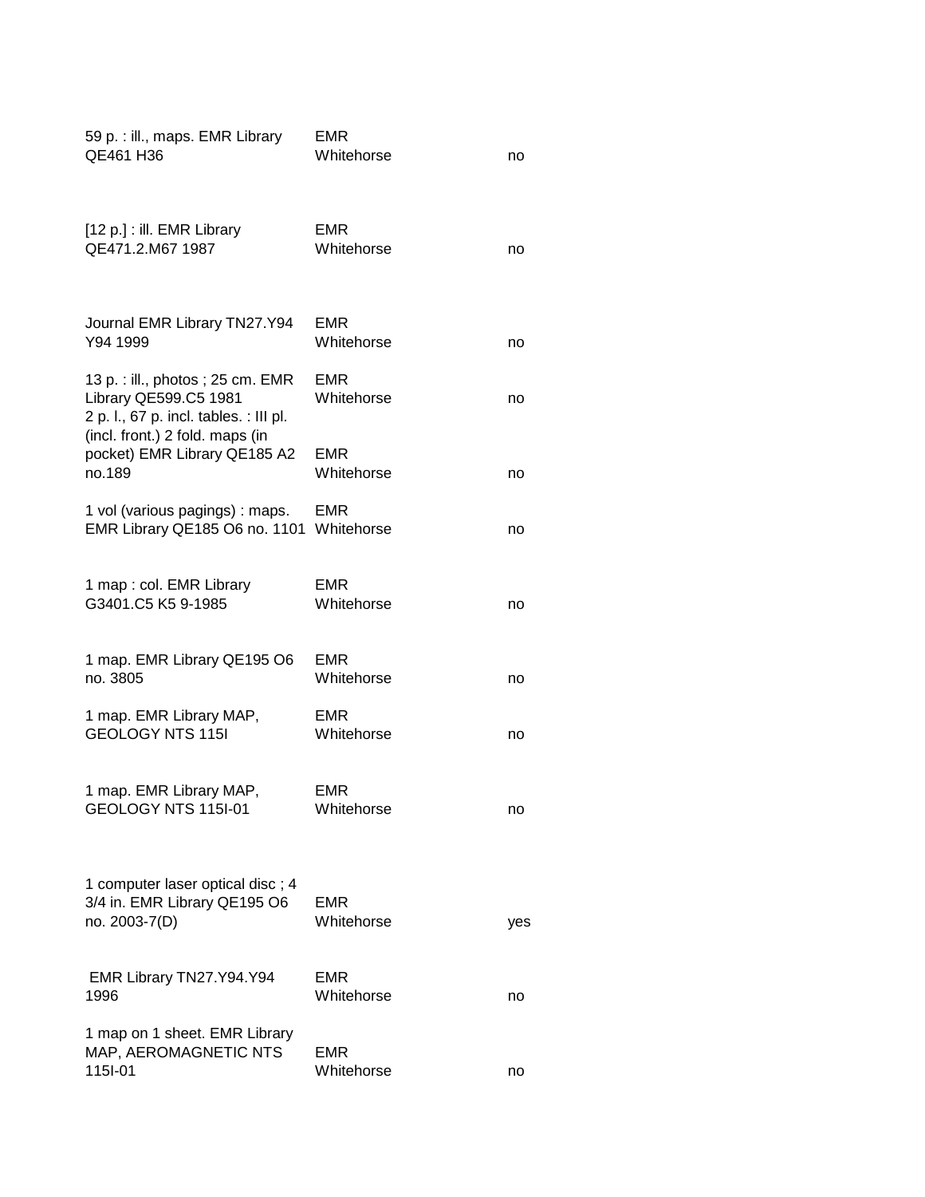| 59 p. : ill., maps. EMR Library<br>QE461 H36                                                                                            | EMR<br>Whitehorse        | no  |
|-----------------------------------------------------------------------------------------------------------------------------------------|--------------------------|-----|
| [12 p.] : ill. EMR Library<br>QE471.2.M67 1987                                                                                          | EMR<br>Whitehorse        | no  |
| Journal EMR Library TN27.Y94<br>Y94 1999                                                                                                | <b>EMR</b><br>Whitehorse | no  |
| 13 p. : ill., photos ; 25 cm. EMR<br>Library QE599.C5 1981<br>2 p. l., 67 p. incl. tables. : III pl.<br>(incl. front.) 2 fold. maps (in | <b>EMR</b><br>Whitehorse | no  |
| pocket) EMR Library QE185 A2<br>no.189                                                                                                  | <b>EMR</b><br>Whitehorse | no  |
| 1 vol (various pagings) : maps.<br>EMR Library QE185 O6 no. 1101                                                                        | <b>EMR</b><br>Whitehorse | no  |
| 1 map : col. EMR Library<br>G3401.C5 K5 9-1985                                                                                          | <b>EMR</b><br>Whitehorse | no  |
| 1 map. EMR Library QE195 O6<br>no. 3805                                                                                                 | EMR<br>Whitehorse        | no  |
| 1 map. EMR Library MAP,<br><b>GEOLOGY NTS 115I</b>                                                                                      | EMR<br>Whitehorse        | no  |
| 1 map. EMR Library MAP,<br>GEOLOGY NTS 115I-01                                                                                          | EMR<br>Whitehorse        | no  |
| 1 computer laser optical disc; 4<br>3/4 in. EMR Library QE195 O6<br>no. 2003-7(D)                                                       | <b>EMR</b><br>Whitehorse | yes |
| EMR Library TN27.Y94.Y94<br>1996                                                                                                        | <b>EMR</b><br>Whitehorse | no  |
| 1 map on 1 sheet. EMR Library<br>MAP, AEROMAGNETIC NTS<br>115I-01                                                                       | <b>EMR</b><br>Whitehorse | no  |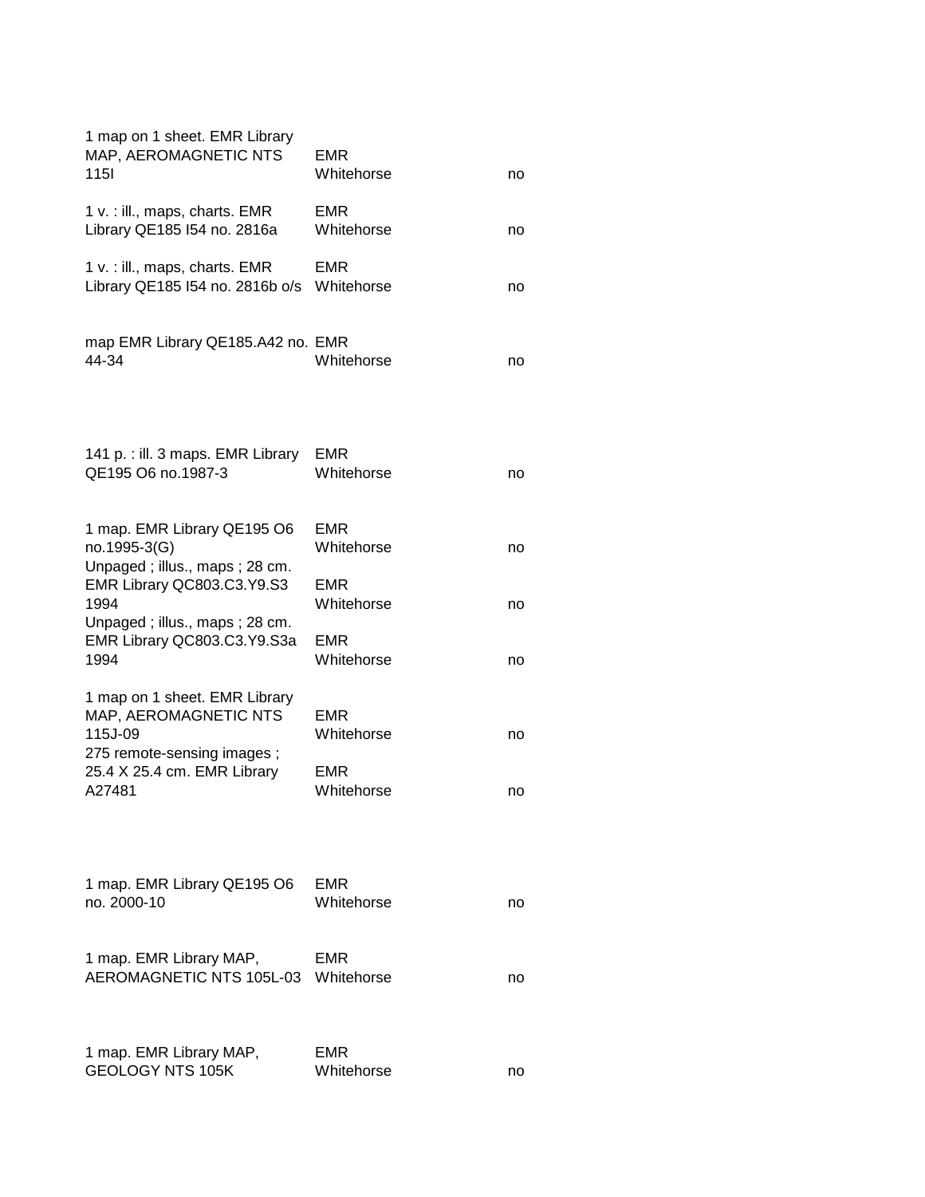| 1 map on 1 sheet. EMR Library<br>MAP, AEROMAGNETIC NTS<br><b>115l</b>                           | EMR<br>Whitehorse        | no |
|-------------------------------------------------------------------------------------------------|--------------------------|----|
| 1 v. : ill., maps, charts. EMR<br>Library QE185 I54 no. 2816a                                   | <b>EMR</b><br>Whitehorse | no |
| 1 v. : ill., maps, charts. EMR<br>Library QE185 I54 no. 2816b o/s                               | EMR<br>Whitehorse        | no |
| map EMR Library QE185.A42 no. EMR<br>44-34                                                      | Whitehorse               | no |
| 141 p. : ill. 3 maps. EMR Library<br>QE195 O6 no.1987-3                                         | EMR<br>Whitehorse        | no |
| 1 map. EMR Library QE195 O6<br>no.1995-3(G)<br>Unpaged; illus., maps; 28 cm.                    | EMR<br>Whitehorse        | no |
| EMR Library QC803.C3.Y9.S3<br>1994<br>Unpaged; illus., maps; 28 cm.                             | <b>EMR</b><br>Whitehorse | no |
| EMR Library QC803.C3.Y9.S3a<br>1994                                                             | EMR<br>Whitehorse        | no |
| 1 map on 1 sheet. EMR Library<br>MAP, AEROMAGNETIC NTS<br>115J-09<br>275 remote-sensing images; | EMR<br>Whitehorse        | no |
| 25.4 X 25.4 cm. EMR Library<br>A27481                                                           | EMR<br>Whitehorse        | no |
|                                                                                                 |                          |    |
| 1 map. EMR Library QE195 O6<br>no. 2000-10                                                      | EMR<br>Whitehorse        | no |
| 1 map. EMR Library MAP,<br>AEROMAGNETIC NTS 105L-03                                             | EMR<br>Whitehorse        | no |
| 1 map. EMR Library MAP,<br><b>GEOLOGY NTS 105K</b>                                              | EMR<br>Whitehorse        | no |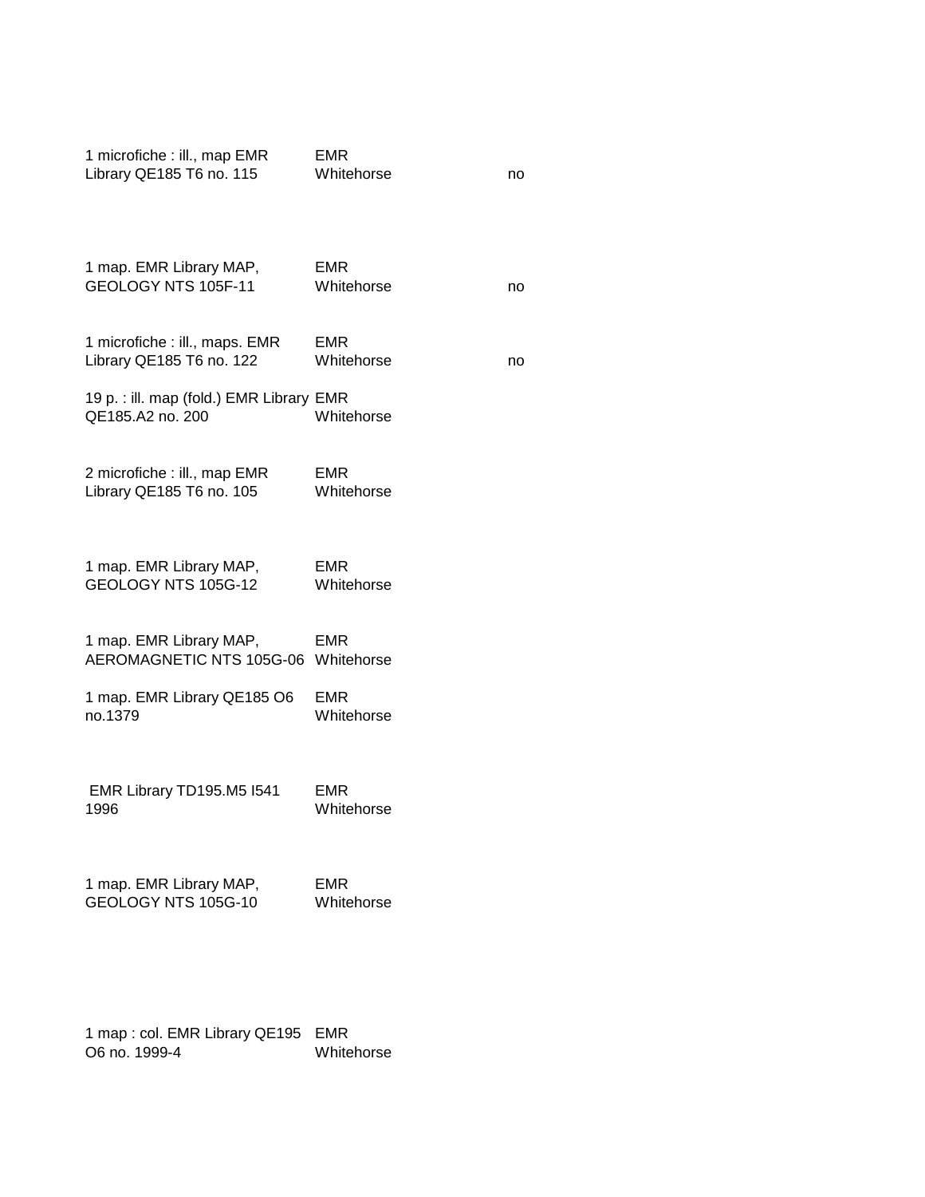| 1 microfiche : ill., map EMR<br>Library QE185 T6 no. 115       | <b>EMR</b><br>Whitehorse | no |
|----------------------------------------------------------------|--------------------------|----|
| 1 map. EMR Library MAP,<br>GEOLOGY NTS 105F-11                 | <b>EMR</b><br>Whitehorse | no |
| 1 microfiche : ill., maps. EMR<br>Library QE185 T6 no. 122     | <b>EMR</b><br>Whitehorse | no |
| 19 p. : ill. map (fold.) EMR Library EMR<br>QE185.A2 no. 200   | Whitehorse               |    |
| 2 microfiche : ill., map EMR<br>Library QE185 T6 no. 105       | <b>EMR</b><br>Whitehorse |    |
| 1 map. EMR Library MAP,<br>GEOLOGY NTS 105G-12                 | <b>EMR</b><br>Whitehorse |    |
| 1 map. EMR Library MAP,<br>AEROMAGNETIC NTS 105G-06 Whitehorse | <b>EMR</b>               |    |
| 1 map. EMR Library QE185 O6<br>no.1379                         | <b>EMR</b><br>Whitehorse |    |
| EMR Library TD195.M5 I541<br>1996                              | <b>EMR</b><br>Whitehorse |    |
| 1 map. EMR Library MAP,<br>GEOLOGY NTS 105G-10                 | <b>EMR</b><br>Whitehorse |    |
|                                                                |                          |    |

1 map : col. EMR Library QE195 EMR O6 no. 1999-4 Whitehorse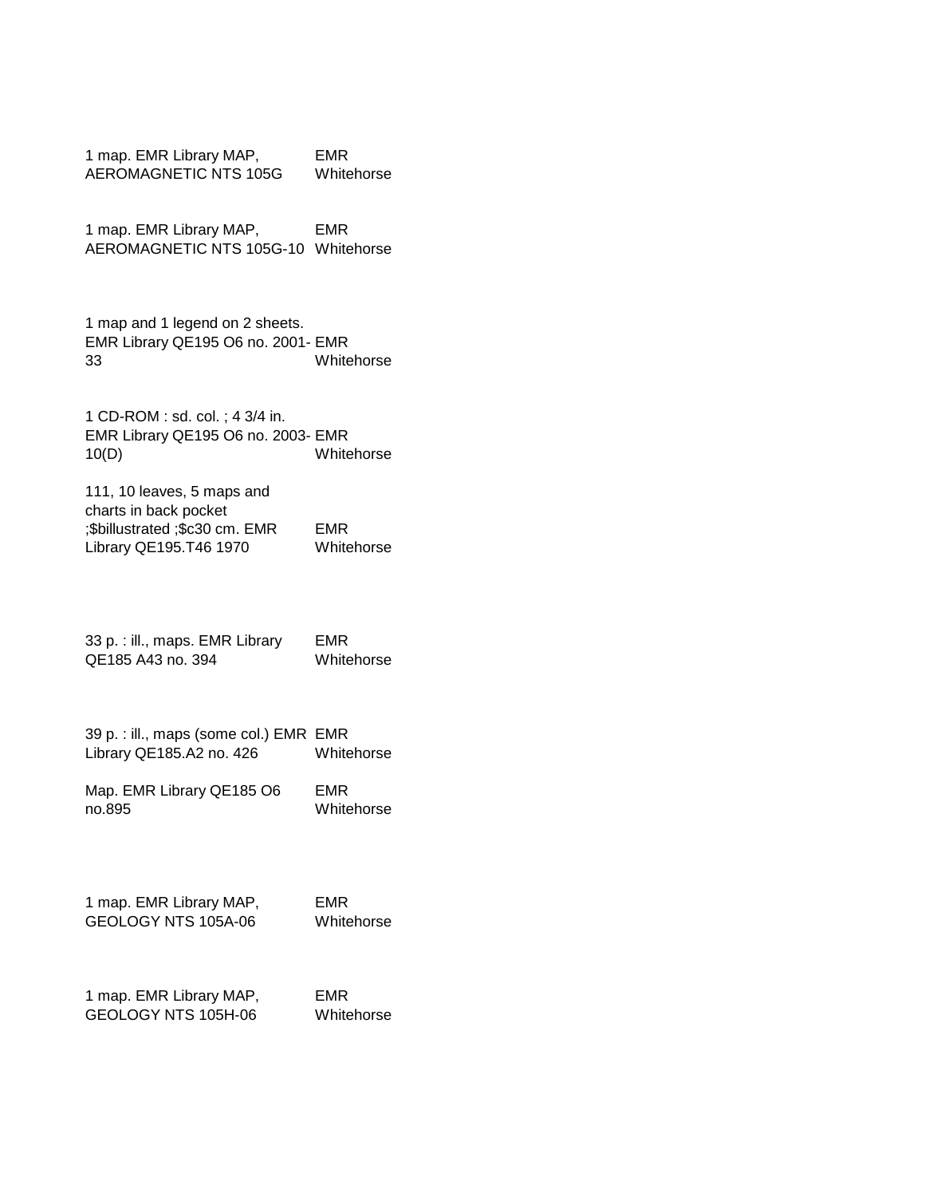| 1 map. EMR Library MAP, | EMR        |
|-------------------------|------------|
| AEROMAGNETIC NTS 105G   | Whitehorse |

1 map. EMR Library MAP, AEROMAGNETIC NTS 105G-10 Whitehorse EMR

1 map and 1 legend on 2 sheets. EMR Library QE195 O6 no. 2001- EMR 33 Whitehorse

1 CD-ROM : sd. col. ; 4 3/4 in. EMR Library QE195 O6 no. 2003- EMR 10(D) Whitehorse

111, 10 leaves, 5 maps and charts in back pocket ;\$billustrated ;\$c30 cm. EMR Library QE195.T46 1970 EMR Whitehorse

33 p. : ill., maps. EMR Library QE185 A43 no. 394 EMR Whitehorse

39 p. : ill., maps (some col.) EMR EMR Library QE185.A2 no. 426 Whitehorse

Map. EMR Library QE185 O6 no.895 EMR Whitehorse

1 map. EMR Library MAP, GEOLOGY NTS 105A-06 EMR Whitehorse

1 map. EMR Library MAP, GEOLOGY NTS 105H-06 EMR

Whitehorse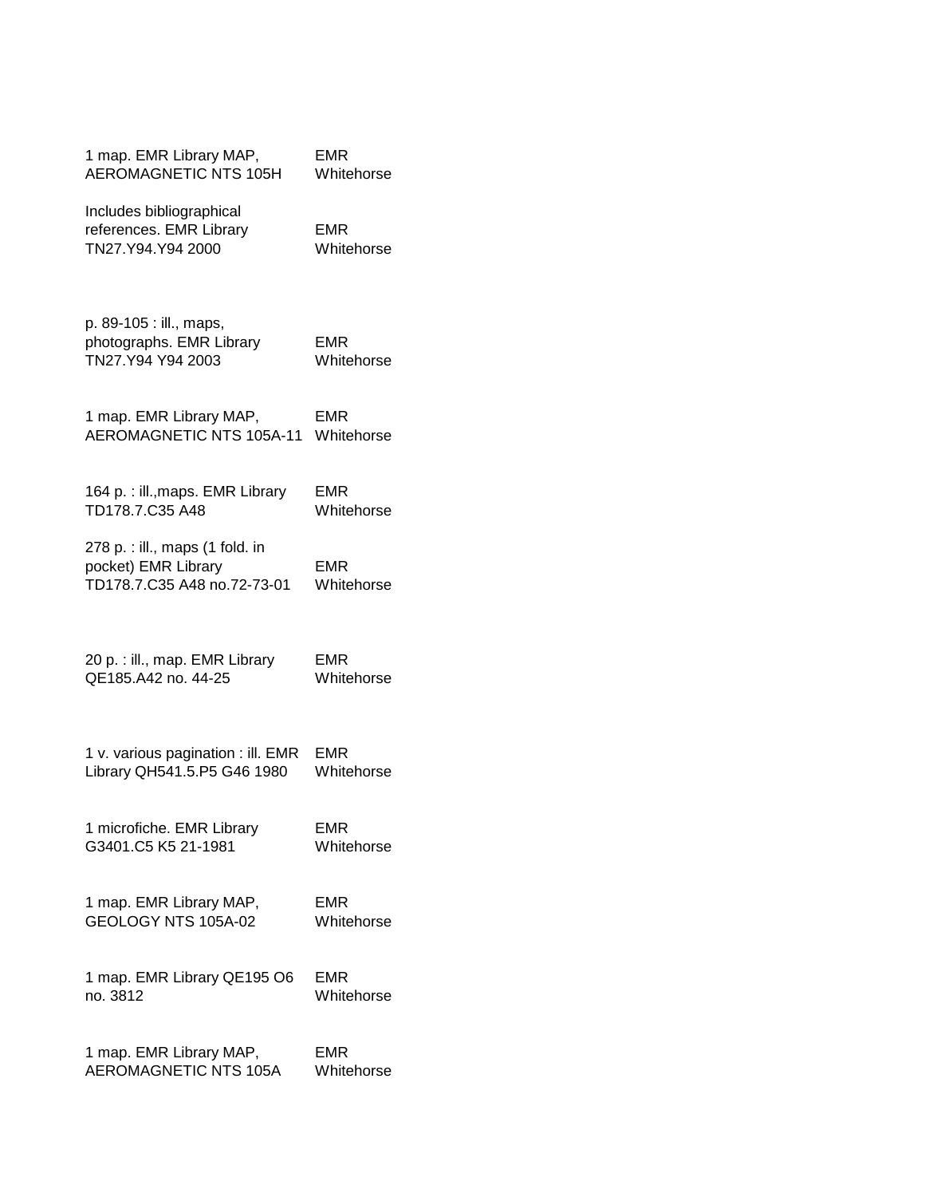| 1 map. EMR Library MAP,                                                               | <b>EMR</b>               |
|---------------------------------------------------------------------------------------|--------------------------|
| <b>AEROMAGNETIC NTS 105H</b>                                                          | Whitehorse               |
| Includes bibliographical<br>references. EMR Library<br>TN27.Y94.Y94 2000              | <b>EMR</b><br>Whitehorse |
| p. 89-105 : ill., maps,<br>photographs. EMR Library<br>TN27.Y94 Y94 2003              | EMR<br>Whitehorse        |
| 1 map. EMR Library MAP,                                                               | EMR                      |
| AEROMAGNETIC NTS 105A-11                                                              | Whitehorse               |
| 164 p. : ill., maps. EMR Library                                                      | EMR                      |
| TD178.7.C35 A48                                                                       | Whitehorse               |
| 278 p. : ill., maps (1 fold. in<br>pocket) EMR Library<br>TD178.7.C35 A48 no.72-73-01 | EMR<br>Whitehorse        |
| 20 p. : ill., map. EMR Library                                                        | EMR                      |
| QE185.A42 no. 44-25                                                                   | Whitehorse               |
| 1 v. various pagination : ill. EMR                                                    | <b>EMR</b>               |
| Library QH541.5.P5 G46 1980                                                           | Whitehorse               |
| 1 microfiche. EMR Library                                                             | <b>EMR</b>               |
| G3401.C5 K5 21-1981                                                                   | Whitehorse               |
| 1 map. EMR Library MAP,                                                               | <b>EMR</b>               |
| GEOLOGY NTS 105A-02                                                                   | Whitehorse               |
| 1 map. EMR Library QE195 O6                                                           | <b>EMR</b>               |
| no. 3812                                                                              | Whitehorse               |
| 1 map. EMR Library MAP,                                                               | <b>EMR</b>               |
| AEROMAGNETIC NTS 105A                                                                 | Whitehorse               |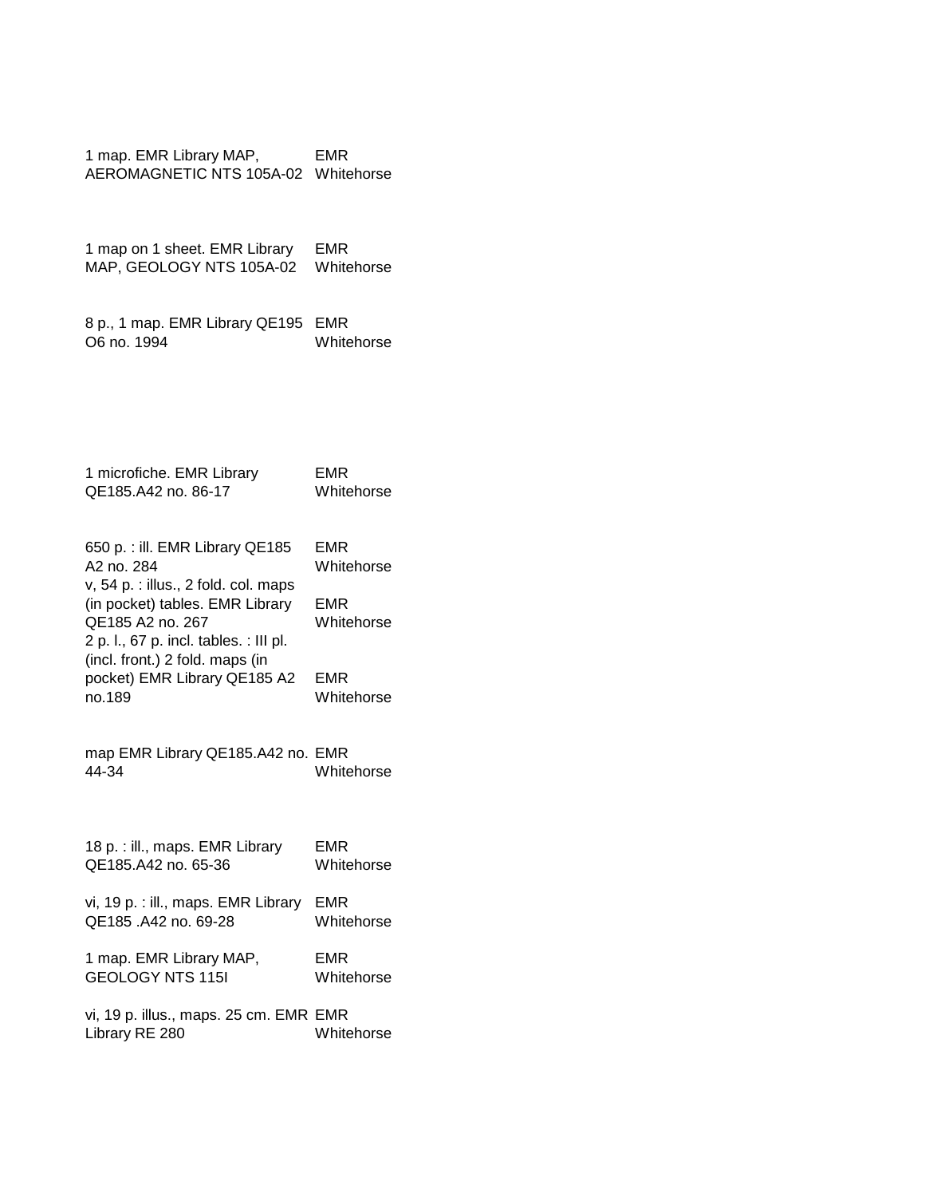1 map. EMR Library MAP, AEROMAGNETIC NTS 105A-02 Whitehorse EMR

1 map on 1 sheet. EMR Library MAP, GEOLOGY NTS 105A-02 Whitehorse EMR

8 p., 1 map. EMR Library QE195 EMR O6 no. 1994 Whitehorse

1 microfiche. EMR Library QE185.A42 no. 86-17 EMR Whitehorse

| 650 p. : ill. EMR Library QE185        | EMR        |
|----------------------------------------|------------|
| A2 no. 284                             | Whitehorse |
| v, $54$ p. : illus., 2 fold. col. maps |            |
| (in pocket) tables. EMR Library        | EMR        |
| QE185 A2 no. 267                       | Whitehorse |
| 2 p. l., 67 p. incl. tables. : III pl. |            |
| (incl. front.) 2 fold. maps (in        |            |
| pocket) EMR Library QE185 A2           | EMR        |
| no.189                                 | Whitehorse |
|                                        |            |

map EMR Library QE185.A42 no. EMR 44-34 Whitehorse

18 p. : ill., maps. EMR Library QE185.A42 no. 65-36 EMR Whitehorse

vi, 19 p. : ill., maps. EMR Library EMR QE185 .A42 no. 69-28 Whitehorse

1 map. EMR Library MAP, GEOLOGY NTS 115I EMR Whitehorse

vi, 19 p. illus., maps. 25 cm. EMR EMR Library RE 280 Whitehorse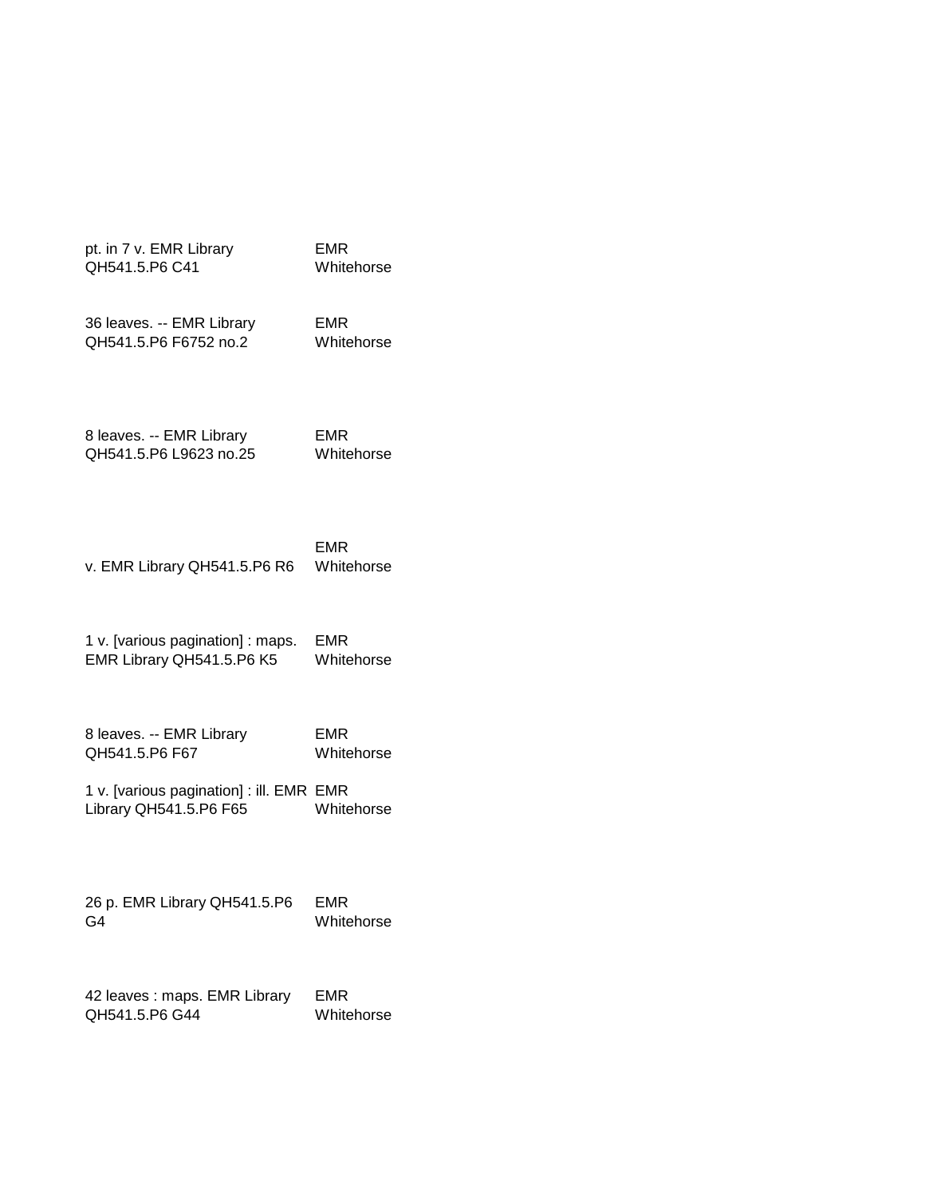pt. in 7 v. EMR Library QH541.5.P6 C41

EMR Whitehorse

36 leaves. -- EMR Library QH541.5.P6 F6752 no.2

EMR Whitehorse

8 leaves. -- EMR Library QH541.5.P6 L9623 no.25 EMR Whitehorse

v. EMR Library QH541.5.P6 R6 EMR Whitehorse

1 v. [various pagination] : maps. EMR Library QH541.5.P6 K5 EMR Whitehorse

8 leaves. -- EMR Library QH541.5.P6 F67 EMR Whitehorse

1 v. [various pagination] : ill. EMR EMR Library QH541.5.P6 F65 Whitehorse

26 p. EMR Library QH541.5.P6 G4 EMR Whitehorse

42 leaves : maps. EMR Library QH541.5.P6 G44 EMR Whitehorse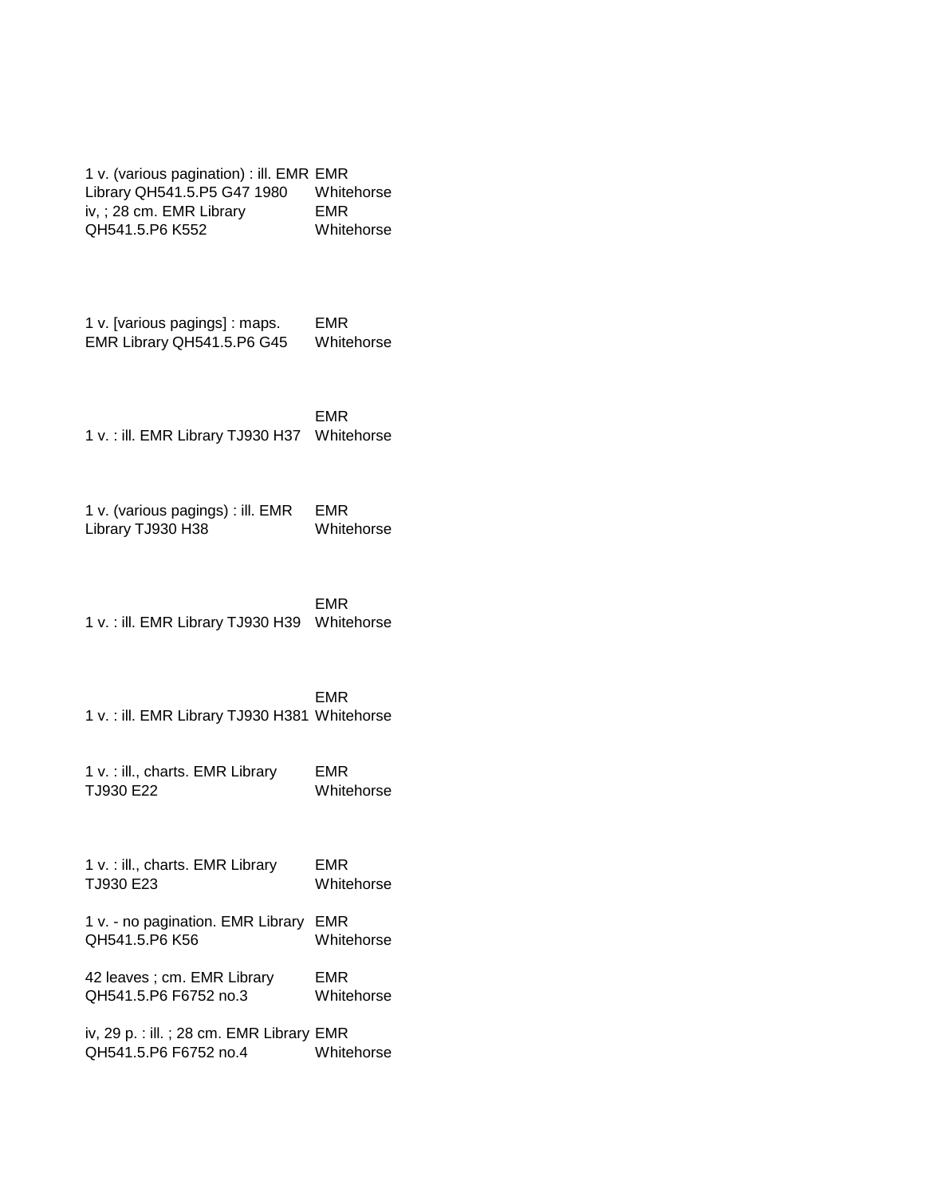1 v. (various pagination) : ill. EMR EMR Library QH541.5.P5 G47 1980 Whitehorse iv, ; 28 cm. EMR Library QH541.5.P6 K552 EMR Whitehorse

1 v. [various pagings] : maps. EMR Library QH541.5.P6 G45 EMR Whitehorse

1 v. : ill. EMR Library TJ930 H37 Whitehorse EMR

1 v. (various pagings) : ill. EMR Library TJ930 H38 EMR Whitehorse

1 v. : ill. EMR Library TJ930 H39 Whitehorse EMR

1 v. : ill. EMR Library TJ930 H381 Whitehorse EMR

1 v. : ill., charts. EMR Library TJ930 E22 EMR Whitehorse

1 v. : ill., charts. EMR Library TJ930 E23 EMR Whitehorse

1 v. - no pagination. EMR Library EMR QH541.5.P6 K56 Whitehorse

42 leaves ; cm. EMR Library QH541.5.P6 F6752 no.3 EMR Whitehorse

iv, 29 p. : ill. ; 28 cm. EMR Library EMR QH541.5.P6 F6752 no.4 Whitehorse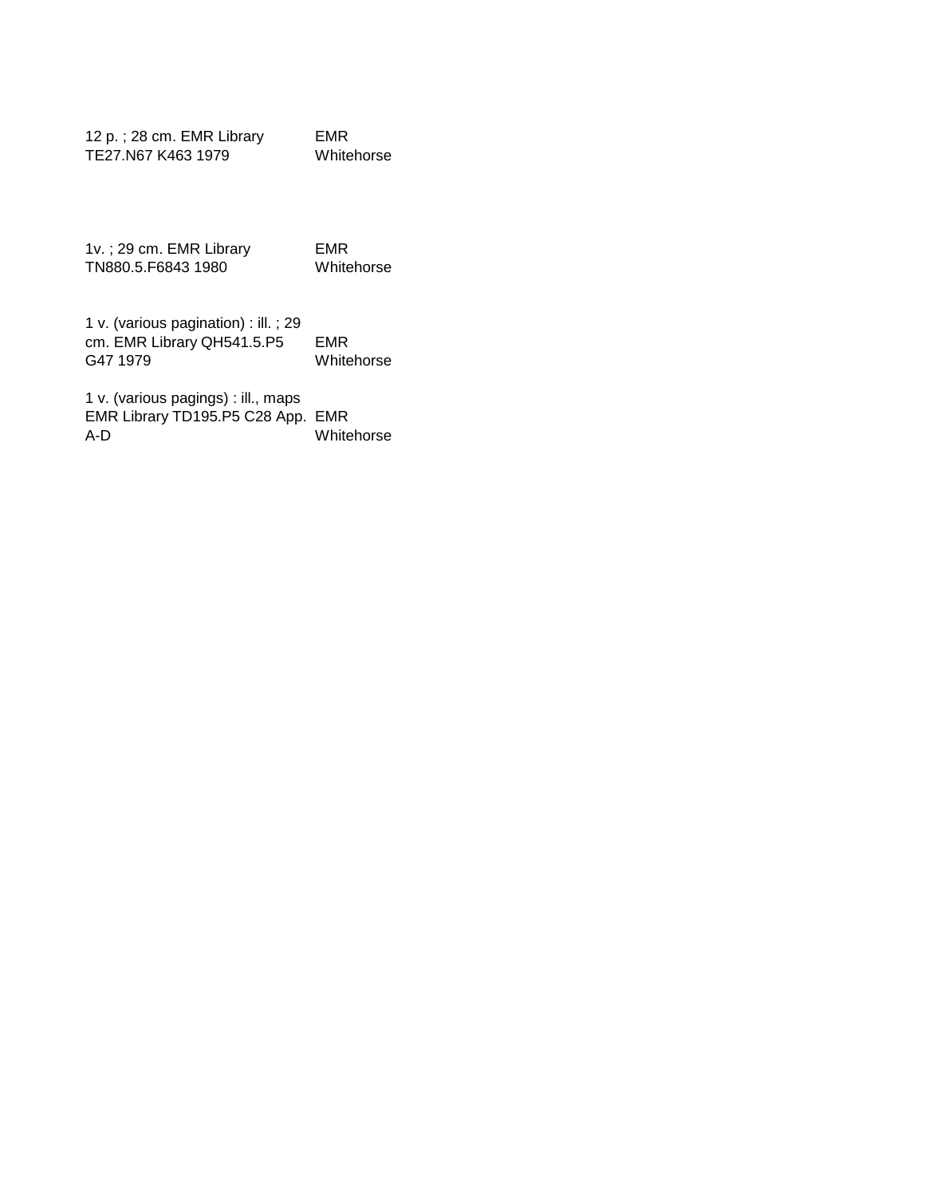| 12 p.; 28 cm. EMR Library | EMR        |
|---------------------------|------------|
| TE27.N67 K463 1979        | Whitehorse |

1v. ; 29 cm. EMR Library TN880.5.F6843 1980 EMR Whitehorse

1 v. (various pagination) : ill. ; 29 cm. EMR Library QH541.5.P5 G47 1979 EMR Whitehorse

1 v. (various pagings) : ill., maps EMR Library TD195.P5 C28 App. EMR A-D Whitehorse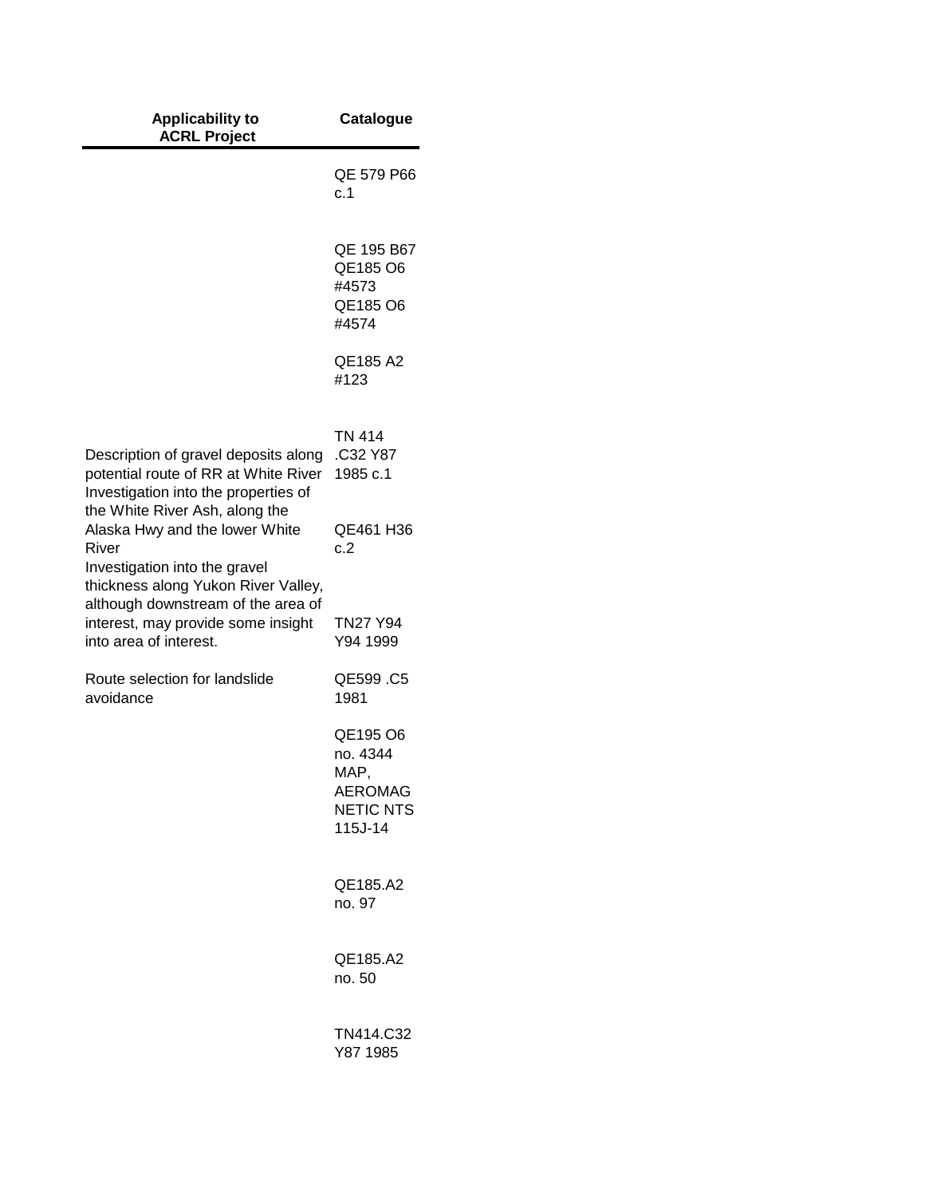| <b>Applicability to</b><br><b>ACRL Project</b>                                                                                                    | <b>Catalogue</b>                                                      |
|---------------------------------------------------------------------------------------------------------------------------------------------------|-----------------------------------------------------------------------|
|                                                                                                                                                   | QE 579 P66<br>c.1                                                     |
|                                                                                                                                                   | QE 195 B67<br>QE185 O6<br>#4573<br>QE185 O6<br>#4574                  |
|                                                                                                                                                   | QE185 A2<br>#123                                                      |
| Description of gravel deposits along<br>potential route of RR at White River<br>Investigation into the properties of                              | <b>TN 414</b><br>.C32 Y87<br>1985 c.1                                 |
| the White River Ash, along the<br>Alaska Hwy and the lower White<br>River<br>Investigation into the gravel<br>thickness along Yukon River Valley, | QE461 H36<br>c.2                                                      |
| although downstream of the area of<br>interest, may provide some insight<br>into area of interest.                                                | <b>TN27 Y94</b><br>Y94 1999                                           |
| Route selection for landslide<br>avoidance                                                                                                        | QE599.C5<br>1981                                                      |
|                                                                                                                                                   | QE195 O6<br>no. 4344<br>MAP<br>AEROMAG<br><b>NETIC NTS</b><br>115J-14 |
|                                                                                                                                                   | QE185.A2<br>no. 97                                                    |
|                                                                                                                                                   | QE185.A2<br>no. 50                                                    |
|                                                                                                                                                   | TN414.C32<br>Y87 1985                                                 |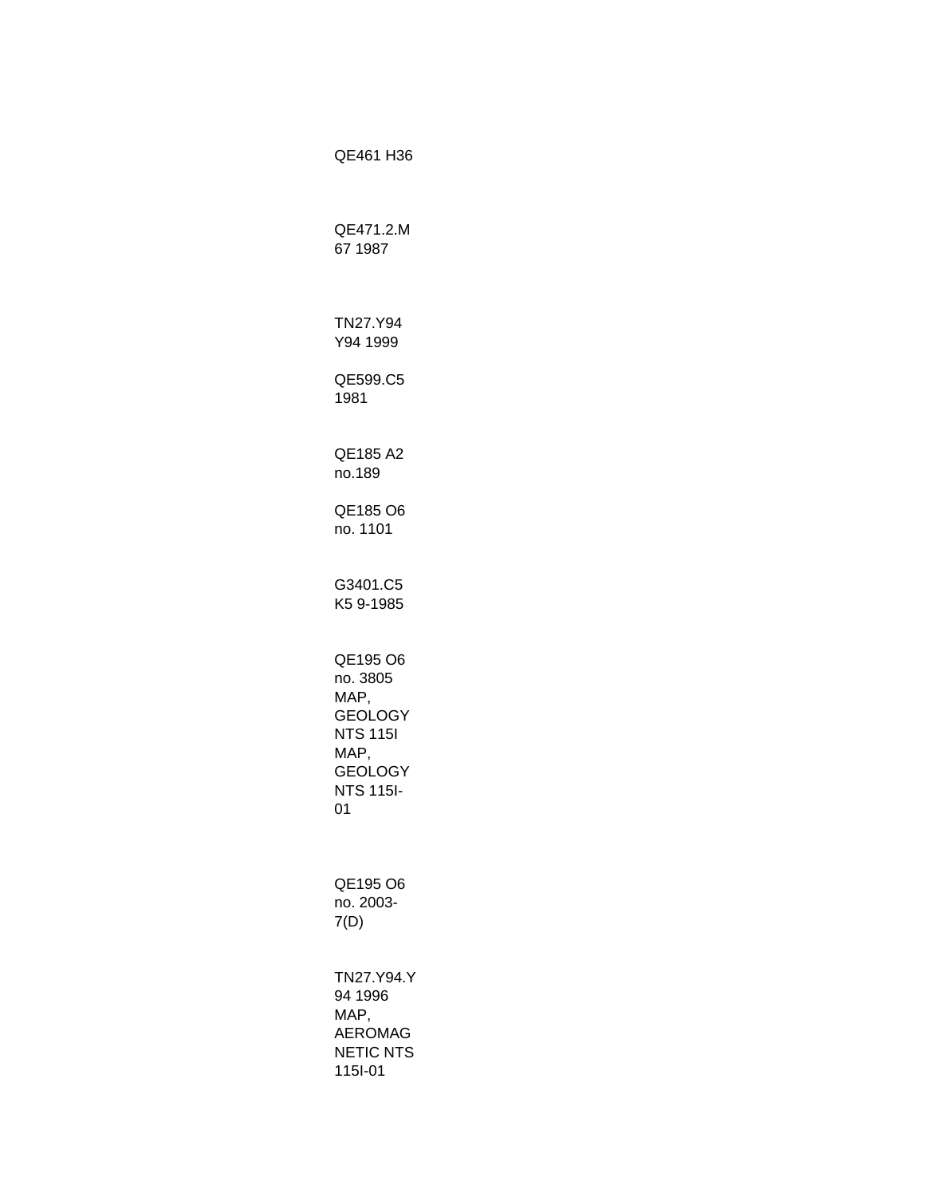QE461 H36 QE471.2.M 67 1987 TN27.Y94 Y94 1999 QE599.C5 1981 QE185 A2 no.189 QE185 O6 no. 1101 G3401.C5 K5 9-1985 QE195 O6 no. 3805 MAP, GEOLOGY NTS 115I MAP, GEOLOGY NTS 115I-01 QE195 O6 no. 2003- 7(D) TN27.Y94.Y 94 1996 MAP, AEROMAG NETIC NTS 115I-01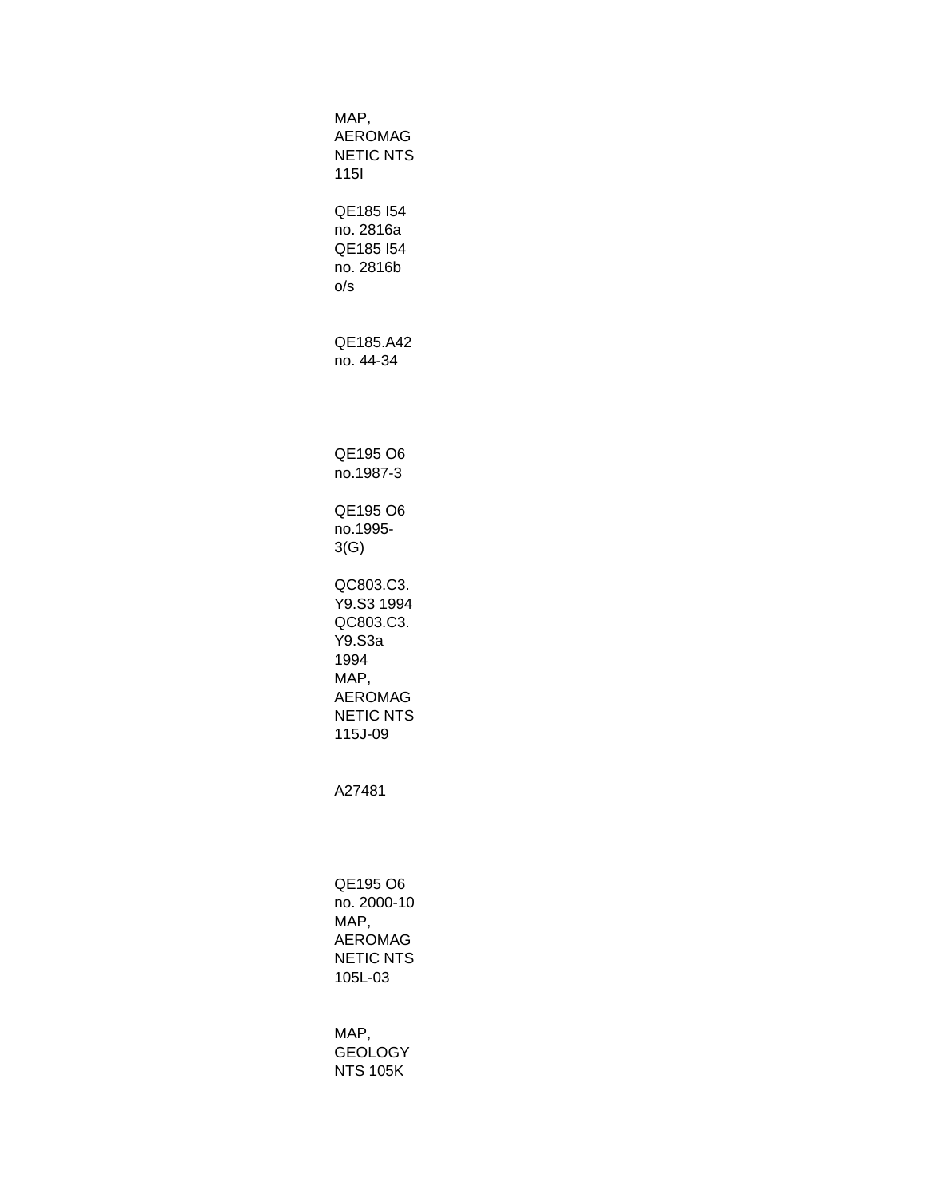MAP, AEROMAG NETIC NTS 115I QE185 I54 no. 2816a QE185 I54 no. 2816b o/s QE185.A42 no. 44-34 QE195 O6 no.1987-3 QE195 O6 no.1995- 3(G) QC803.C3. Y9.S3 1994 QC803.C3. Y9.S3a 1994 MAP, AEROMAG NETIC NTS 115J-09 A27481 QE195 O6 no. 2000-10 MAP, AEROMAG NETIC NTS 105L-03 MAP, GEOLOGY NTS 105K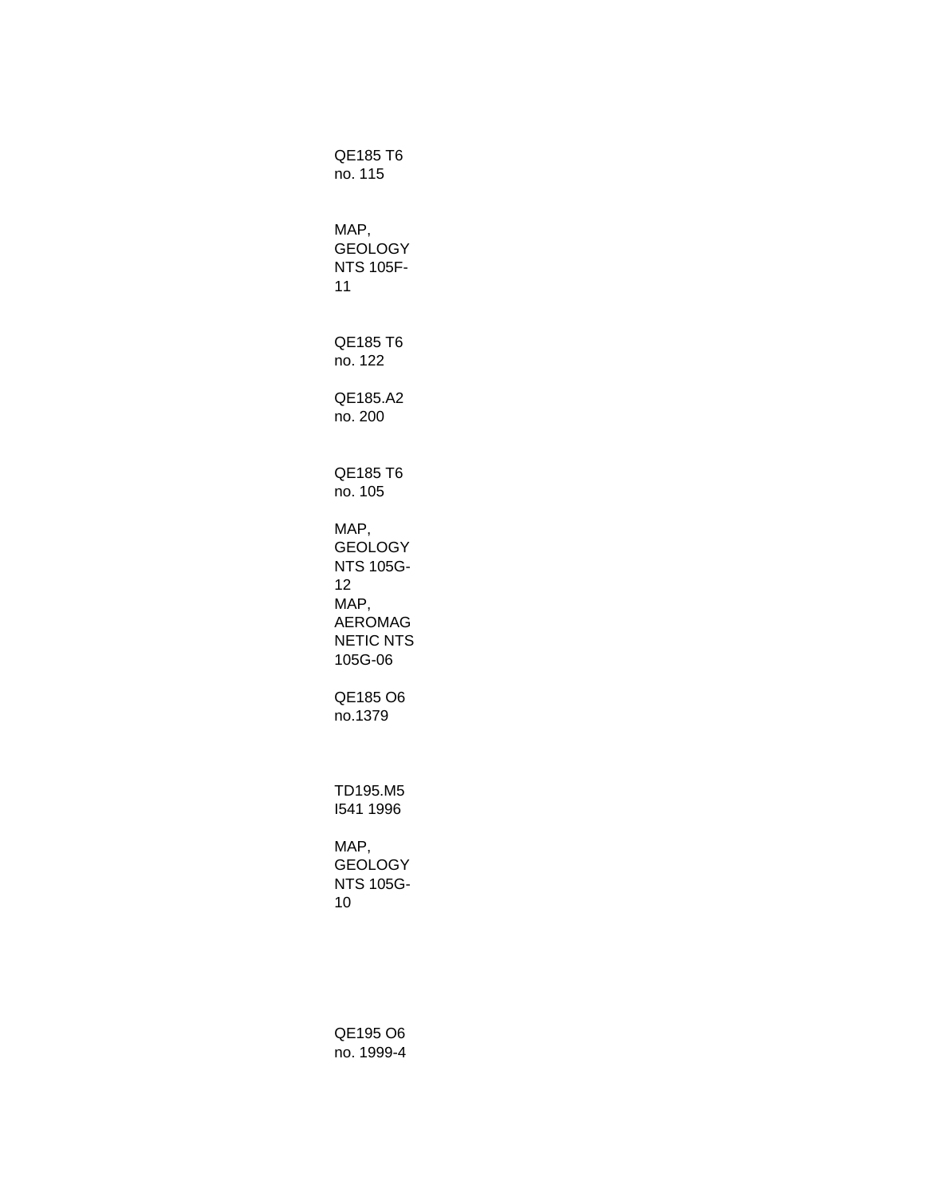QE185 T6 no. 115 MAP, GEOLOGY NTS 105F-11 QE185 T6 no. 122 QE185.A2 no. 200 QE185 T6 no. 105 MAP, GEOLOGY NTS 105G-12 MAP, AEROMAG NETIC NTS 105G-06 QE185 O6 no.1379 TD195.M5 I541 1996 MAP, GEOLOGY NTS 105G-10

QE195 O6 no. 1999-4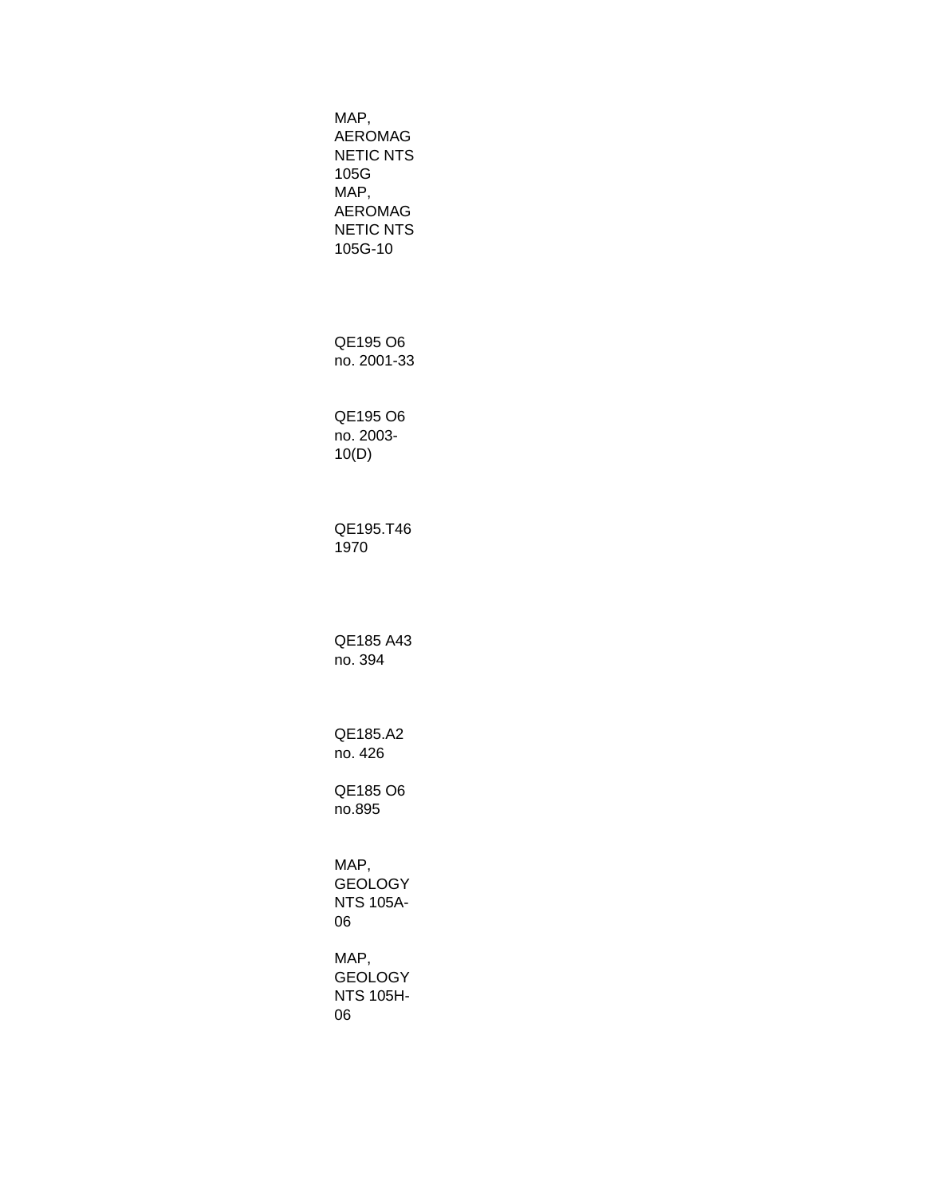MAP, AEROMAG NETIC NTS 105G MAP, AEROMAG NETIC NTS 105G-10 QE195 O6 no. 2001-33 QE195 O6 no. 2003- 10(D) QE195.T46 1970 QE185 A43 no. 394 QE185.A2 no. 426 QE185 O6 no.895 MAP, GEOLOGY NTS 105A-06 MAP, GEOLOGY NTS 105H-06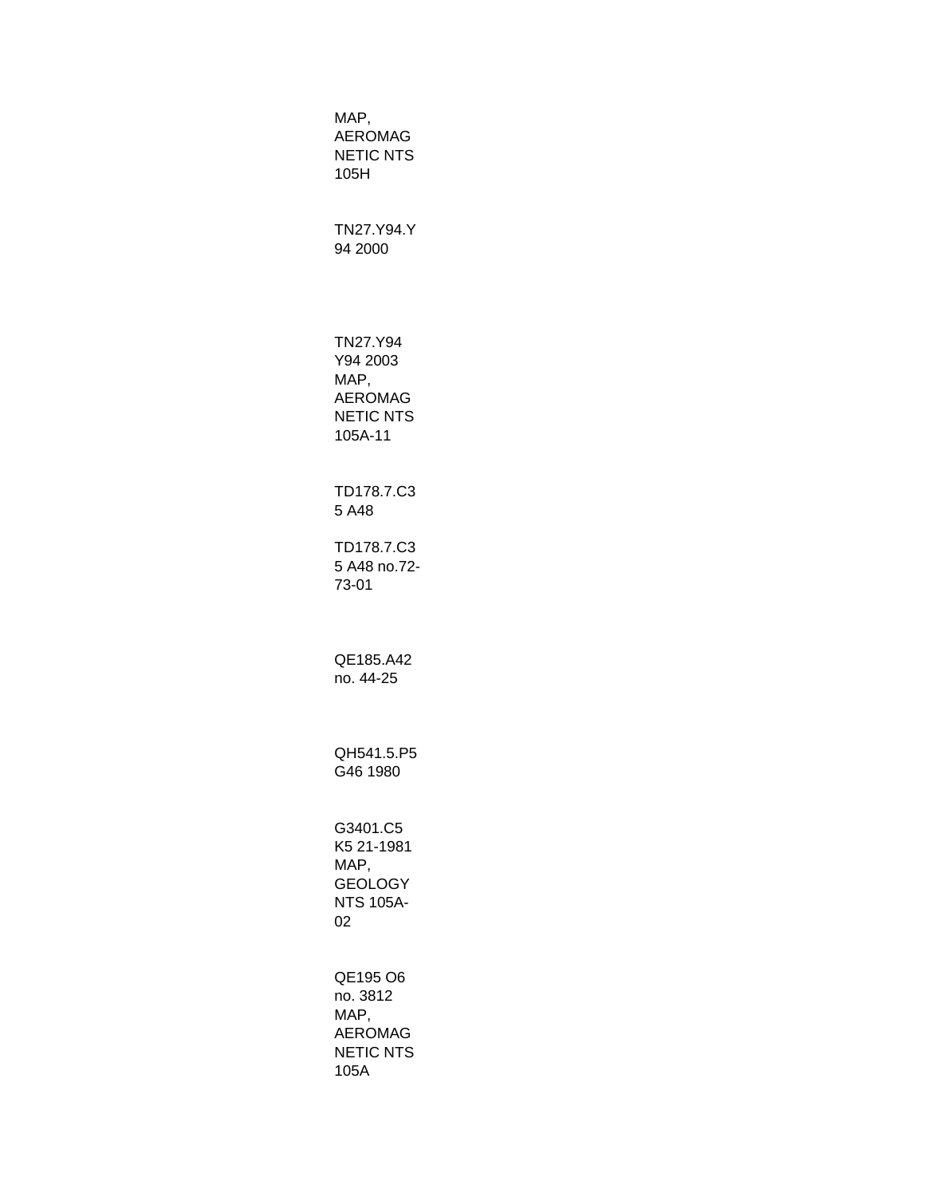MAP, AEROMAG NETIC NTS 105H TN27.Y94.Y 94 2000 TN27.Y94 Y94 2003 MAP, AEROMAG NETIC NTS 105A-11 TD178.7.C3 5 A48 TD178.7.C3 5 A48 no.72- 73-01 QE185.A42 no. 44-25 QH541.5.P5 G46 1980 G3401.C5 K5 21-1981 MAP, **GEOLOGY** NTS 105A-02 QE195 O6 no. 3812 MAP, AEROMAG NETIC NTS 105A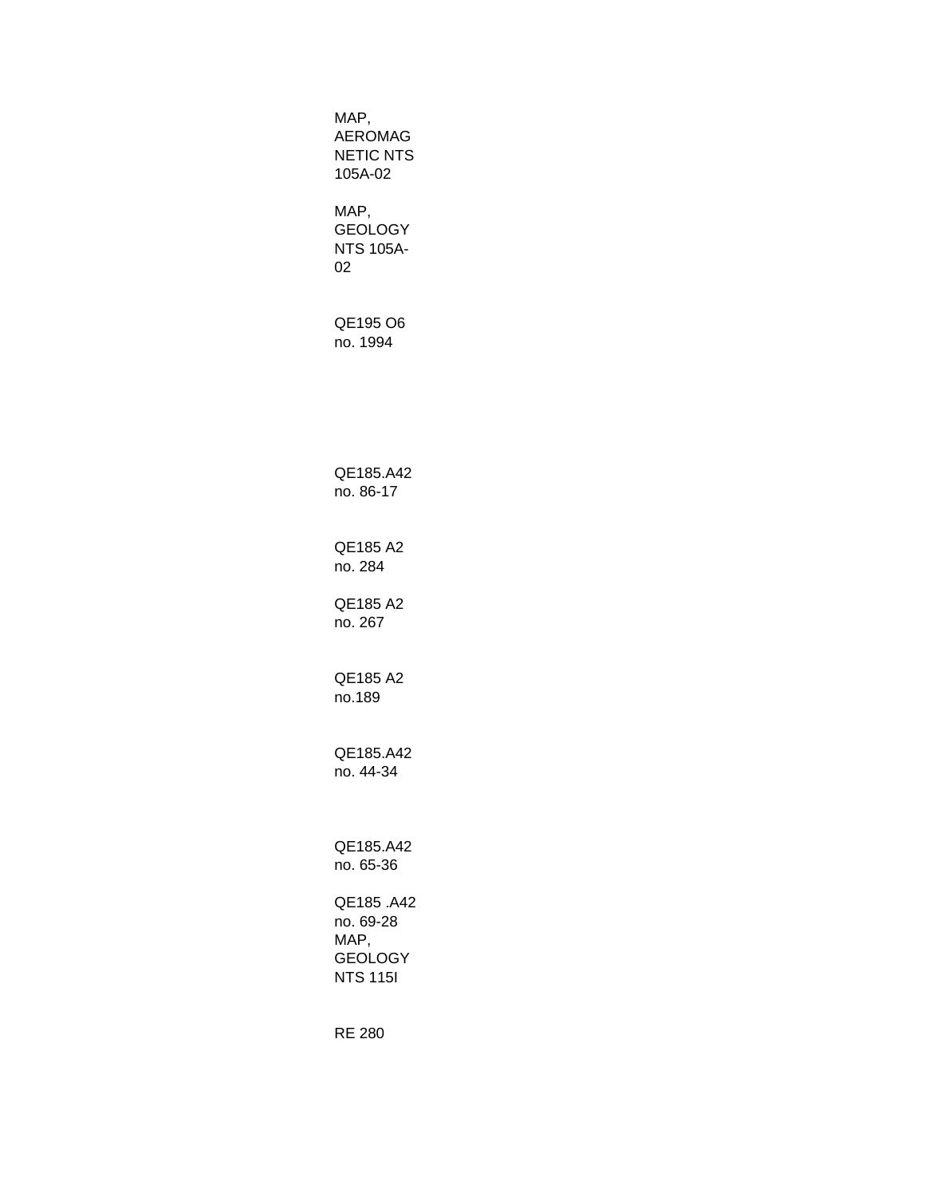MAP, AEROMAG NETIC NTS 105A-02 MAP, GEOLOGY NTS 105A-02 QE195 O6 no. 1994 QE185.A42 no. 86-17 QE185 A2 no. 284 QE185 A2 no. 267 QE185 A2 no.189 QE185.A42 no. 44-34 QE185.A42 no. 65-36 QE185 .A42 no. 69-28 MAP, GEOLOGY NTS 115I

RE 280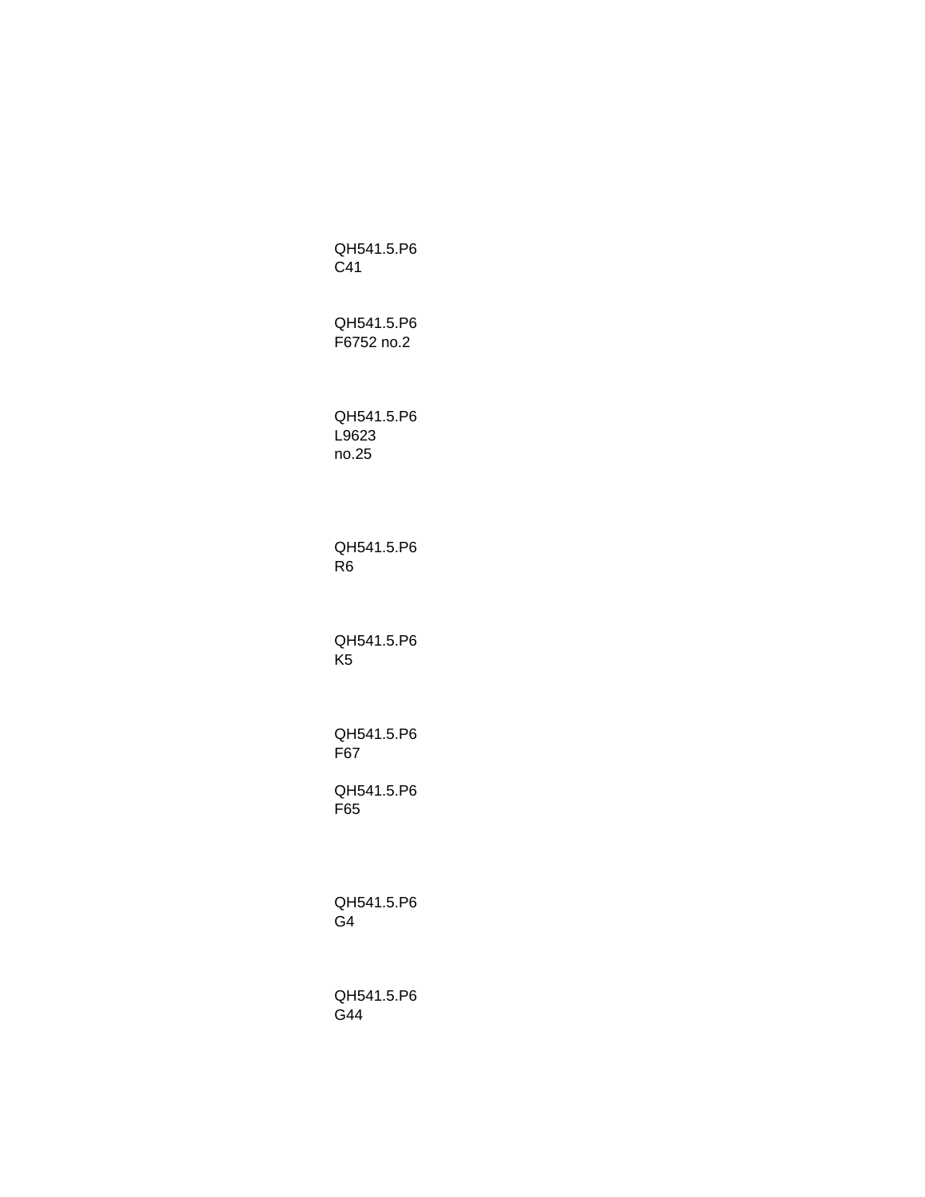QH541.5.P6 C41 QH541.5.P6 F6752 no.2 QH541.5.P6 L9623 no.25 QH541.5.P6 R6 QH541.5.P6 K5 QH541.5.P6 F67 QH541.5.P6 F65 QH541.5.P6 G4 QH541.5.P6 G44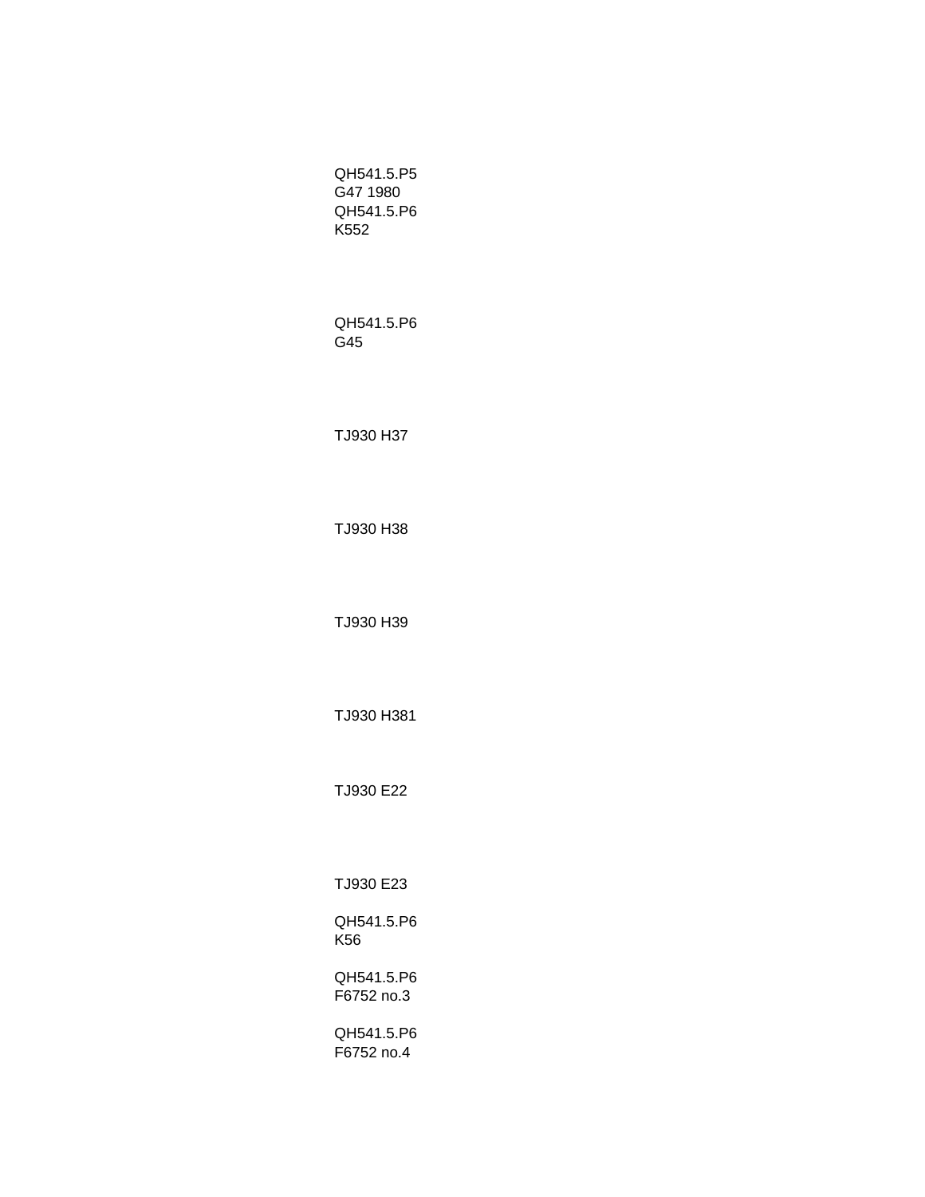QH541.5.P5 G47 1980 QH541.5.P6 K552

QH541.5.P6 G45

TJ930 H37

TJ930 H38

TJ930 H39

TJ930 H381

TJ930 E22

TJ930 E23

QH541.5.P6 K56

QH541.5.P6 F6752 no.3

QH541.5.P6 F6752 no.4